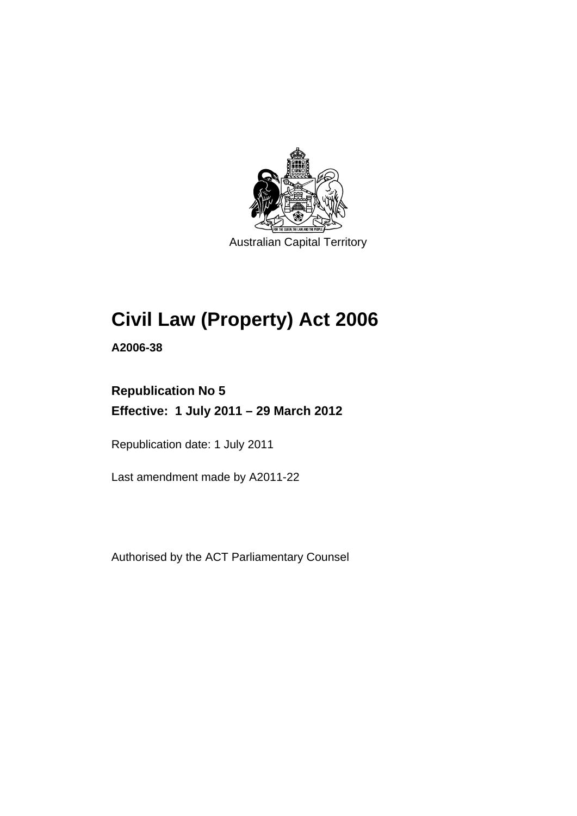

Australian Capital Territory

# **Civil Law (Property) Act 2006**

**A2006-38** 

## **Republication No 5 Effective: 1 July 2011 – 29 March 2012**

Republication date: 1 July 2011

Last amendment made by A2011-22

Authorised by the ACT Parliamentary Counsel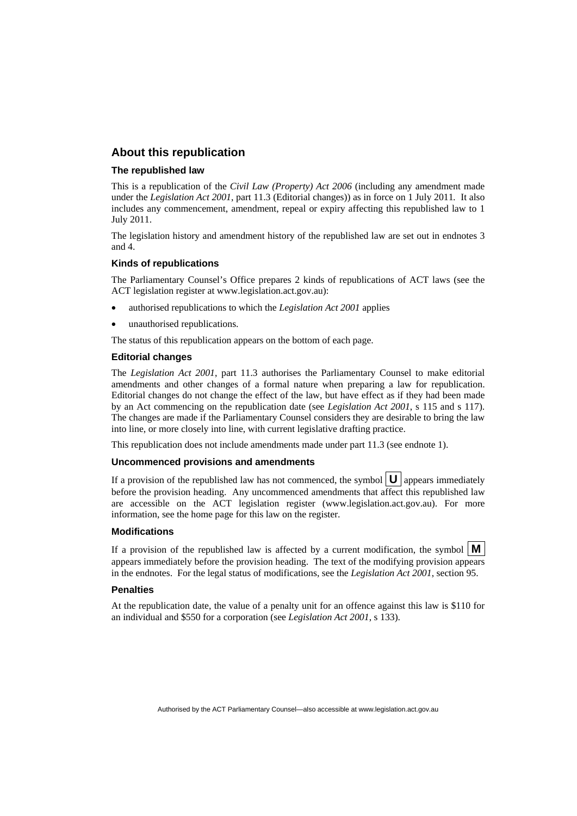#### **About this republication**

#### **The republished law**

This is a republication of the *Civil Law (Property) Act 2006* (including any amendment made under the *Legislation Act 2001*, part 11.3 (Editorial changes)) as in force on 1 July 2011*.* It also includes any commencement, amendment, repeal or expiry affecting this republished law to 1 July 2011.

The legislation history and amendment history of the republished law are set out in endnotes 3 and 4.

#### **Kinds of republications**

The Parliamentary Counsel's Office prepares 2 kinds of republications of ACT laws (see the ACT legislation register at www.legislation.act.gov.au):

- authorised republications to which the *Legislation Act 2001* applies
- unauthorised republications.

The status of this republication appears on the bottom of each page.

#### **Editorial changes**

The *Legislation Act 2001*, part 11.3 authorises the Parliamentary Counsel to make editorial amendments and other changes of a formal nature when preparing a law for republication. Editorial changes do not change the effect of the law, but have effect as if they had been made by an Act commencing on the republication date (see *Legislation Act 2001*, s 115 and s 117). The changes are made if the Parliamentary Counsel considers they are desirable to bring the law into line, or more closely into line, with current legislative drafting practice.

This republication does not include amendments made under part 11.3 (see endnote 1).

#### **Uncommenced provisions and amendments**

If a provision of the republished law has not commenced, the symbol  $\mathbf{U}$  appears immediately before the provision heading. Any uncommenced amendments that affect this republished law are accessible on the ACT legislation register (www.legislation.act.gov.au). For more information, see the home page for this law on the register.

#### **Modifications**

If a provision of the republished law is affected by a current modification, the symbol  $\mathbf{M}$ appears immediately before the provision heading. The text of the modifying provision appears in the endnotes. For the legal status of modifications, see the *Legislation Act 2001*, section 95.

#### **Penalties**

At the republication date, the value of a penalty unit for an offence against this law is \$110 for an individual and \$550 for a corporation (see *Legislation Act 2001*, s 133).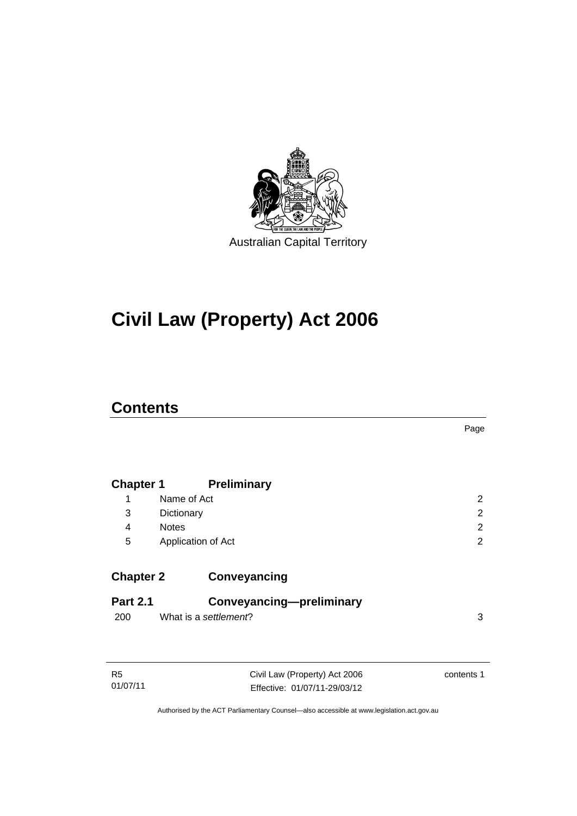

# **Civil Law (Property) Act 2006**

## **Contents**

| <b>Chapter 1</b> |                       | <b>Preliminary</b>            |                |
|------------------|-----------------------|-------------------------------|----------------|
| 1                | Name of Act           |                               | $\overline{2}$ |
| 3                | Dictionary            |                               | $\overline{2}$ |
| $\overline{4}$   | <b>Notes</b>          |                               | $\overline{2}$ |
| 5                | Application of Act    |                               | $\overline{2}$ |
| <b>Chapter 2</b> |                       | Conveyancing                  |                |
| <b>Part 2.1</b>  |                       | Conveyancing-preliminary      |                |
| 200              | What is a settlement? |                               | 3              |
|                  |                       |                               |                |
| R <sub>5</sub>   |                       | Civil Law (Property) Act 2006 | contents 1     |
| 01/07/11         |                       | Fffective: 01/07/11-29/03/12  |                |

Page

Authorised by the ACT Parliamentary Counsel—also accessible at www.legislation.act.gov.au

Effective: 01/07/11-29/03/12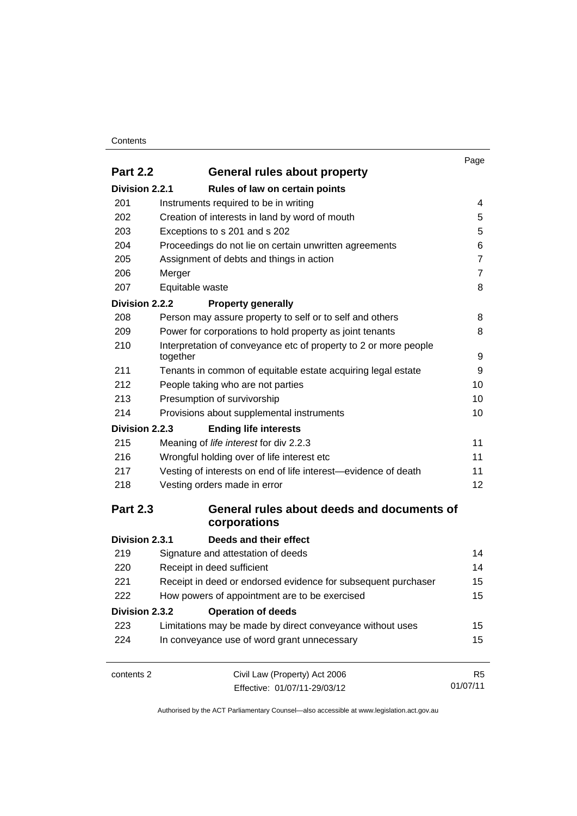#### **Contents**

|                 |                                                                                                                | Page           |
|-----------------|----------------------------------------------------------------------------------------------------------------|----------------|
| <b>Part 2.2</b> | <b>General rules about property</b>                                                                            |                |
| Division 2.2.1  | Rules of law on certain points                                                                                 |                |
| 201             | Instruments required to be in writing                                                                          | 4              |
| 202             | Creation of interests in land by word of mouth                                                                 | 5              |
| 203             | Exceptions to s 201 and s 202                                                                                  | 5              |
| 204             | Proceedings do not lie on certain unwritten agreements                                                         | 6              |
| 205             | Assignment of debts and things in action<br>Merger                                                             | $\overline{7}$ |
| 206             |                                                                                                                | $\overline{7}$ |
| 207             | Equitable waste                                                                                                | 8              |
| Division 2.2.2  | <b>Property generally</b>                                                                                      |                |
| 208             | Person may assure property to self or to self and others                                                       | 8              |
| 209             | Power for corporations to hold property as joint tenants                                                       | 8              |
| 210             | Interpretation of conveyance etc of property to 2 or more people                                               |                |
|                 | together                                                                                                       | 9              |
| 211             | Tenants in common of equitable estate acquiring legal estate                                                   | 9              |
| 212             | People taking who are not parties<br>Presumption of survivorship<br>Provisions about supplemental instruments  | 10             |
| 213             |                                                                                                                | 10             |
| 214             |                                                                                                                | 10             |
| Division 2.2.3  | <b>Ending life interests</b>                                                                                   |                |
| 215             | Meaning of life interest for div 2.2.3                                                                         | 11             |
| 216             | Wrongful holding over of life interest etc                                                                     | 11             |
| 217             | Vesting of interests on end of life interest-evidence of death                                                 | 11             |
| 218             | Vesting orders made in error                                                                                   | 12             |
| <b>Part 2.3</b> | General rules about deeds and documents of                                                                     |                |
|                 | corporations                                                                                                   |                |
| Division 2.3.1  | Deeds and their effect                                                                                         |                |
| 219             | Signature and attestation of deeds                                                                             | 14             |
| 220             | Receipt in deed sufficient                                                                                     | 14             |
| 221             | Receipt in deed or endorsed evidence for subsequent purchaser<br>How powers of appointment are to be exercised | 15<br>15       |
| 222             |                                                                                                                |                |
| Division 2.3.2  | <b>Operation of deeds</b>                                                                                      |                |
| 223             | Limitations may be made by direct conveyance without uses                                                      | 15             |
| 224             | In conveyance use of word grant unnecessary                                                                    | 15             |
| contents 2      | Civil Law (Property) Act 2006                                                                                  | R <sub>5</sub> |
|                 | Effective: 01/07/11-29/03/12                                                                                   | 01/07/11       |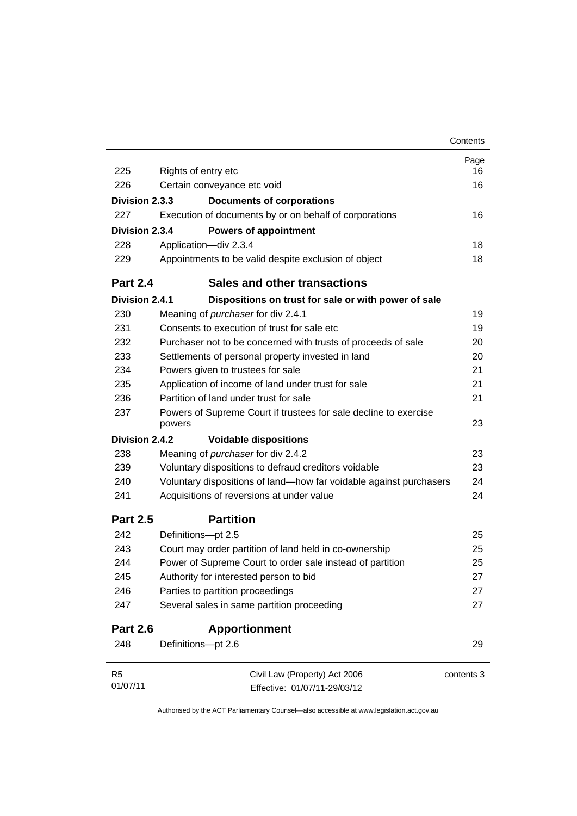|                 |                                                                            | Contents   |
|-----------------|----------------------------------------------------------------------------|------------|
|                 |                                                                            | Page       |
| 225             | Rights of entry etc                                                        | 16         |
| 226             | Certain conveyance etc void                                                | 16         |
| Division 2.3.3  | <b>Documents of corporations</b>                                           |            |
| 227             | Execution of documents by or on behalf of corporations                     | 16         |
| Division 2.3.4  | <b>Powers of appointment</b>                                               |            |
| 228             | Application-div 2.3.4                                                      | 18         |
| 229             | Appointments to be valid despite exclusion of object                       | 18         |
| <b>Part 2.4</b> | <b>Sales and other transactions</b>                                        |            |
| Division 2.4.1  | Dispositions on trust for sale or with power of sale                       |            |
| 230             | Meaning of purchaser for div 2.4.1                                         | 19         |
| 231             | Consents to execution of trust for sale etc.                               | 19         |
| 232             | Purchaser not to be concerned with trusts of proceeds of sale              | 20         |
| 233             | Settlements of personal property invested in land                          | 20         |
| 234             | Powers given to trustees for sale                                          | 21         |
| 235             | Application of income of land under trust for sale                         | 21         |
| 236             | Partition of land under trust for sale                                     | 21         |
| 237             | Powers of Supreme Court if trustees for sale decline to exercise<br>powers | 23         |
| Division 2.4.2  | <b>Voidable dispositions</b>                                               |            |
| 238             | Meaning of purchaser for div 2.4.2                                         | 23         |
| 239             | Voluntary dispositions to defraud creditors voidable                       | 23         |
| 240             | Voluntary dispositions of land—how far voidable against purchasers         | 24         |
| 241             | Acquisitions of reversions at under value                                  | 24         |
| <b>Part 2.5</b> | <b>Partition</b>                                                           |            |
| 242             | Definitions-pt 2.5                                                         | 25         |
| 243             | Court may order partition of land held in co-ownership                     | 25         |
| 244             | Power of Supreme Court to order sale instead of partition                  | 25         |
| 245             | Authority for interested person to bid                                     | 27         |
| 246             | Parties to partition proceedings                                           | 27         |
| 247             | Several sales in same partition proceeding                                 | 27         |
| <b>Part 2.6</b> | <b>Apportionment</b>                                                       |            |
| 248             | Definitions-pt 2.6                                                         | 29         |
| R <sub>5</sub>  | Civil Law (Property) Act 2006                                              | contents 3 |
| 01/07/11        | Effective: 01/07/11-29/03/12                                               |            |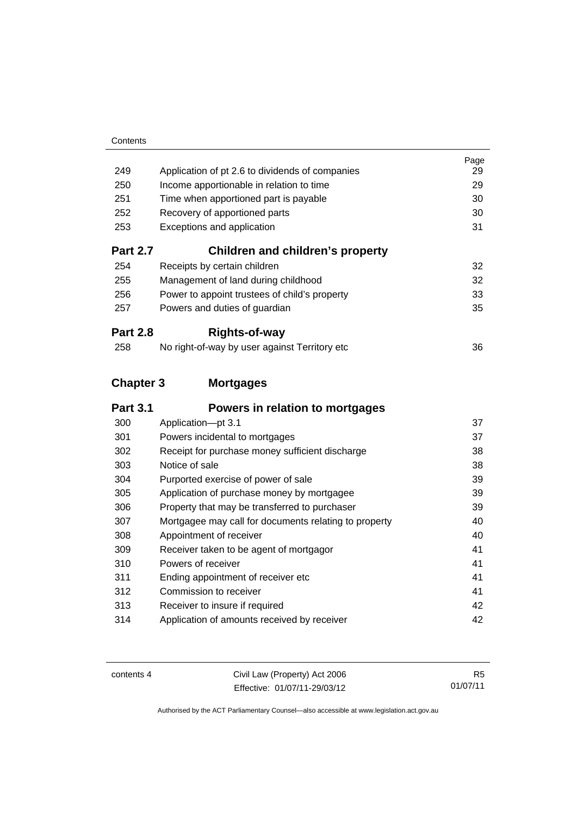|                  |                                                       | Page |
|------------------|-------------------------------------------------------|------|
| 249              | Application of pt 2.6 to dividends of companies       | 29   |
| 250              | Income apportionable in relation to time              | 29   |
| 251              | Time when apportioned part is payable                 | 30   |
| 252              | Recovery of apportioned parts                         | 30   |
| 253              | Exceptions and application                            | 31   |
| <b>Part 2.7</b>  | <b>Children and children's property</b>               |      |
| 254              | Receipts by certain children                          | 32   |
| 255              | Management of land during childhood                   | 32   |
| 256              | Power to appoint trustees of child's property         | 33   |
| 257              | Powers and duties of guardian                         | 35   |
| <b>Part 2.8</b>  | Rights-of-way                                         |      |
| 258              | No right-of-way by user against Territory etc         | 36   |
| <b>Chapter 3</b> | <b>Mortgages</b>                                      |      |
| <b>Part 3.1</b>  | Powers in relation to mortgages                       |      |
| 300              | Application-pt 3.1                                    | 37   |
| 301              | Powers incidental to mortgages                        | 37   |
| 302              | Receipt for purchase money sufficient discharge       | 38   |
| 303              | Notice of sale                                        | 38   |
| 304              | Purported exercise of power of sale                   | 39   |
| 305              | Application of purchase money by mortgagee            | 39   |
| 306              | Property that may be transferred to purchaser         | 39   |
| 307              | Mortgagee may call for documents relating to property | 40   |
| 308              | Appointment of receiver                               | 40   |
| 309              | Receiver taken to be agent of mortgagor               | 41   |
| 310              | Powers of receiver                                    | 41   |
| 311              | Ending appointment of receiver etc                    | 41   |
| 312              | Commission to receiver                                | 41   |
| 313              | Receiver to insure if required                        | 42   |
| 314              | Application of amounts received by receiver           | 42   |

contents 4 Civil Law (Property) Act 2006 Effective: 01/07/11-29/03/12

R5 01/07/11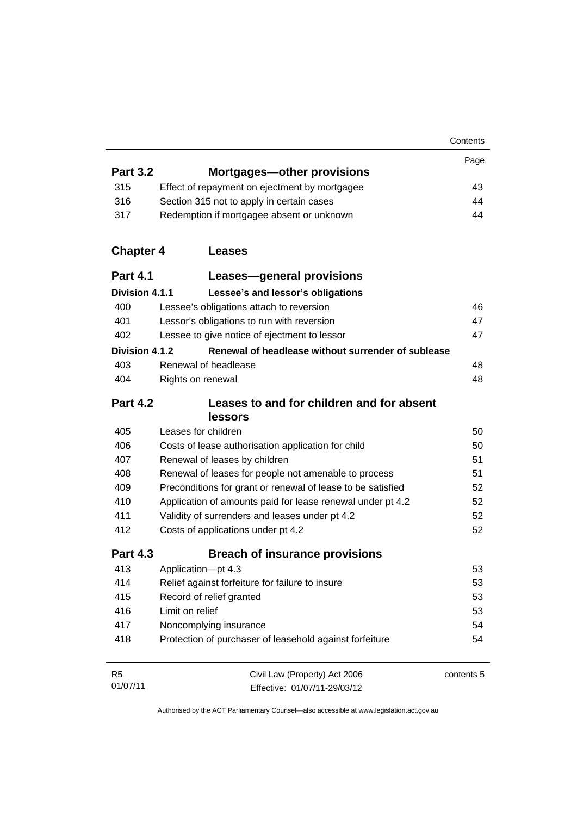|                            |                                                               | Contents   |
|----------------------------|---------------------------------------------------------------|------------|
|                            |                                                               | Page       |
| <b>Part 3.2</b>            | Mortgages—other provisions                                    |            |
| 315                        | Effect of repayment on ejectment by mortgagee                 | 43         |
| 316                        | Section 315 not to apply in certain cases                     | 44         |
| 317                        | Redemption if mortgagee absent or unknown                     | 44         |
| <b>Chapter 4</b>           | Leases                                                        |            |
| <b>Part 4.1</b>            | Leases-general provisions                                     |            |
| Division 4.1.1             | Lessee's and lessor's obligations                             |            |
| 400                        | Lessee's obligations attach to reversion                      | 46         |
| 401                        | Lessor's obligations to run with reversion                    | 47         |
| 402                        | Lessee to give notice of ejectment to lessor                  | 47         |
| Division 4.1.2             | Renewal of headlease without surrender of sublease            |            |
| 403                        | Renewal of headlease                                          | 48         |
| 404                        | Rights on renewal                                             | 48         |
| <b>Part 4.2</b>            | Leases to and for children and for absent<br><b>lessors</b>   |            |
| 405                        | Leases for children                                           | 50         |
| 406                        | Costs of lease authorisation application for child            | 50         |
| 407                        | Renewal of leases by children                                 | 51         |
| 408                        | Renewal of leases for people not amenable to process          | 51         |
| 409                        | Preconditions for grant or renewal of lease to be satisfied   | 52         |
| 410                        | Application of amounts paid for lease renewal under pt 4.2    | 52         |
| 411                        | Validity of surrenders and leases under pt 4.2                | 52         |
| 412                        | Costs of applications under pt 4.2                            | 52         |
| <b>Part 4.3</b>            | <b>Breach of insurance provisions</b>                         |            |
| 413                        | Application-pt 4.3                                            | 53         |
| 414                        | Relief against forfeiture for failure to insure               | 53         |
| 415                        | Record of relief granted                                      | 53         |
| 416                        | Limit on relief                                               | 53         |
| 417                        | Noncomplying insurance                                        | 54         |
| 418                        | Protection of purchaser of leasehold against forfeiture       | 54         |
| R <sub>5</sub><br>01/07/11 | Civil Law (Property) Act 2006<br>Effective: 01/07/11-29/03/12 | contents 5 |

Authorised by the ACT Parliamentary Counsel—also accessible at www.legislation.act.gov.au

Effective: 01/07/11-29/03/12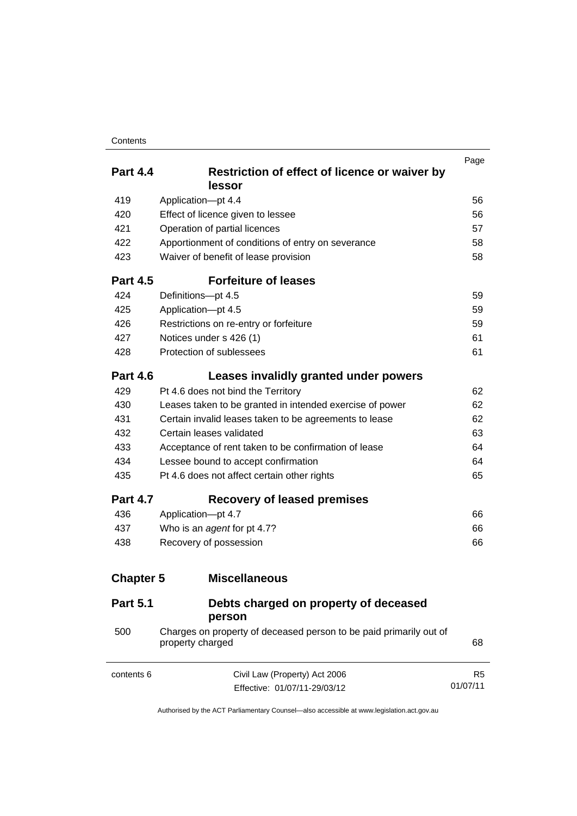#### **Contents**

|                  |                                                                                        | Page           |
|------------------|----------------------------------------------------------------------------------------|----------------|
| <b>Part 4.4</b>  | Restriction of effect of licence or waiver by<br>lessor                                |                |
| 419              | Application-pt 4.4                                                                     | 56             |
| 420              | Effect of licence given to lessee                                                      | 56             |
| 421              | Operation of partial licences                                                          | 57             |
| 422              | Apportionment of conditions of entry on severance                                      | 58             |
| 423              | Waiver of benefit of lease provision                                                   | 58             |
| <b>Part 4.5</b>  | <b>Forfeiture of leases</b>                                                            |                |
| 424              | Definitions-pt 4.5                                                                     | 59             |
| 425              | Application-pt 4.5                                                                     | 59             |
| 426              | Restrictions on re-entry or forfeiture                                                 | 59             |
| 427              | Notices under s 426 (1)                                                                | 61             |
| 428              | Protection of sublessees                                                               | 61             |
| <b>Part 4.6</b>  | Leases invalidly granted under powers                                                  |                |
| 429              | Pt 4.6 does not bind the Territory                                                     | 62             |
| 430              | Leases taken to be granted in intended exercise of power                               | 62             |
| 431              | Certain invalid leases taken to be agreements to lease                                 | 62             |
| 432              | Certain leases validated                                                               | 63             |
| 433              | Acceptance of rent taken to be confirmation of lease                                   | 64             |
| 434              | Lessee bound to accept confirmation                                                    | 64             |
| 435              | Pt 4.6 does not affect certain other rights                                            | 65             |
| <b>Part 4.7</b>  | <b>Recovery of leased premises</b>                                                     |                |
| 436              | Application-pt 4.7                                                                     | 66             |
| 437              | Who is an agent for pt 4.7?                                                            | 66             |
| 438              | Recovery of possession                                                                 | 66             |
| <b>Chapter 5</b> | <b>Miscellaneous</b>                                                                   |                |
| <b>Part 5.1</b>  | Debts charged on property of deceased<br>person                                        |                |
| 500              | Charges on property of deceased person to be paid primarily out of<br>property charged | 68             |
| contents 6       | Civil Law (Property) Act 2006                                                          | R <sub>5</sub> |
|                  | Effective: 01/07/11-29/03/12                                                           | 01/07/11       |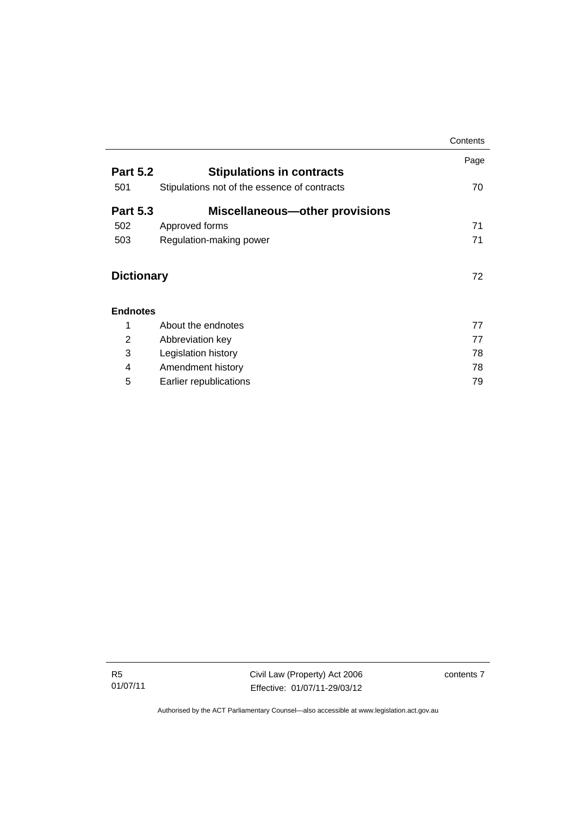|                   |                                              | Contents |
|-------------------|----------------------------------------------|----------|
|                   |                                              | Page     |
| <b>Part 5.2</b>   | <b>Stipulations in contracts</b>             |          |
| 501               | Stipulations not of the essence of contracts | 70       |
| <b>Part 5.3</b>   | <b>Miscellaneous-other provisions</b>        |          |
| 502               | Approved forms                               | 71       |
| 503               | Regulation-making power                      | 71       |
| <b>Dictionary</b> |                                              | 72       |
| <b>Endnotes</b>   |                                              |          |
| 1                 | About the endnotes                           | 77       |
| 2                 | Abbreviation key                             | 77       |
| 3                 | Legislation history                          | 78       |
| 4                 | Amendment history                            | 78       |
| 5                 | Earlier republications                       | 79       |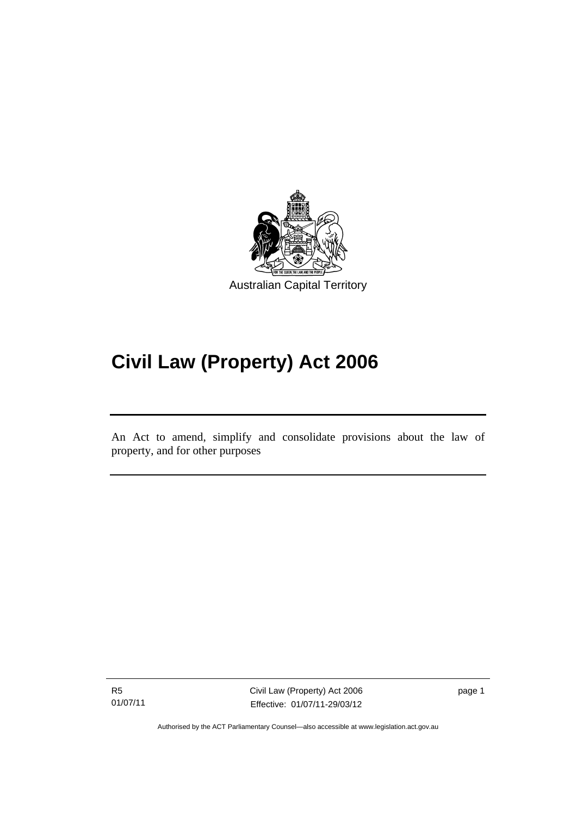

# **Civil Law (Property) Act 2006**

An Act to amend, simplify and consolidate provisions about the law of property, and for other purposes

R5 01/07/11

l

Civil Law (Property) Act 2006 Effective: 01/07/11-29/03/12 page 1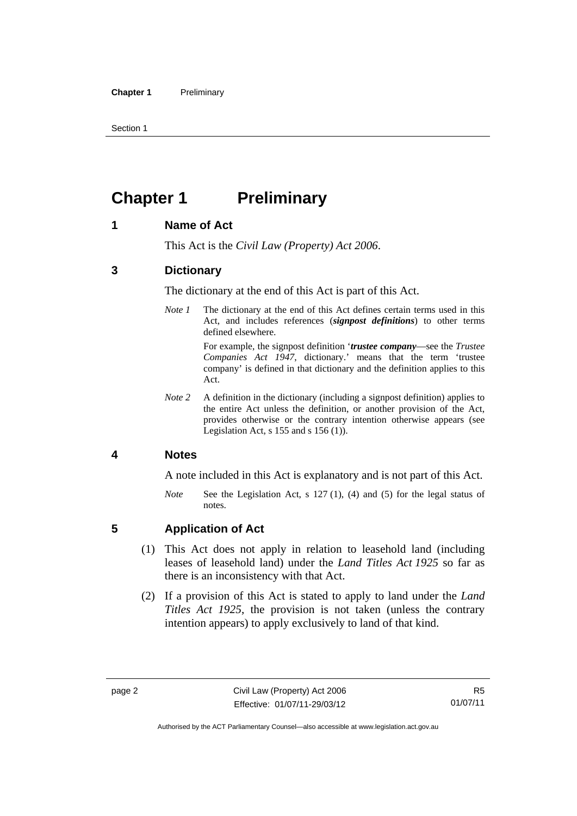Section 1

## <span id="page-11-0"></span>**Chapter 1** Preliminary

## <span id="page-11-1"></span>**1 Name of Act**

This Act is the *Civil Law (Property) Act 2006*.

## <span id="page-11-2"></span>**3 Dictionary**

The dictionary at the end of this Act is part of this Act.

*Note 1* The dictionary at the end of this Act defines certain terms used in this Act, and includes references (*signpost definitions*) to other terms defined elsewhere.

> For example, the signpost definition '*trustee company*—see the *Trustee Companies Act 1947*, dictionary.' means that the term 'trustee company' is defined in that dictionary and the definition applies to this Act.

*Note 2* A definition in the dictionary (including a signpost definition) applies to the entire Act unless the definition, or another provision of the Act, provides otherwise or the contrary intention otherwise appears (see Legislation Act, s  $155$  and s  $156$  (1)).

## <span id="page-11-3"></span>**4 Notes**

A note included in this Act is explanatory and is not part of this Act.

*Note* See the Legislation Act, s 127 (1), (4) and (5) for the legal status of notes.

## <span id="page-11-4"></span>**5 Application of Act**

- (1) This Act does not apply in relation to leasehold land (including leases of leasehold land) under the *Land Titles Act 1925* so far as there is an inconsistency with that Act.
- (2) If a provision of this Act is stated to apply to land under the *Land Titles Act 1925*, the provision is not taken (unless the contrary intention appears) to apply exclusively to land of that kind.

Authorised by the ACT Parliamentary Counsel—also accessible at www.legislation.act.gov.au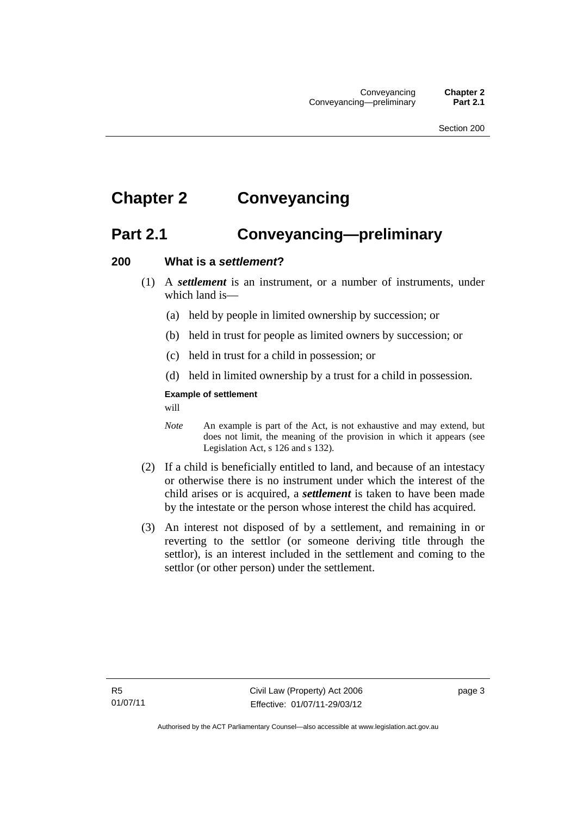## <span id="page-12-0"></span>**Chapter 2 Conveyancing**

## <span id="page-12-1"></span>**Part 2.1 Conveyancing—preliminary**

#### <span id="page-12-2"></span>**200 What is a** *settlement***?**

- (1) A *settlement* is an instrument, or a number of instruments, under which land is—
	- (a) held by people in limited ownership by succession; or
	- (b) held in trust for people as limited owners by succession; or
	- (c) held in trust for a child in possession; or
	- (d) held in limited ownership by a trust for a child in possession.

#### **Example of settlement**

will

- *Note* An example is part of the Act, is not exhaustive and may extend, but does not limit, the meaning of the provision in which it appears (see Legislation Act, s 126 and s 132).
- (2) If a child is beneficially entitled to land, and because of an intestacy or otherwise there is no instrument under which the interest of the child arises or is acquired, a *settlement* is taken to have been made by the intestate or the person whose interest the child has acquired.
- (3) An interest not disposed of by a settlement, and remaining in or reverting to the settlor (or someone deriving title through the settlor), is an interest included in the settlement and coming to the settlor (or other person) under the settlement.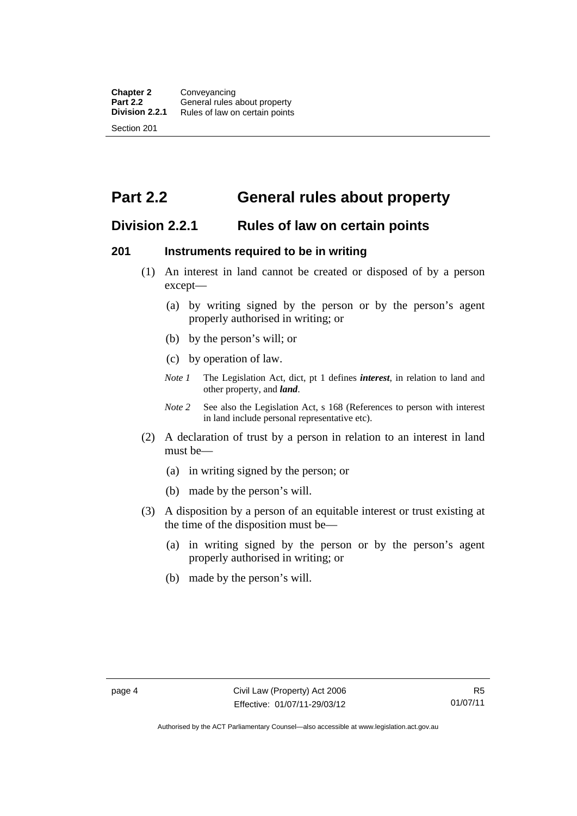## <span id="page-13-0"></span>**Part 2.2 General rules about property**

## <span id="page-13-1"></span>**Division 2.2.1 Rules of law on certain points**

## <span id="page-13-2"></span>**201 Instruments required to be in writing**

- (1) An interest in land cannot be created or disposed of by a person except—
	- (a) by writing signed by the person or by the person's agent properly authorised in writing; or
	- (b) by the person's will; or
	- (c) by operation of law.
	- *Note 1* The Legislation Act, dict, pt 1 defines *interest*, in relation to land and other property, and *land*.
	- *Note 2* See also the Legislation Act, s 168 (References to person with interest in land include personal representative etc).
- (2) A declaration of trust by a person in relation to an interest in land must be—
	- (a) in writing signed by the person; or
	- (b) made by the person's will.
- (3) A disposition by a person of an equitable interest or trust existing at the time of the disposition must be—
	- (a) in writing signed by the person or by the person's agent properly authorised in writing; or
	- (b) made by the person's will.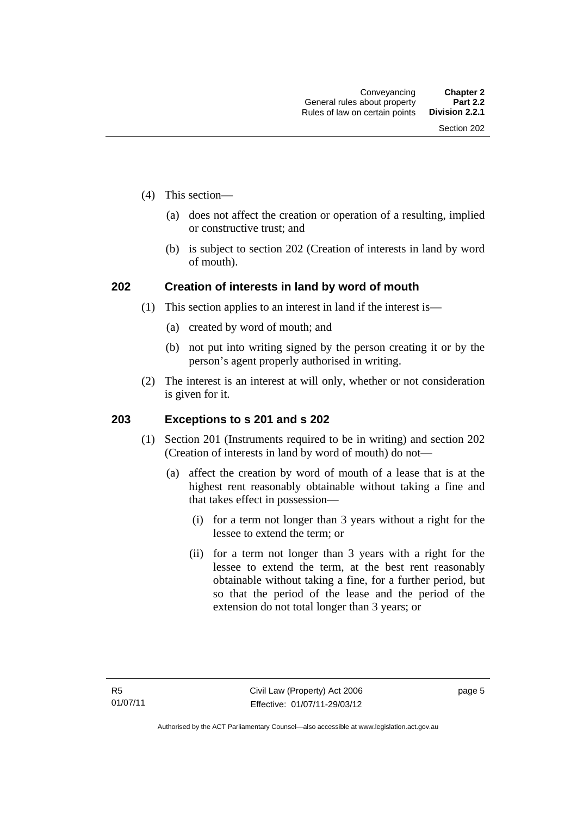- (4) This section—
	- (a) does not affect the creation or operation of a resulting, implied or constructive trust; and
	- (b) is subject to section 202 (Creation of interests in land by word of mouth).

## <span id="page-14-0"></span>**202 Creation of interests in land by word of mouth**

- (1) This section applies to an interest in land if the interest is—
	- (a) created by word of mouth; and
	- (b) not put into writing signed by the person creating it or by the person's agent properly authorised in writing.
- (2) The interest is an interest at will only, whether or not consideration is given for it.

## <span id="page-14-1"></span>**203 Exceptions to s 201 and s 202**

- (1) Section 201 (Instruments required to be in writing) and section 202 (Creation of interests in land by word of mouth) do not—
	- (a) affect the creation by word of mouth of a lease that is at the highest rent reasonably obtainable without taking a fine and that takes effect in possession—
		- (i) for a term not longer than 3 years without a right for the lessee to extend the term; or
		- (ii) for a term not longer than 3 years with a right for the lessee to extend the term, at the best rent reasonably obtainable without taking a fine, for a further period, but so that the period of the lease and the period of the extension do not total longer than 3 years; or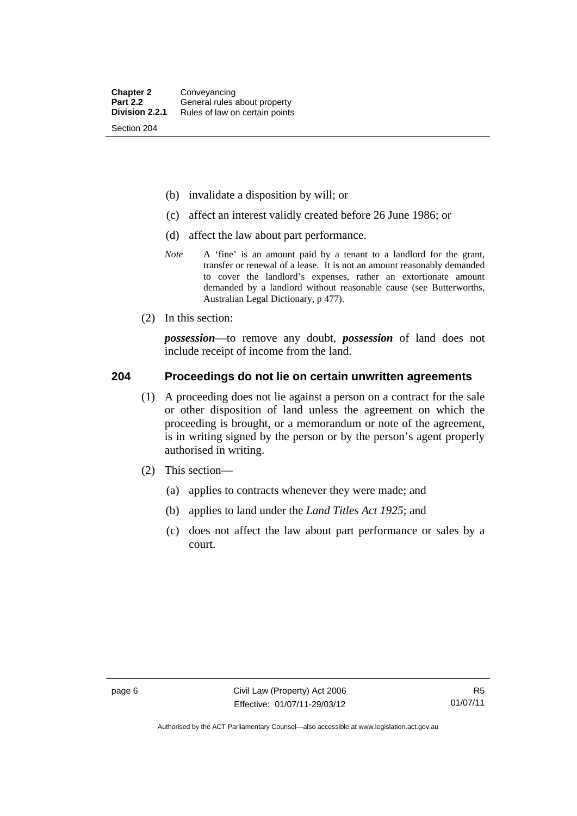- (b) invalidate a disposition by will; or
- (c) affect an interest validly created before 26 June 1986; or
- (d) affect the law about part performance.
- *Note* A 'fine' is an amount paid by a tenant to a landlord for the grant, transfer or renewal of a lease. It is not an amount reasonably demanded to cover the landlord's expenses, rather an extortionate amount demanded by a landlord without reasonable cause (see Butterworths, Australian Legal Dictionary, p 477).
- (2) In this section:

*possession*—to remove any doubt, *possession* of land does not include receipt of income from the land.

#### <span id="page-15-0"></span>**204 Proceedings do not lie on certain unwritten agreements**

- (1) A proceeding does not lie against a person on a contract for the sale or other disposition of land unless the agreement on which the proceeding is brought, or a memorandum or note of the agreement, is in writing signed by the person or by the person's agent properly authorised in writing.
- (2) This section—
	- (a) applies to contracts whenever they were made; and
	- (b) applies to land under the *Land Titles Act 1925*; and
	- (c) does not affect the law about part performance or sales by a court.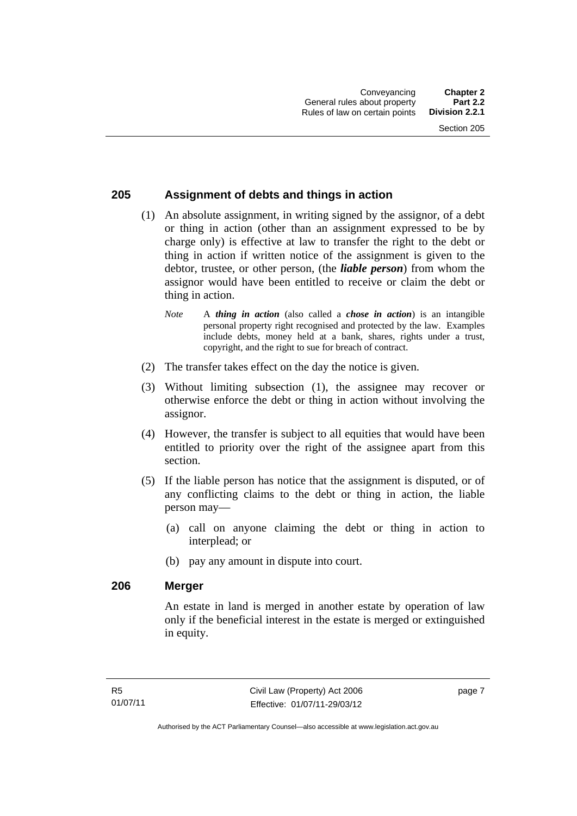## <span id="page-16-0"></span>**205 Assignment of debts and things in action**

- (1) An absolute assignment, in writing signed by the assignor, of a debt or thing in action (other than an assignment expressed to be by charge only) is effective at law to transfer the right to the debt or thing in action if written notice of the assignment is given to the debtor, trustee, or other person, (the *liable person*) from whom the assignor would have been entitled to receive or claim the debt or thing in action.
	- *Note* A *thing in action* (also called a *chose in action*) is an intangible personal property right recognised and protected by the law. Examples include debts, money held at a bank, shares, rights under a trust, copyright, and the right to sue for breach of contract.
- (2) The transfer takes effect on the day the notice is given.
- (3) Without limiting subsection (1), the assignee may recover or otherwise enforce the debt or thing in action without involving the assignor.
- (4) However, the transfer is subject to all equities that would have been entitled to priority over the right of the assignee apart from this section.
- (5) If the liable person has notice that the assignment is disputed, or of any conflicting claims to the debt or thing in action, the liable person may—
	- (a) call on anyone claiming the debt or thing in action to interplead; or
	- (b) pay any amount in dispute into court.

#### <span id="page-16-1"></span>**206 Merger**

An estate in land is merged in another estate by operation of law only if the beneficial interest in the estate is merged or extinguished in equity.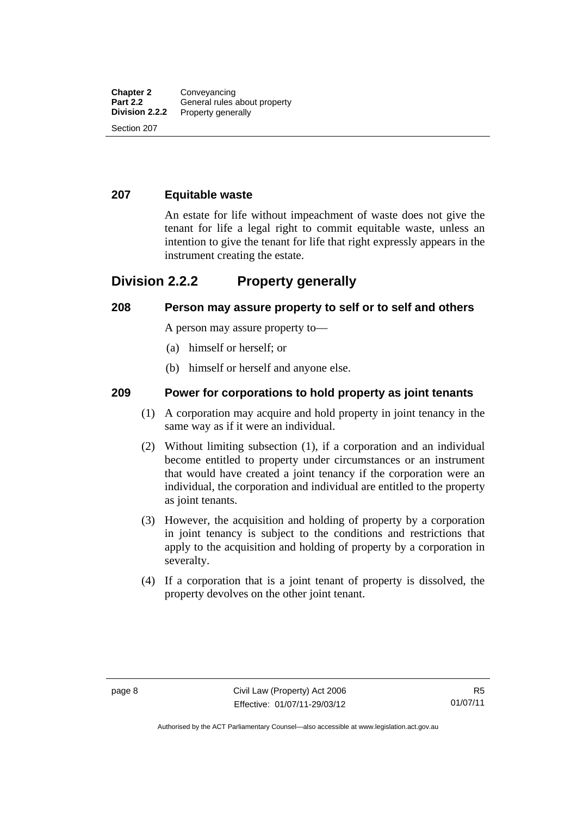#### <span id="page-17-0"></span>**207 Equitable waste**

An estate for life without impeachment of waste does not give the tenant for life a legal right to commit equitable waste, unless an intention to give the tenant for life that right expressly appears in the instrument creating the estate.

## <span id="page-17-1"></span>**Division 2.2.2 Property generally**

#### <span id="page-17-2"></span>**208 Person may assure property to self or to self and others**

A person may assure property to—

- (a) himself or herself; or
- (b) himself or herself and anyone else.

## <span id="page-17-3"></span>**209 Power for corporations to hold property as joint tenants**

- (1) A corporation may acquire and hold property in joint tenancy in the same way as if it were an individual.
- (2) Without limiting subsection (1), if a corporation and an individual become entitled to property under circumstances or an instrument that would have created a joint tenancy if the corporation were an individual, the corporation and individual are entitled to the property as joint tenants.
- (3) However, the acquisition and holding of property by a corporation in joint tenancy is subject to the conditions and restrictions that apply to the acquisition and holding of property by a corporation in severalty.
- (4) If a corporation that is a joint tenant of property is dissolved, the property devolves on the other joint tenant.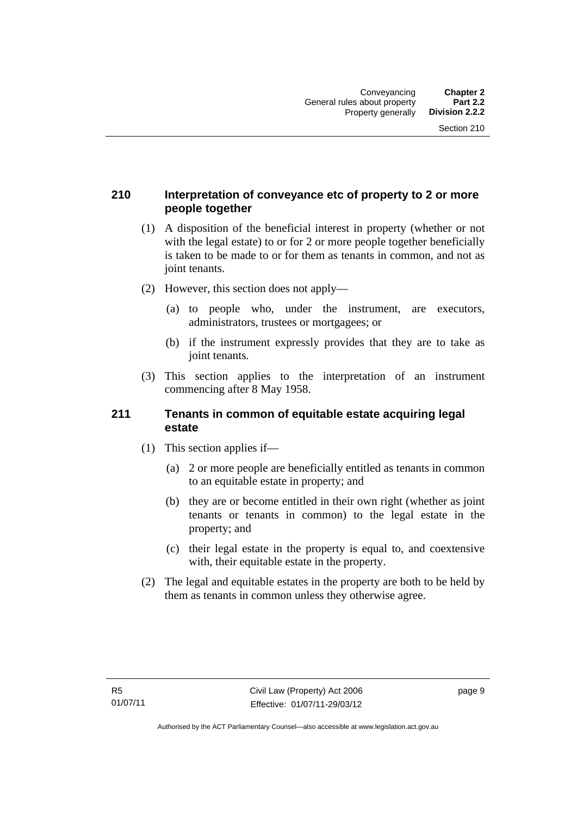## <span id="page-18-0"></span>**210 Interpretation of conveyance etc of property to 2 or more people together**

- (1) A disposition of the beneficial interest in property (whether or not with the legal estate) to or for 2 or more people together beneficially is taken to be made to or for them as tenants in common, and not as joint tenants.
- (2) However, this section does not apply—
	- (a) to people who, under the instrument, are executors, administrators, trustees or mortgagees; or
	- (b) if the instrument expressly provides that they are to take as joint tenants.
- (3) This section applies to the interpretation of an instrument commencing after 8 May 1958.

#### <span id="page-18-1"></span>**211 Tenants in common of equitable estate acquiring legal estate**

- (1) This section applies if—
	- (a) 2 or more people are beneficially entitled as tenants in common to an equitable estate in property; and
	- (b) they are or become entitled in their own right (whether as joint tenants or tenants in common) to the legal estate in the property; and
	- (c) their legal estate in the property is equal to, and coextensive with, their equitable estate in the property.
- (2) The legal and equitable estates in the property are both to be held by them as tenants in common unless they otherwise agree.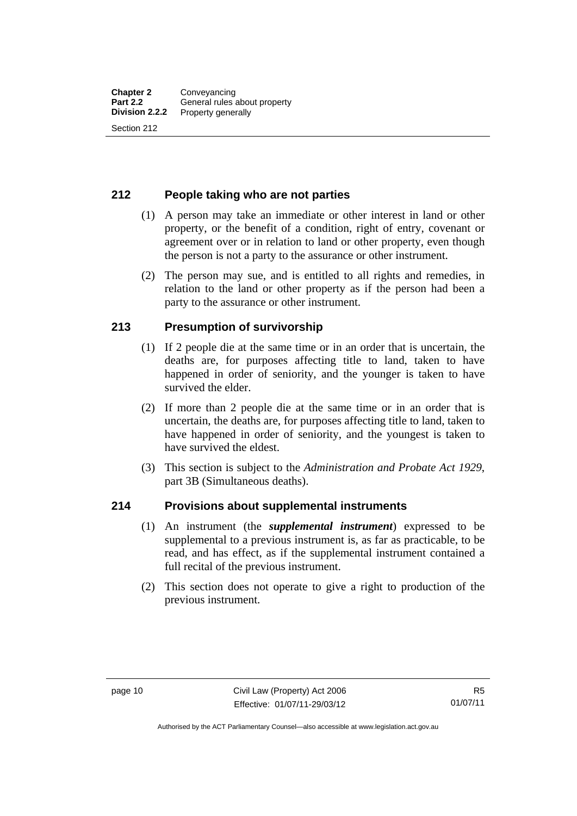### <span id="page-19-0"></span>**212 People taking who are not parties**

- (1) A person may take an immediate or other interest in land or other property, or the benefit of a condition, right of entry, covenant or agreement over or in relation to land or other property, even though the person is not a party to the assurance or other instrument.
- (2) The person may sue, and is entitled to all rights and remedies, in relation to the land or other property as if the person had been a party to the assurance or other instrument.

## <span id="page-19-1"></span>**213 Presumption of survivorship**

- (1) If 2 people die at the same time or in an order that is uncertain, the deaths are, for purposes affecting title to land, taken to have happened in order of seniority, and the younger is taken to have survived the elder.
- (2) If more than 2 people die at the same time or in an order that is uncertain, the deaths are, for purposes affecting title to land, taken to have happened in order of seniority, and the youngest is taken to have survived the eldest.
- (3) This section is subject to the *Administration and Probate Act 1929*, part 3B (Simultaneous deaths).

#### <span id="page-19-2"></span>**214 Provisions about supplemental instruments**

- (1) An instrument (the *supplemental instrument*) expressed to be supplemental to a previous instrument is, as far as practicable, to be read, and has effect, as if the supplemental instrument contained a full recital of the previous instrument.
- (2) This section does not operate to give a right to production of the previous instrument.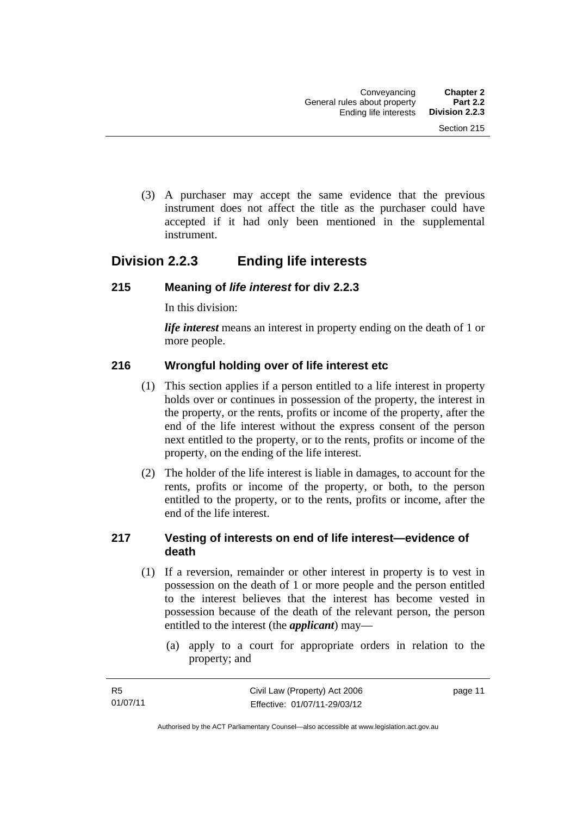(3) A purchaser may accept the same evidence that the previous instrument does not affect the title as the purchaser could have accepted if it had only been mentioned in the supplemental instrument.

## <span id="page-20-0"></span>**Division 2.2.3 Ending life interests**

## <span id="page-20-1"></span>**215 Meaning of** *life interest* **for div 2.2.3**

In this division:

*life interest* means an interest in property ending on the death of 1 or more people.

## <span id="page-20-2"></span>**216 Wrongful holding over of life interest etc**

- (1) This section applies if a person entitled to a life interest in property holds over or continues in possession of the property, the interest in the property, or the rents, profits or income of the property, after the end of the life interest without the express consent of the person next entitled to the property, or to the rents, profits or income of the property, on the ending of the life interest.
- (2) The holder of the life interest is liable in damages, to account for the rents, profits or income of the property, or both, to the person entitled to the property, or to the rents, profits or income, after the end of the life interest.

## <span id="page-20-3"></span>**217 Vesting of interests on end of life interest—evidence of death**

- (1) If a reversion, remainder or other interest in property is to vest in possession on the death of 1 or more people and the person entitled to the interest believes that the interest has become vested in possession because of the death of the relevant person, the person entitled to the interest (the *applicant*) may—
	- (a) apply to a court for appropriate orders in relation to the property; and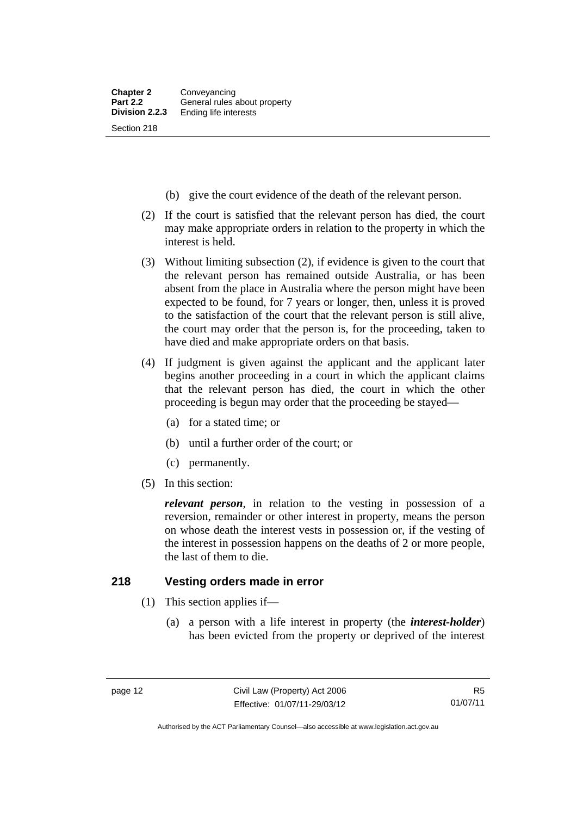- (b) give the court evidence of the death of the relevant person.
- (2) If the court is satisfied that the relevant person has died, the court may make appropriate orders in relation to the property in which the interest is held.
- (3) Without limiting subsection (2), if evidence is given to the court that the relevant person has remained outside Australia, or has been absent from the place in Australia where the person might have been expected to be found, for 7 years or longer, then, unless it is proved to the satisfaction of the court that the relevant person is still alive, the court may order that the person is, for the proceeding, taken to have died and make appropriate orders on that basis.
- (4) If judgment is given against the applicant and the applicant later begins another proceeding in a court in which the applicant claims that the relevant person has died, the court in which the other proceeding is begun may order that the proceeding be stayed—
	- (a) for a stated time; or
	- (b) until a further order of the court; or
	- (c) permanently.
- (5) In this section:

*relevant person*, in relation to the vesting in possession of a reversion, remainder or other interest in property, means the person on whose death the interest vests in possession or, if the vesting of the interest in possession happens on the deaths of 2 or more people, the last of them to die.

#### <span id="page-21-0"></span>**218 Vesting orders made in error**

- (1) This section applies if—
	- (a) a person with a life interest in property (the *interest-holder*) has been evicted from the property or deprived of the interest

Authorised by the ACT Parliamentary Counsel—also accessible at www.legislation.act.gov.au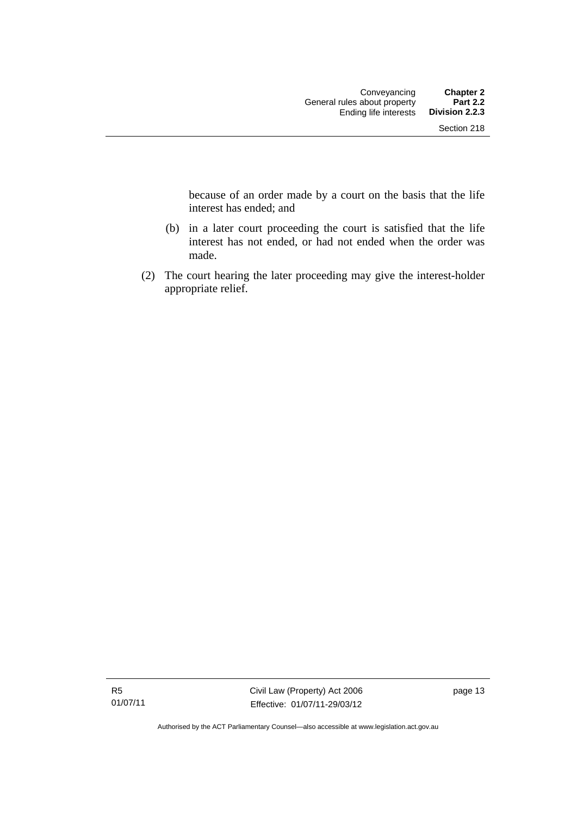because of an order made by a court on the basis that the life interest has ended; and

- (b) in a later court proceeding the court is satisfied that the life interest has not ended, or had not ended when the order was made.
- (2) The court hearing the later proceeding may give the interest-holder appropriate relief.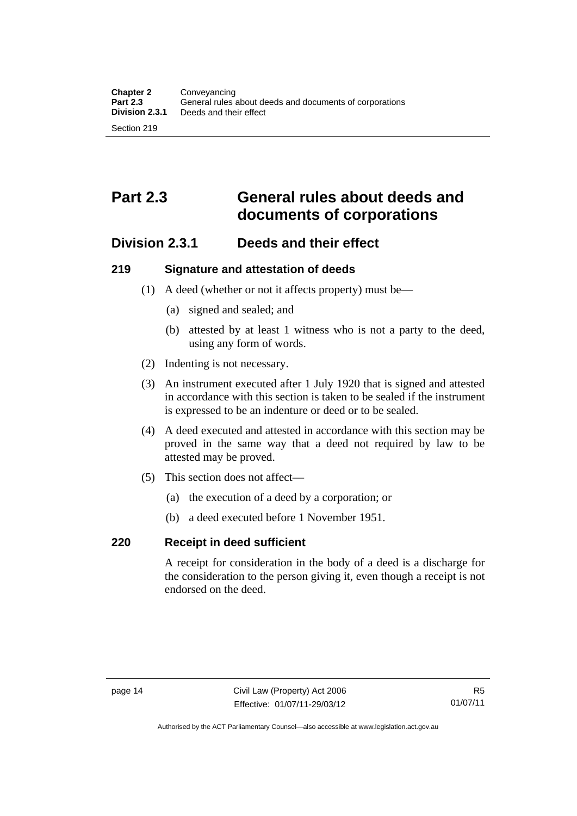## <span id="page-23-0"></span>**Part 2.3 General rules about deeds and documents of corporations**

## <span id="page-23-1"></span>**Division 2.3.1 Deeds and their effect**

## <span id="page-23-2"></span>**219 Signature and attestation of deeds**

- (1) A deed (whether or not it affects property) must be—
	- (a) signed and sealed; and
	- (b) attested by at least 1 witness who is not a party to the deed, using any form of words.
- (2) Indenting is not necessary.
- (3) An instrument executed after 1 July 1920 that is signed and attested in accordance with this section is taken to be sealed if the instrument is expressed to be an indenture or deed or to be sealed.
- (4) A deed executed and attested in accordance with this section may be proved in the same way that a deed not required by law to be attested may be proved.
- (5) This section does not affect—
	- (a) the execution of a deed by a corporation; or
	- (b) a deed executed before 1 November 1951.

## <span id="page-23-3"></span>**220 Receipt in deed sufficient**

A receipt for consideration in the body of a deed is a discharge for the consideration to the person giving it, even though a receipt is not endorsed on the deed.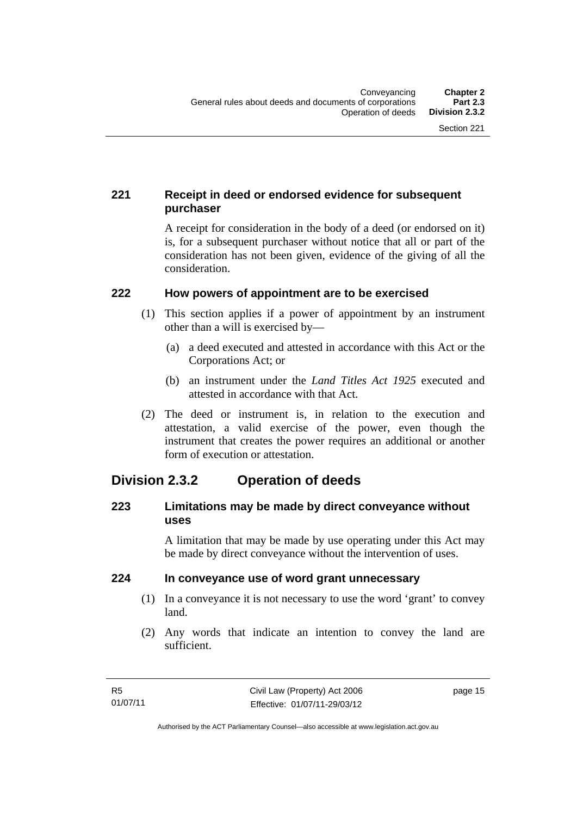## <span id="page-24-0"></span>**221 Receipt in deed or endorsed evidence for subsequent purchaser**

A receipt for consideration in the body of a deed (or endorsed on it) is, for a subsequent purchaser without notice that all or part of the consideration has not been given, evidence of the giving of all the consideration.

## <span id="page-24-1"></span>**222 How powers of appointment are to be exercised**

- (1) This section applies if a power of appointment by an instrument other than a will is exercised by—
	- (a) a deed executed and attested in accordance with this Act or the Corporations Act; or
	- (b) an instrument under the *Land Titles Act 1925* executed and attested in accordance with that Act.
- (2) The deed or instrument is, in relation to the execution and attestation, a valid exercise of the power, even though the instrument that creates the power requires an additional or another form of execution or attestation.

## <span id="page-24-2"></span>**Division 2.3.2 Operation of deeds**

## <span id="page-24-3"></span>**223 Limitations may be made by direct conveyance without uses**

A limitation that may be made by use operating under this Act may be made by direct conveyance without the intervention of uses.

## <span id="page-24-4"></span>**224 In conveyance use of word grant unnecessary**

- (1) In a conveyance it is not necessary to use the word 'grant' to convey land.
- (2) Any words that indicate an intention to convey the land are sufficient.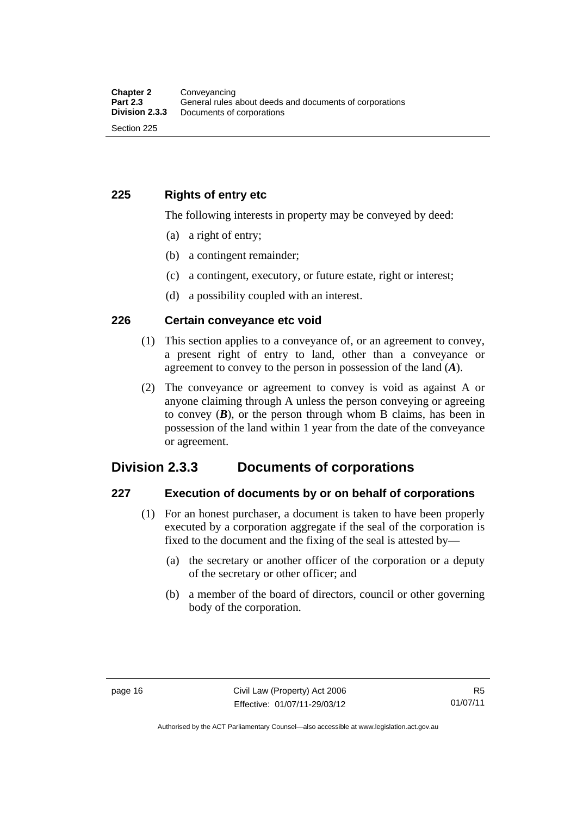## <span id="page-25-0"></span>**225 Rights of entry etc**

The following interests in property may be conveyed by deed:

- (a) a right of entry;
- (b) a contingent remainder;
- (c) a contingent, executory, or future estate, right or interest;
- (d) a possibility coupled with an interest.

## <span id="page-25-1"></span>**226 Certain conveyance etc void**

- (1) This section applies to a conveyance of, or an agreement to convey, a present right of entry to land, other than a conveyance or agreement to convey to the person in possession of the land (*A*).
- (2) The conveyance or agreement to convey is void as against A or anyone claiming through A unless the person conveying or agreeing to convey  $(B)$ , or the person through whom B claims, has been in possession of the land within 1 year from the date of the conveyance or agreement.

## <span id="page-25-2"></span>**Division 2.3.3 Documents of corporations**

#### <span id="page-25-3"></span>**227 Execution of documents by or on behalf of corporations**

- (1) For an honest purchaser, a document is taken to have been properly executed by a corporation aggregate if the seal of the corporation is fixed to the document and the fixing of the seal is attested by—
	- (a) the secretary or another officer of the corporation or a deputy of the secretary or other officer; and
	- (b) a member of the board of directors, council or other governing body of the corporation.

Authorised by the ACT Parliamentary Counsel—also accessible at www.legislation.act.gov.au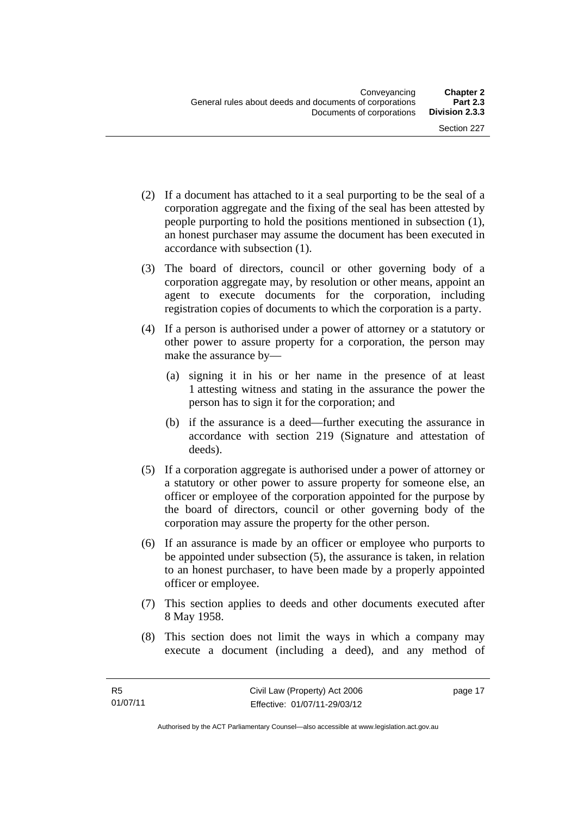- (2) If a document has attached to it a seal purporting to be the seal of a corporation aggregate and the fixing of the seal has been attested by people purporting to hold the positions mentioned in subsection (1), an honest purchaser may assume the document has been executed in accordance with subsection (1).
- (3) The board of directors, council or other governing body of a corporation aggregate may, by resolution or other means, appoint an agent to execute documents for the corporation, including registration copies of documents to which the corporation is a party.
- (4) If a person is authorised under a power of attorney or a statutory or other power to assure property for a corporation, the person may make the assurance by—
	- (a) signing it in his or her name in the presence of at least 1 attesting witness and stating in the assurance the power the person has to sign it for the corporation; and
	- (b) if the assurance is a deed—further executing the assurance in accordance with section 219 (Signature and attestation of deeds).
- (5) If a corporation aggregate is authorised under a power of attorney or a statutory or other power to assure property for someone else, an officer or employee of the corporation appointed for the purpose by the board of directors, council or other governing body of the corporation may assure the property for the other person.
- (6) If an assurance is made by an officer or employee who purports to be appointed under subsection (5), the assurance is taken, in relation to an honest purchaser, to have been made by a properly appointed officer or employee.
- (7) This section applies to deeds and other documents executed after 8 May 1958.
- (8) This section does not limit the ways in which a company may execute a document (including a deed), and any method of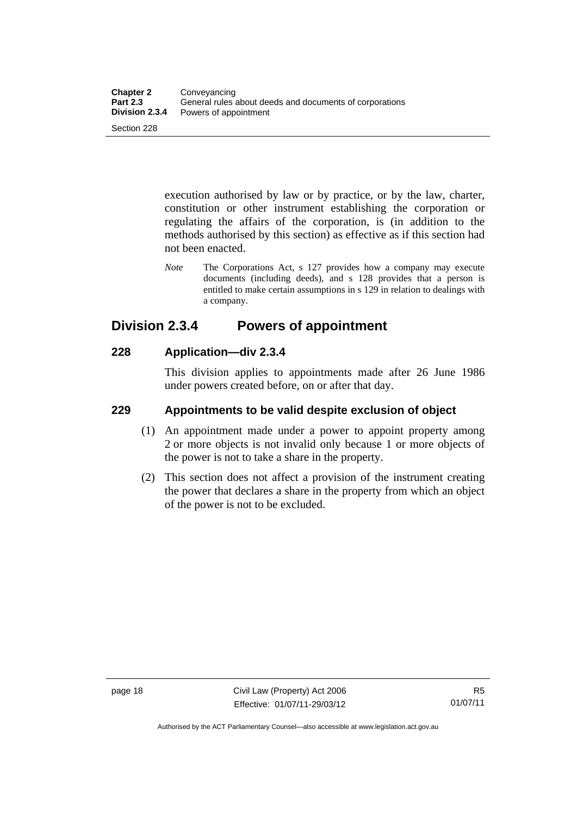execution authorised by law or by practice, or by the law, charter, constitution or other instrument establishing the corporation or regulating the affairs of the corporation, is (in addition to the methods authorised by this section) as effective as if this section had not been enacted.

*Note* The Corporations Act, s 127 provides how a company may execute documents (including deeds), and s 128 provides that a person is entitled to make certain assumptions in s 129 in relation to dealings with a company.

## <span id="page-27-0"></span>**Division 2.3.4 Powers of appointment**

## <span id="page-27-1"></span>**228 Application—div 2.3.4**

This division applies to appointments made after 26 June 1986 under powers created before, on or after that day.

## <span id="page-27-2"></span>**229 Appointments to be valid despite exclusion of object**

- (1) An appointment made under a power to appoint property among 2 or more objects is not invalid only because 1 or more objects of the power is not to take a share in the property.
- (2) This section does not affect a provision of the instrument creating the power that declares a share in the property from which an object of the power is not to be excluded.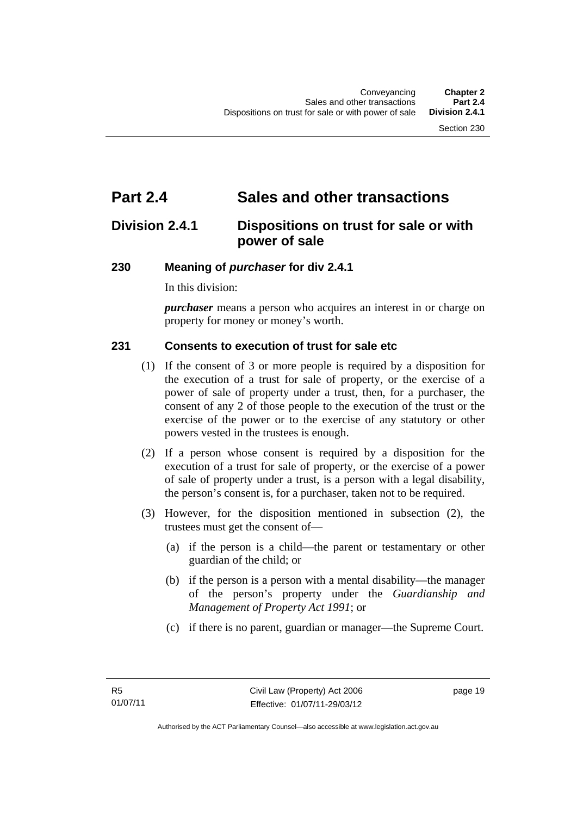## <span id="page-28-0"></span>**Part 2.4 Sales and other transactions**

## <span id="page-28-1"></span>**Division 2.4.1 Dispositions on trust for sale or with power of sale**

## <span id="page-28-2"></span>**230 Meaning of** *purchaser* **for div 2.4.1**

In this division:

*purchaser* means a person who acquires an interest in or charge on property for money or money's worth.

## <span id="page-28-3"></span>**231 Consents to execution of trust for sale etc**

- (1) If the consent of 3 or more people is required by a disposition for the execution of a trust for sale of property, or the exercise of a power of sale of property under a trust, then, for a purchaser, the consent of any 2 of those people to the execution of the trust or the exercise of the power or to the exercise of any statutory or other powers vested in the trustees is enough.
- (2) If a person whose consent is required by a disposition for the execution of a trust for sale of property, or the exercise of a power of sale of property under a trust, is a person with a legal disability, the person's consent is, for a purchaser, taken not to be required.
- (3) However, for the disposition mentioned in subsection (2), the trustees must get the consent of—
	- (a) if the person is a child—the parent or testamentary or other guardian of the child; or
	- (b) if the person is a person with a mental disability—the manager of the person's property under the *Guardianship and Management of Property Act 1991*; or
	- (c) if there is no parent, guardian or manager—the Supreme Court.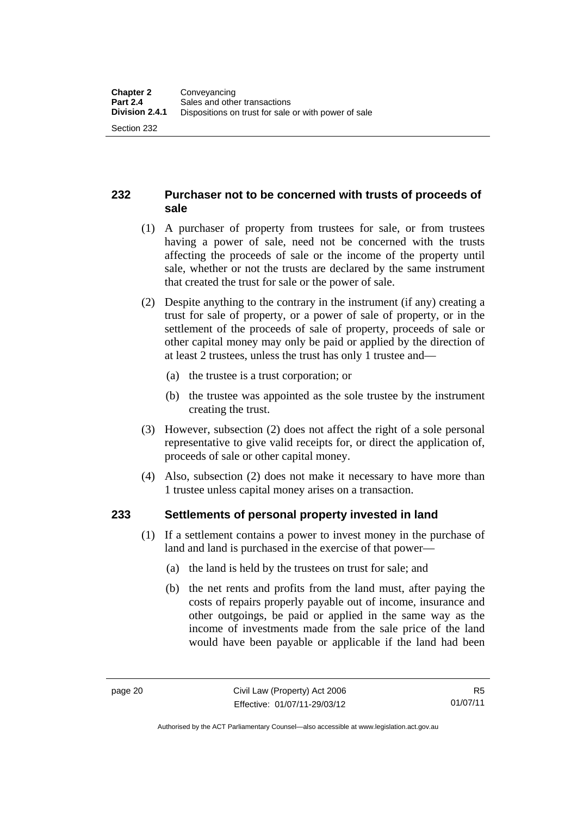## <span id="page-29-0"></span>**232 Purchaser not to be concerned with trusts of proceeds of sale**

- (1) A purchaser of property from trustees for sale, or from trustees having a power of sale, need not be concerned with the trusts affecting the proceeds of sale or the income of the property until sale, whether or not the trusts are declared by the same instrument that created the trust for sale or the power of sale.
- (2) Despite anything to the contrary in the instrument (if any) creating a trust for sale of property, or a power of sale of property, or in the settlement of the proceeds of sale of property, proceeds of sale or other capital money may only be paid or applied by the direction of at least 2 trustees, unless the trust has only 1 trustee and—
	- (a) the trustee is a trust corporation; or
	- (b) the trustee was appointed as the sole trustee by the instrument creating the trust.
- (3) However, subsection (2) does not affect the right of a sole personal representative to give valid receipts for, or direct the application of, proceeds of sale or other capital money.
- (4) Also, subsection (2) does not make it necessary to have more than 1 trustee unless capital money arises on a transaction.

## <span id="page-29-1"></span>**233 Settlements of personal property invested in land**

- (1) If a settlement contains a power to invest money in the purchase of land and land is purchased in the exercise of that power—
	- (a) the land is held by the trustees on trust for sale; and
	- (b) the net rents and profits from the land must, after paying the costs of repairs properly payable out of income, insurance and other outgoings, be paid or applied in the same way as the income of investments made from the sale price of the land would have been payable or applicable if the land had been

Authorised by the ACT Parliamentary Counsel—also accessible at www.legislation.act.gov.au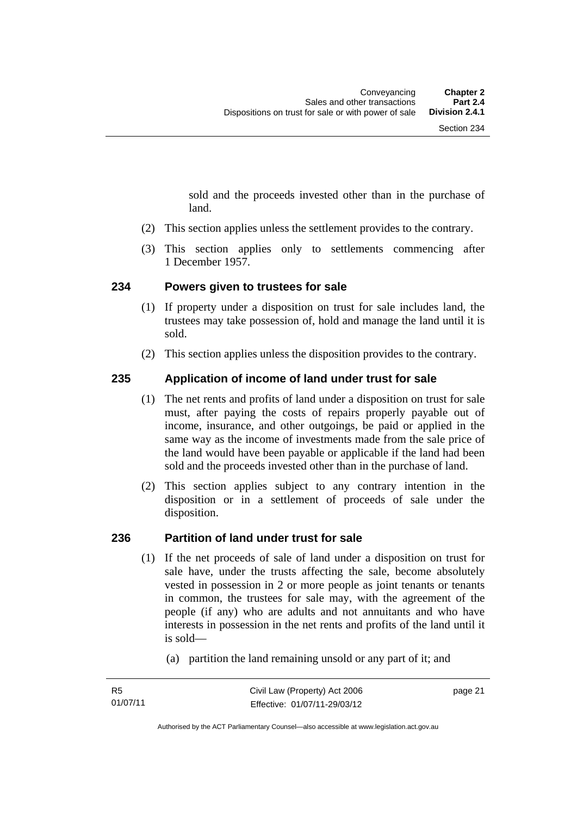sold and the proceeds invested other than in the purchase of land.

- (2) This section applies unless the settlement provides to the contrary.
- (3) This section applies only to settlements commencing after 1 December 1957.

## <span id="page-30-0"></span>**234 Powers given to trustees for sale**

- (1) If property under a disposition on trust for sale includes land, the trustees may take possession of, hold and manage the land until it is sold.
- (2) This section applies unless the disposition provides to the contrary.

## <span id="page-30-1"></span>**235 Application of income of land under trust for sale**

- (1) The net rents and profits of land under a disposition on trust for sale must, after paying the costs of repairs properly payable out of income, insurance, and other outgoings, be paid or applied in the same way as the income of investments made from the sale price of the land would have been payable or applicable if the land had been sold and the proceeds invested other than in the purchase of land.
- (2) This section applies subject to any contrary intention in the disposition or in a settlement of proceeds of sale under the disposition.

## <span id="page-30-2"></span>**236 Partition of land under trust for sale**

- (1) If the net proceeds of sale of land under a disposition on trust for sale have, under the trusts affecting the sale, become absolutely vested in possession in 2 or more people as joint tenants or tenants in common, the trustees for sale may, with the agreement of the people (if any) who are adults and not annuitants and who have interests in possession in the net rents and profits of the land until it is sold—
	- (a) partition the land remaining unsold or any part of it; and

page 21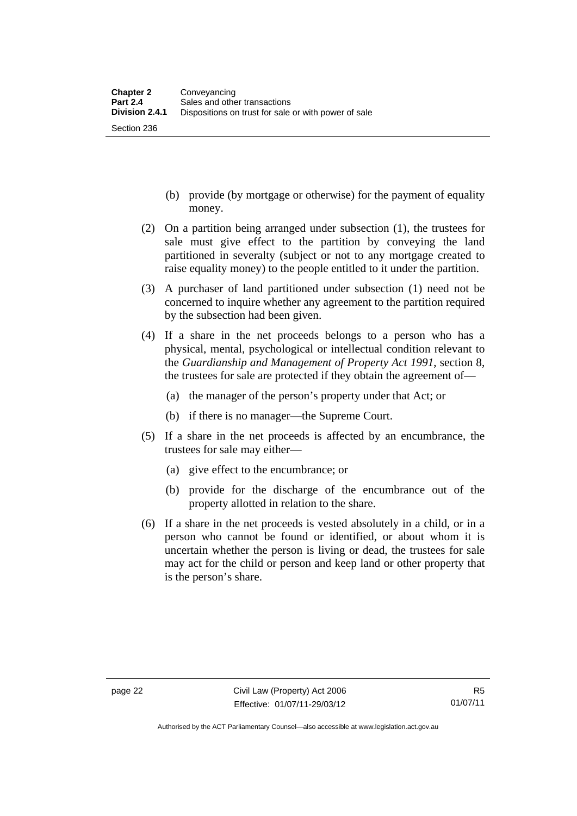Section 236

- (b) provide (by mortgage or otherwise) for the payment of equality money.
- (2) On a partition being arranged under subsection (1), the trustees for sale must give effect to the partition by conveying the land partitioned in severalty (subject or not to any mortgage created to raise equality money) to the people entitled to it under the partition.
- (3) A purchaser of land partitioned under subsection (1) need not be concerned to inquire whether any agreement to the partition required by the subsection had been given.
- (4) If a share in the net proceeds belongs to a person who has a physical, mental, psychological or intellectual condition relevant to the *Guardianship and Management of Property Act 1991*, section 8, the trustees for sale are protected if they obtain the agreement of—
	- (a) the manager of the person's property under that Act; or
	- (b) if there is no manager—the Supreme Court.
- (5) If a share in the net proceeds is affected by an encumbrance, the trustees for sale may either—
	- (a) give effect to the encumbrance; or
	- (b) provide for the discharge of the encumbrance out of the property allotted in relation to the share.
- (6) If a share in the net proceeds is vested absolutely in a child, or in a person who cannot be found or identified, or about whom it is uncertain whether the person is living or dead, the trustees for sale may act for the child or person and keep land or other property that is the person's share.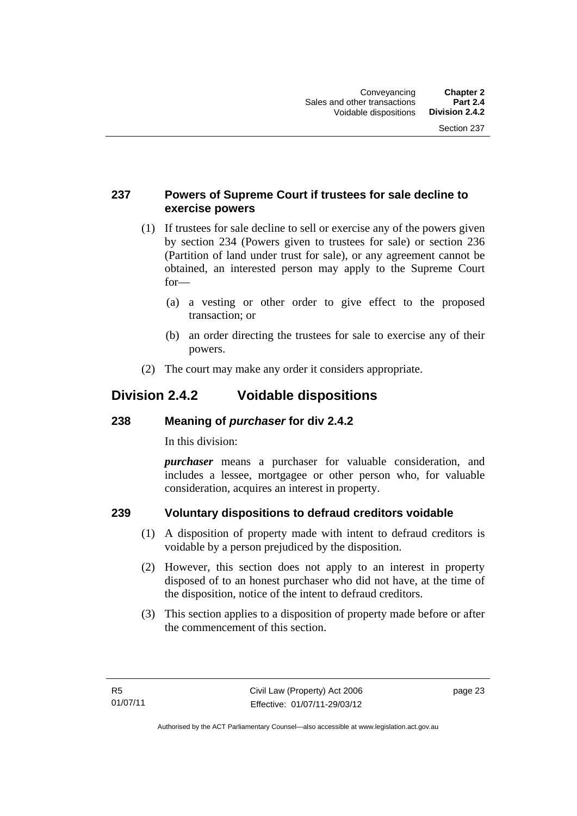## <span id="page-32-0"></span>**237 Powers of Supreme Court if trustees for sale decline to exercise powers**

- (1) If trustees for sale decline to sell or exercise any of the powers given by section 234 (Powers given to trustees for sale) or section 236 (Partition of land under trust for sale), or any agreement cannot be obtained, an interested person may apply to the Supreme Court for—
	- (a) a vesting or other order to give effect to the proposed transaction; or
	- (b) an order directing the trustees for sale to exercise any of their powers.
- (2) The court may make any order it considers appropriate.

## <span id="page-32-1"></span>**Division 2.4.2 Voidable dispositions**

## <span id="page-32-2"></span>**238 Meaning of** *purchaser* **for div 2.4.2**

In this division:

*purchaser* means a purchaser for valuable consideration, and includes a lessee, mortgagee or other person who, for valuable consideration, acquires an interest in property.

## <span id="page-32-3"></span>**239 Voluntary dispositions to defraud creditors voidable**

- (1) A disposition of property made with intent to defraud creditors is voidable by a person prejudiced by the disposition.
- (2) However, this section does not apply to an interest in property disposed of to an honest purchaser who did not have, at the time of the disposition, notice of the intent to defraud creditors.
- (3) This section applies to a disposition of property made before or after the commencement of this section.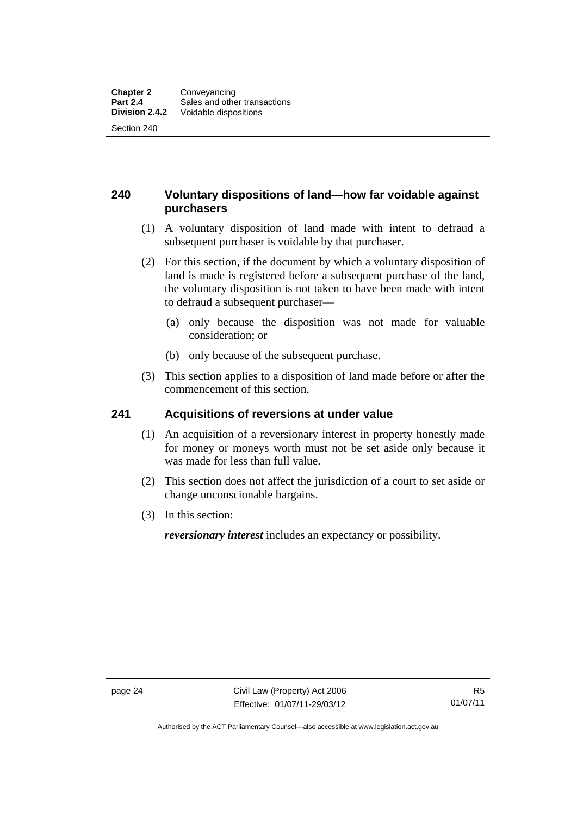## <span id="page-33-0"></span>**240 Voluntary dispositions of land—how far voidable against purchasers**

- (1) A voluntary disposition of land made with intent to defraud a subsequent purchaser is voidable by that purchaser.
- (2) For this section, if the document by which a voluntary disposition of land is made is registered before a subsequent purchase of the land, the voluntary disposition is not taken to have been made with intent to defraud a subsequent purchaser—
	- (a) only because the disposition was not made for valuable consideration; or
	- (b) only because of the subsequent purchase.
- (3) This section applies to a disposition of land made before or after the commencement of this section.

## <span id="page-33-1"></span>**241 Acquisitions of reversions at under value**

- (1) An acquisition of a reversionary interest in property honestly made for money or moneys worth must not be set aside only because it was made for less than full value.
- (2) This section does not affect the jurisdiction of a court to set aside or change unconscionable bargains.
- (3) In this section:

*reversionary interest* includes an expectancy or possibility.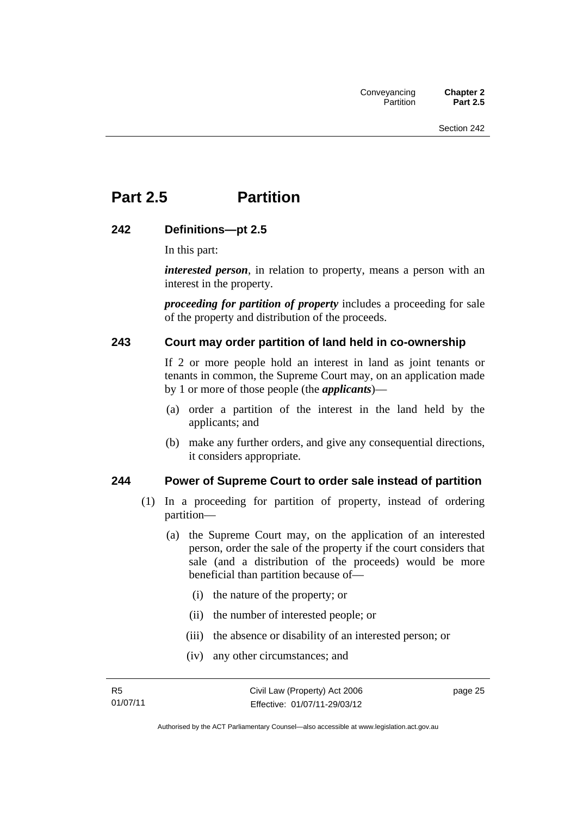## <span id="page-34-0"></span>**Part 2.5 Partition**

#### <span id="page-34-1"></span>**242 Definitions—pt 2.5**

In this part:

*interested person*, in relation to property, means a person with an interest in the property.

*proceeding for partition of property* includes a proceeding for sale of the property and distribution of the proceeds.

#### <span id="page-34-2"></span>**243 Court may order partition of land held in co-ownership**

If 2 or more people hold an interest in land as joint tenants or tenants in common, the Supreme Court may, on an application made by 1 or more of those people (the *applicants*)—

- (a) order a partition of the interest in the land held by the applicants; and
- (b) make any further orders, and give any consequential directions, it considers appropriate.

#### <span id="page-34-3"></span>**244 Power of Supreme Court to order sale instead of partition**

- (1) In a proceeding for partition of property, instead of ordering partition—
	- (a) the Supreme Court may, on the application of an interested person, order the sale of the property if the court considers that sale (and a distribution of the proceeds) would be more beneficial than partition because of—
		- (i) the nature of the property; or
		- (ii) the number of interested people; or
		- (iii) the absence or disability of an interested person; or
		- (iv) any other circumstances; and

page 25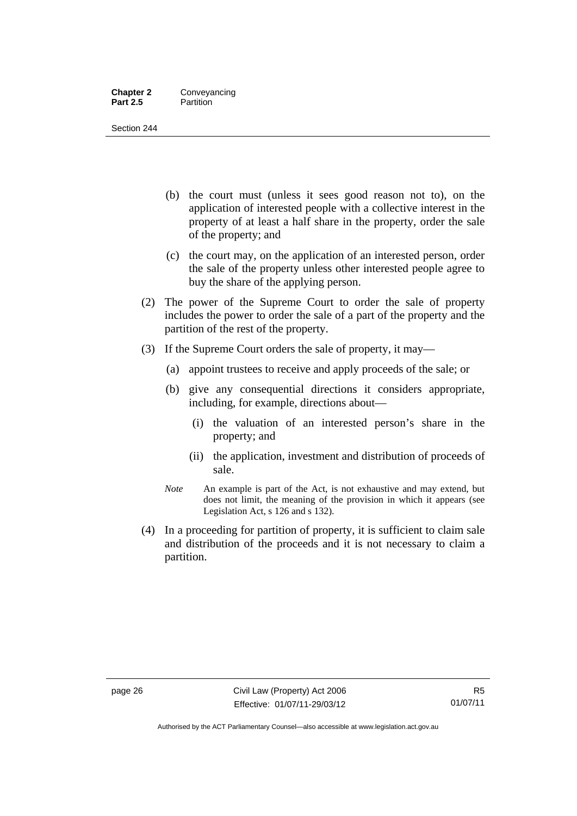#### **Chapter 2** Conveyancing **Part 2.5** Partition

Section 244

- (b) the court must (unless it sees good reason not to), on the application of interested people with a collective interest in the property of at least a half share in the property, order the sale of the property; and
- (c) the court may, on the application of an interested person, order the sale of the property unless other interested people agree to buy the share of the applying person.
- (2) The power of the Supreme Court to order the sale of property includes the power to order the sale of a part of the property and the partition of the rest of the property.
- (3) If the Supreme Court orders the sale of property, it may—
	- (a) appoint trustees to receive and apply proceeds of the sale; or
	- (b) give any consequential directions it considers appropriate, including, for example, directions about—
		- (i) the valuation of an interested person's share in the property; and
		- (ii) the application, investment and distribution of proceeds of sale.
	- *Note* An example is part of the Act, is not exhaustive and may extend, but does not limit, the meaning of the provision in which it appears (see Legislation Act, s 126 and s 132).
- (4) In a proceeding for partition of property, it is sufficient to claim sale and distribution of the proceeds and it is not necessary to claim a partition.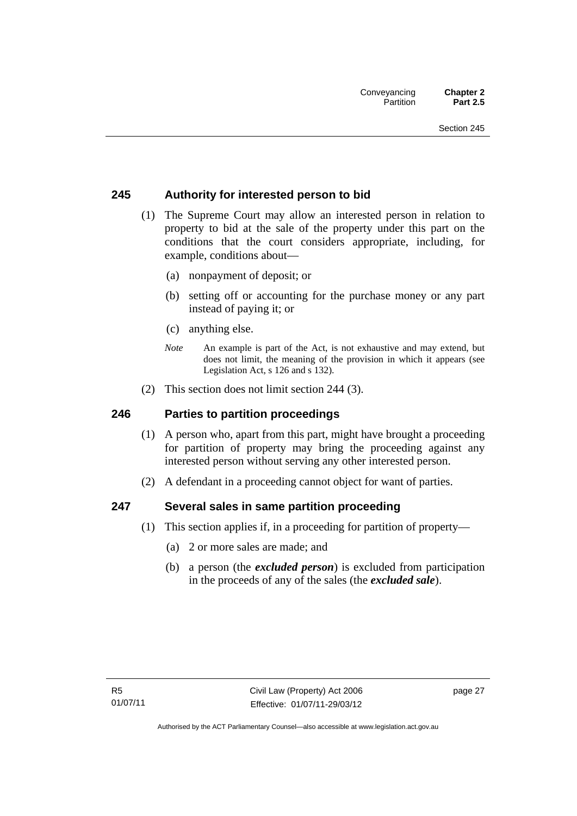#### **245 Authority for interested person to bid**

- (1) The Supreme Court may allow an interested person in relation to property to bid at the sale of the property under this part on the conditions that the court considers appropriate, including, for example, conditions about—
	- (a) nonpayment of deposit; or
	- (b) setting off or accounting for the purchase money or any part instead of paying it; or
	- (c) anything else.
	- *Note* An example is part of the Act, is not exhaustive and may extend, but does not limit, the meaning of the provision in which it appears (see Legislation Act, s 126 and s 132).
- (2) This section does not limit section 244 (3).

#### **246 Parties to partition proceedings**

- (1) A person who, apart from this part, might have brought a proceeding for partition of property may bring the proceeding against any interested person without serving any other interested person.
- (2) A defendant in a proceeding cannot object for want of parties.

#### **247 Several sales in same partition proceeding**

- (1) This section applies if, in a proceeding for partition of property—
	- (a) 2 or more sales are made; and
	- (b) a person (the *excluded person*) is excluded from participation in the proceeds of any of the sales (the *excluded sale*).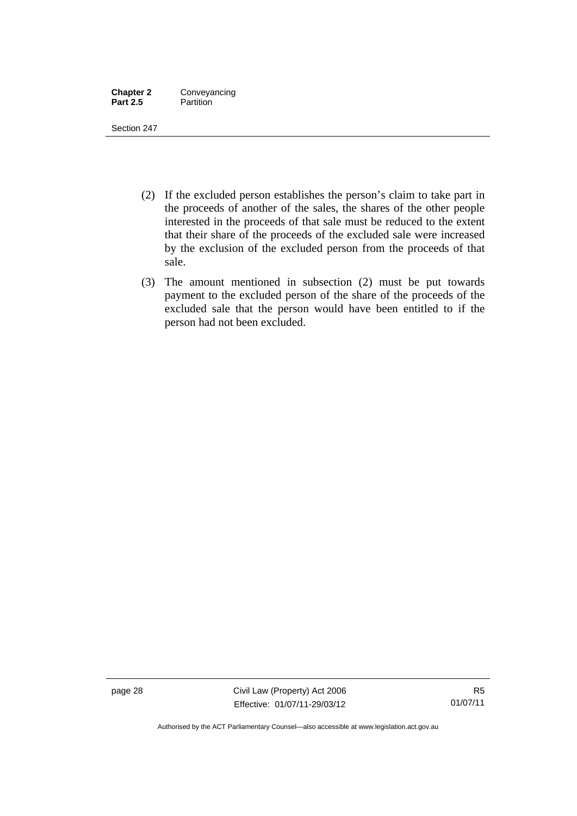| <b>Chapter 2</b> | Conveyancing |
|------------------|--------------|
| <b>Part 2.5</b>  | Partition    |

- (2) If the excluded person establishes the person's claim to take part in the proceeds of another of the sales, the shares of the other people interested in the proceeds of that sale must be reduced to the extent that their share of the proceeds of the excluded sale were increased by the exclusion of the excluded person from the proceeds of that sale.
- (3) The amount mentioned in subsection (2) must be put towards payment to the excluded person of the share of the proceeds of the excluded sale that the person would have been entitled to if the person had not been excluded.

page 28 Civil Law (Property) Act 2006 Effective: 01/07/11-29/03/12

Authorised by the ACT Parliamentary Counsel—also accessible at www.legislation.act.gov.au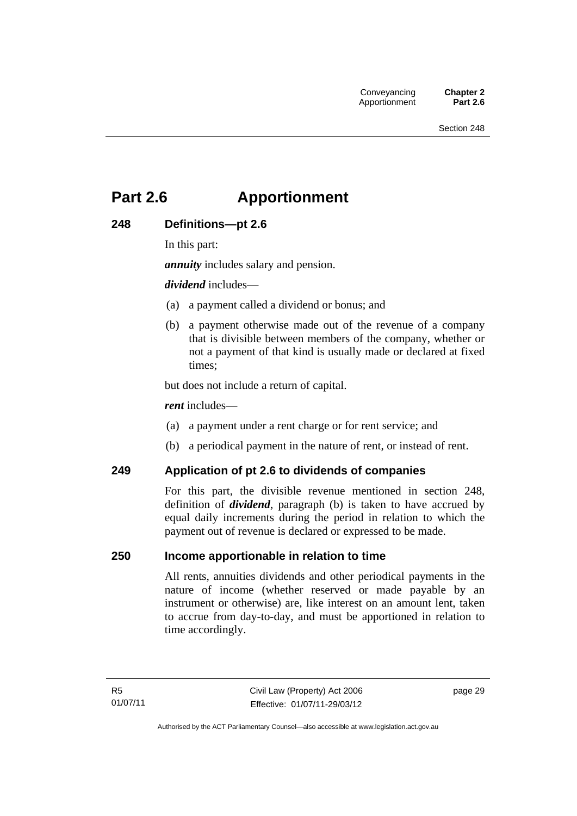# **Part 2.6 Apportionment**

# **248 Definitions—pt 2.6**

In this part:

*annuity* includes salary and pension.

*dividend* includes—

- (a) a payment called a dividend or bonus; and
- (b) a payment otherwise made out of the revenue of a company that is divisible between members of the company, whether or not a payment of that kind is usually made or declared at fixed times;

but does not include a return of capital.

*rent* includes—

- (a) a payment under a rent charge or for rent service; and
- (b) a periodical payment in the nature of rent, or instead of rent.

#### **249 Application of pt 2.6 to dividends of companies**

For this part, the divisible revenue mentioned in section 248, definition of *dividend*, paragraph (b) is taken to have accrued by equal daily increments during the period in relation to which the payment out of revenue is declared or expressed to be made.

#### **250 Income apportionable in relation to time**

All rents, annuities dividends and other periodical payments in the nature of income (whether reserved or made payable by an instrument or otherwise) are, like interest on an amount lent, taken to accrue from day-to-day, and must be apportioned in relation to time accordingly.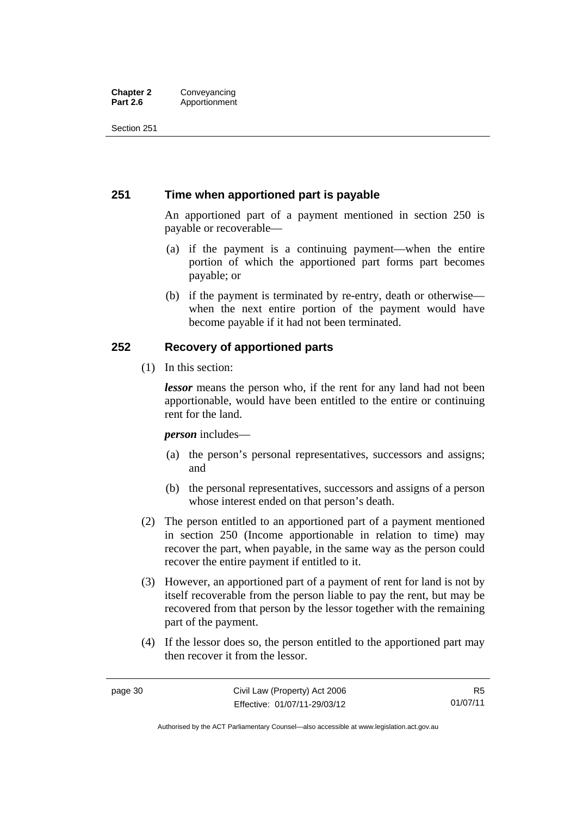#### **Chapter 2 Conveyancing**<br>**Part 2.6 Apportionment Part 2.6** Apportionment

Section 251

# **251 Time when apportioned part is payable**

An apportioned part of a payment mentioned in section 250 is payable or recoverable—

- (a) if the payment is a continuing payment—when the entire portion of which the apportioned part forms part becomes payable; or
- (b) if the payment is terminated by re-entry, death or otherwise when the next entire portion of the payment would have become payable if it had not been terminated.

# **252 Recovery of apportioned parts**

(1) In this section:

*lessor* means the person who, if the rent for any land had not been apportionable, would have been entitled to the entire or continuing rent for the land.

*person* includes—

- (a) the person's personal representatives, successors and assigns; and
- (b) the personal representatives, successors and assigns of a person whose interest ended on that person's death.
- (2) The person entitled to an apportioned part of a payment mentioned in section 250 (Income apportionable in relation to time) may recover the part, when payable, in the same way as the person could recover the entire payment if entitled to it.
- (3) However, an apportioned part of a payment of rent for land is not by itself recoverable from the person liable to pay the rent, but may be recovered from that person by the lessor together with the remaining part of the payment.
- (4) If the lessor does so, the person entitled to the apportioned part may then recover it from the lessor.

Authorised by the ACT Parliamentary Counsel—also accessible at www.legislation.act.gov.au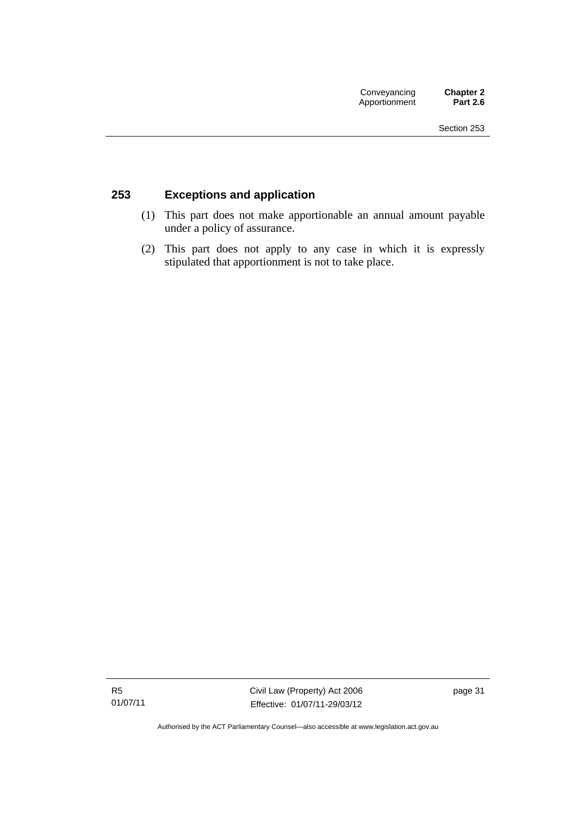# **253 Exceptions and application**

- (1) This part does not make apportionable an annual amount payable under a policy of assurance.
- (2) This part does not apply to any case in which it is expressly stipulated that apportionment is not to take place.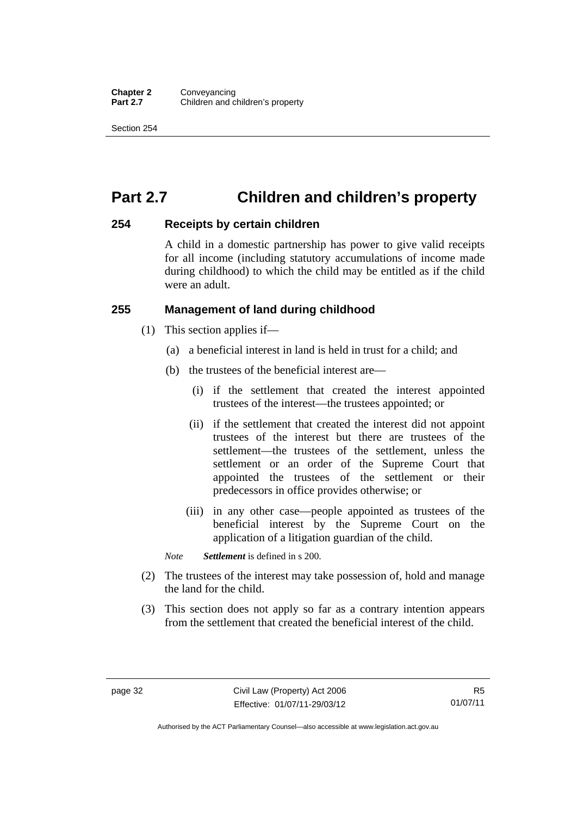# **Part 2.7 Children and children's property**

#### **254 Receipts by certain children**

A child in a domestic partnership has power to give valid receipts for all income (including statutory accumulations of income made during childhood) to which the child may be entitled as if the child were an adult.

## **255 Management of land during childhood**

- (1) This section applies if—
	- (a) a beneficial interest in land is held in trust for a child; and
	- (b) the trustees of the beneficial interest are—
		- (i) if the settlement that created the interest appointed trustees of the interest—the trustees appointed; or
		- (ii) if the settlement that created the interest did not appoint trustees of the interest but there are trustees of the settlement—the trustees of the settlement, unless the settlement or an order of the Supreme Court that appointed the trustees of the settlement or their predecessors in office provides otherwise; or
		- (iii) in any other case—people appointed as trustees of the beneficial interest by the Supreme Court on the application of a litigation guardian of the child.

*Note Settlement* is defined in s 200.

- (2) The trustees of the interest may take possession of, hold and manage the land for the child.
- (3) This section does not apply so far as a contrary intention appears from the settlement that created the beneficial interest of the child.

Authorised by the ACT Parliamentary Counsel—also accessible at www.legislation.act.gov.au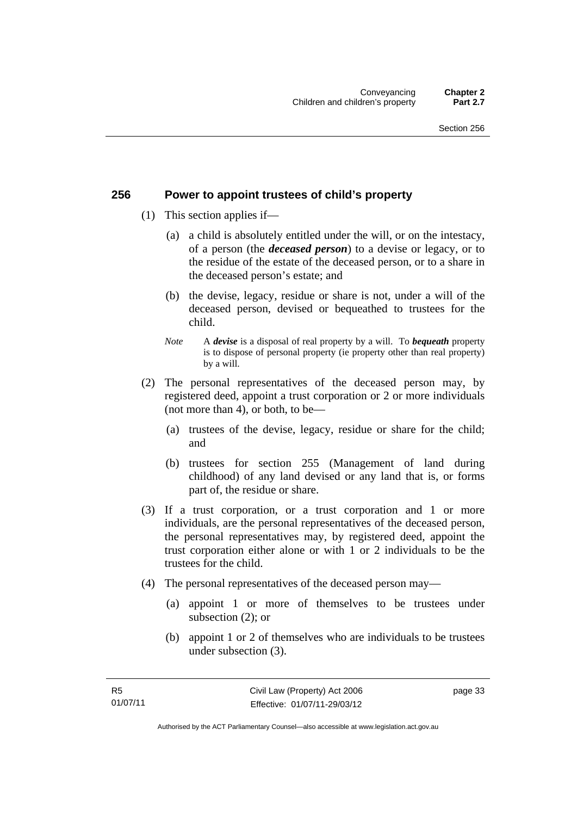#### **256 Power to appoint trustees of child's property**

- (1) This section applies if—
	- (a) a child is absolutely entitled under the will, or on the intestacy, of a person (the *deceased person*) to a devise or legacy, or to the residue of the estate of the deceased person, or to a share in the deceased person's estate; and
	- (b) the devise, legacy, residue or share is not, under a will of the deceased person, devised or bequeathed to trustees for the child.
	- *Note* A *devise* is a disposal of real property by a will. To *bequeath* property is to dispose of personal property (ie property other than real property) by a will.
- (2) The personal representatives of the deceased person may, by registered deed, appoint a trust corporation or 2 or more individuals (not more than 4), or both, to be—
	- (a) trustees of the devise, legacy, residue or share for the child; and
	- (b) trustees for section 255 (Management of land during childhood) of any land devised or any land that is, or forms part of, the residue or share.
- (3) If a trust corporation, or a trust corporation and 1 or more individuals, are the personal representatives of the deceased person, the personal representatives may, by registered deed, appoint the trust corporation either alone or with 1 or 2 individuals to be the trustees for the child.
- (4) The personal representatives of the deceased person may—
	- (a) appoint 1 or more of themselves to be trustees under subsection (2); or
	- (b) appoint 1 or 2 of themselves who are individuals to be trustees under subsection (3).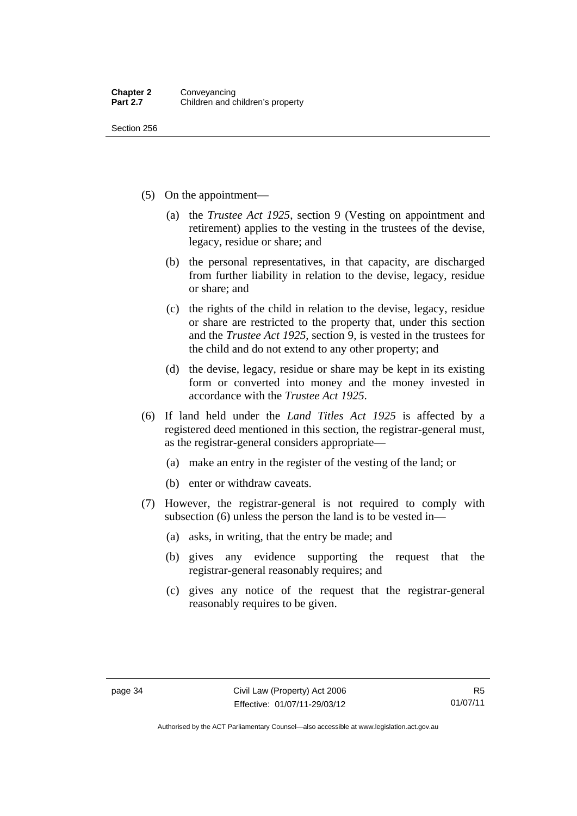- (5) On the appointment—
	- (a) the *Trustee Act 1925*, section 9 (Vesting on appointment and retirement) applies to the vesting in the trustees of the devise, legacy, residue or share; and
	- (b) the personal representatives, in that capacity, are discharged from further liability in relation to the devise, legacy, residue or share; and
	- (c) the rights of the child in relation to the devise, legacy, residue or share are restricted to the property that, under this section and the *Trustee Act 1925*, section 9, is vested in the trustees for the child and do not extend to any other property; and
	- (d) the devise, legacy, residue or share may be kept in its existing form or converted into money and the money invested in accordance with the *Trustee Act 1925*.
- (6) If land held under the *Land Titles Act 1925* is affected by a registered deed mentioned in this section, the registrar-general must, as the registrar-general considers appropriate—
	- (a) make an entry in the register of the vesting of the land; or
	- (b) enter or withdraw caveats.
- (7) However, the registrar-general is not required to comply with subsection (6) unless the person the land is to be vested in—
	- (a) asks, in writing, that the entry be made; and
	- (b) gives any evidence supporting the request that the registrar-general reasonably requires; and
	- (c) gives any notice of the request that the registrar-general reasonably requires to be given.

Authorised by the ACT Parliamentary Counsel—also accessible at www.legislation.act.gov.au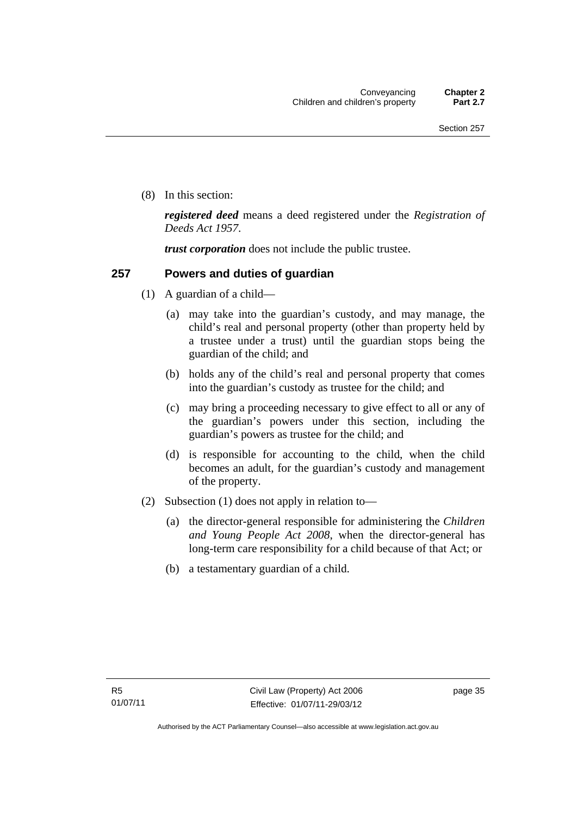(8) In this section:

*registered deed* means a deed registered under the *Registration of Deeds Act 1957*.

*trust corporation* does not include the public trustee.

## **257 Powers and duties of guardian**

- (1) A guardian of a child—
	- (a) may take into the guardian's custody, and may manage, the child's real and personal property (other than property held by a trustee under a trust) until the guardian stops being the guardian of the child; and
	- (b) holds any of the child's real and personal property that comes into the guardian's custody as trustee for the child; and
	- (c) may bring a proceeding necessary to give effect to all or any of the guardian's powers under this section, including the guardian's powers as trustee for the child; and
	- (d) is responsible for accounting to the child, when the child becomes an adult, for the guardian's custody and management of the property.
- (2) Subsection (1) does not apply in relation to—
	- (a) the director-general responsible for administering the *Children and Young People Act 2008*, when the director-general has long-term care responsibility for a child because of that Act; or
	- (b) a testamentary guardian of a child.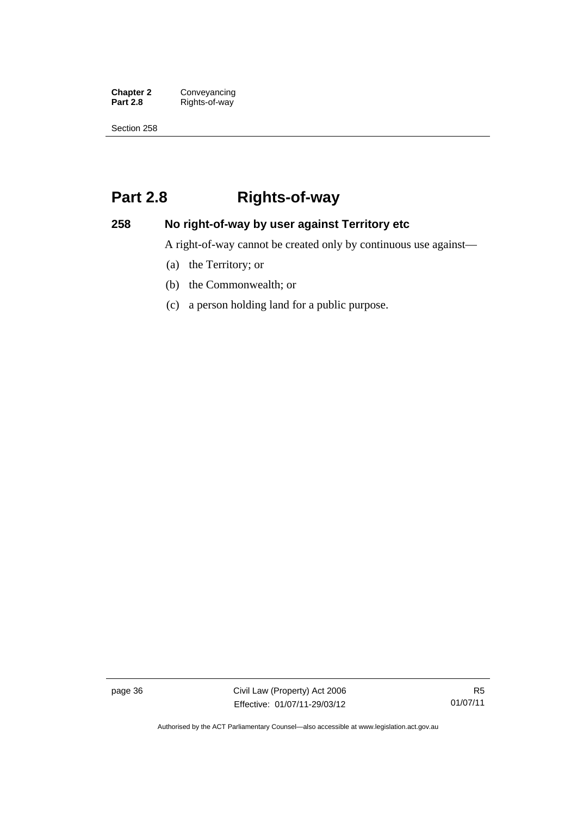**Chapter 2 Conveyancing**<br>**Part 2.8 Rights-of-way Part 2.8** Rights-of-way

Section 258

# **Part 2.8 Rights-of-way**

# **258 No right-of-way by user against Territory etc**

A right-of-way cannot be created only by continuous use against—

- (a) the Territory; or
- (b) the Commonwealth; or
- (c) a person holding land for a public purpose.

page 36 Civil Law (Property) Act 2006 Effective: 01/07/11-29/03/12

R5 01/07/11

Authorised by the ACT Parliamentary Counsel—also accessible at www.legislation.act.gov.au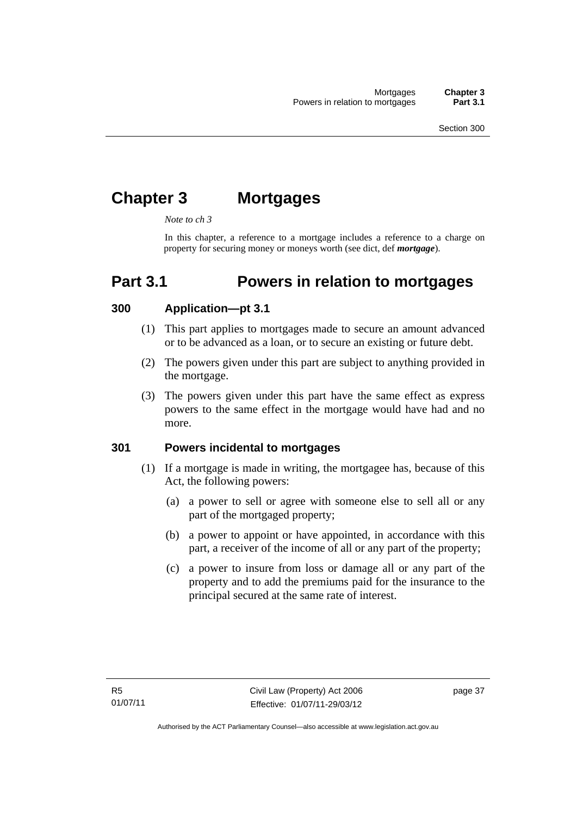# **Chapter 3 Mortgages**

*Note to ch 3* 

In this chapter, a reference to a mortgage includes a reference to a charge on property for securing money or moneys worth (see dict, def *mortgage*).

# **Part 3.1 Powers in relation to mortgages**

#### **300 Application—pt 3.1**

- (1) This part applies to mortgages made to secure an amount advanced or to be advanced as a loan, or to secure an existing or future debt.
- (2) The powers given under this part are subject to anything provided in the mortgage.
- (3) The powers given under this part have the same effect as express powers to the same effect in the mortgage would have had and no more.

#### **301 Powers incidental to mortgages**

- (1) If a mortgage is made in writing, the mortgagee has, because of this Act, the following powers:
	- (a) a power to sell or agree with someone else to sell all or any part of the mortgaged property;
	- (b) a power to appoint or have appointed, in accordance with this part, a receiver of the income of all or any part of the property;
	- (c) a power to insure from loss or damage all or any part of the property and to add the premiums paid for the insurance to the principal secured at the same rate of interest.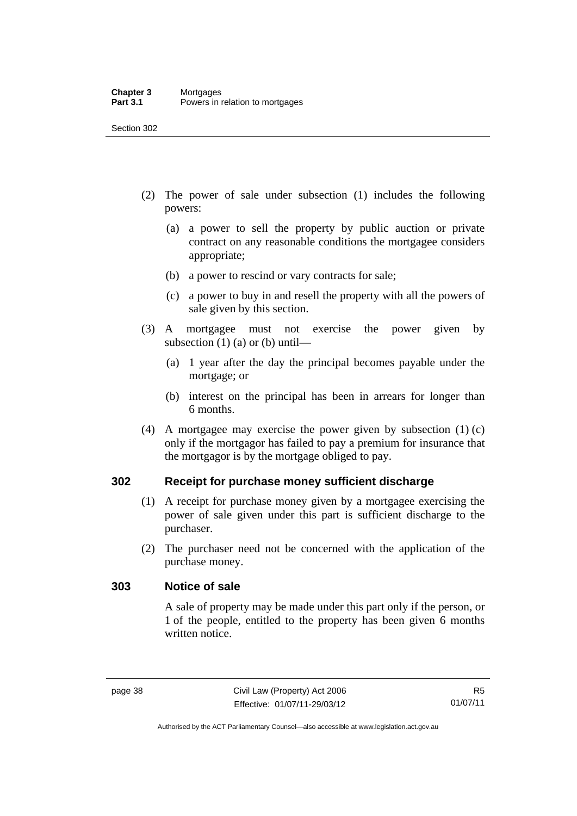- (2) The power of sale under subsection (1) includes the following powers:
	- (a) a power to sell the property by public auction or private contract on any reasonable conditions the mortgagee considers appropriate;
	- (b) a power to rescind or vary contracts for sale;
	- (c) a power to buy in and resell the property with all the powers of sale given by this section.
- (3) A mortgagee must not exercise the power given by subsection  $(1)$  (a) or (b) until—
	- (a) 1 year after the day the principal becomes payable under the mortgage; or
	- (b) interest on the principal has been in arrears for longer than 6 months.
- (4) A mortgagee may exercise the power given by subsection (1) (c) only if the mortgagor has failed to pay a premium for insurance that the mortgagor is by the mortgage obliged to pay.

#### **302 Receipt for purchase money sufficient discharge**

- (1) A receipt for purchase money given by a mortgagee exercising the power of sale given under this part is sufficient discharge to the purchaser.
- (2) The purchaser need not be concerned with the application of the purchase money.

#### **303 Notice of sale**

A sale of property may be made under this part only if the person, or 1 of the people, entitled to the property has been given 6 months written notice.

Authorised by the ACT Parliamentary Counsel—also accessible at www.legislation.act.gov.au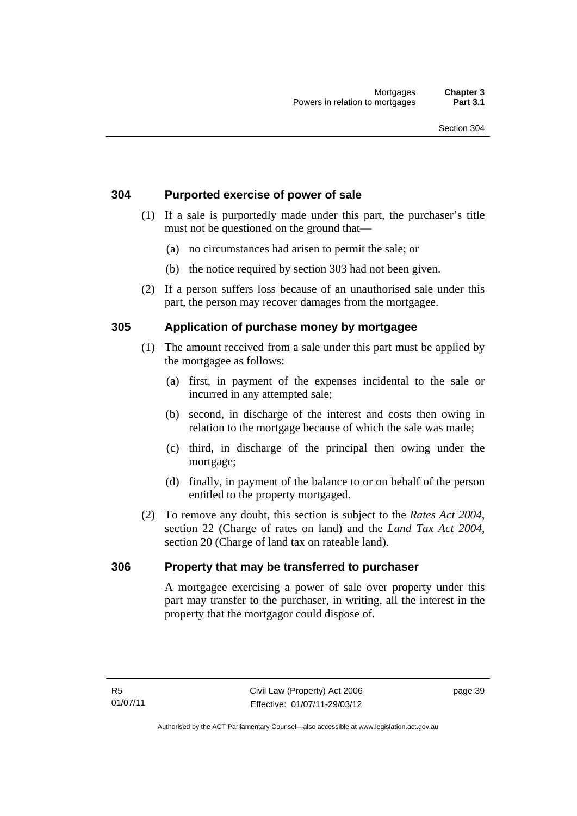## **304 Purported exercise of power of sale**

- (1) If a sale is purportedly made under this part, the purchaser's title must not be questioned on the ground that—
	- (a) no circumstances had arisen to permit the sale; or
	- (b) the notice required by section 303 had not been given.
- (2) If a person suffers loss because of an unauthorised sale under this part, the person may recover damages from the mortgagee.

## **305 Application of purchase money by mortgagee**

- (1) The amount received from a sale under this part must be applied by the mortgagee as follows:
	- (a) first, in payment of the expenses incidental to the sale or incurred in any attempted sale;
	- (b) second, in discharge of the interest and costs then owing in relation to the mortgage because of which the sale was made;
	- (c) third, in discharge of the principal then owing under the mortgage;
	- (d) finally, in payment of the balance to or on behalf of the person entitled to the property mortgaged.
- (2) To remove any doubt, this section is subject to the *Rates Act 2004*, section 22 (Charge of rates on land) and the *Land Tax Act 2004*, section 20 (Charge of land tax on rateable land).

#### **306 Property that may be transferred to purchaser**

A mortgagee exercising a power of sale over property under this part may transfer to the purchaser, in writing, all the interest in the property that the mortgagor could dispose of.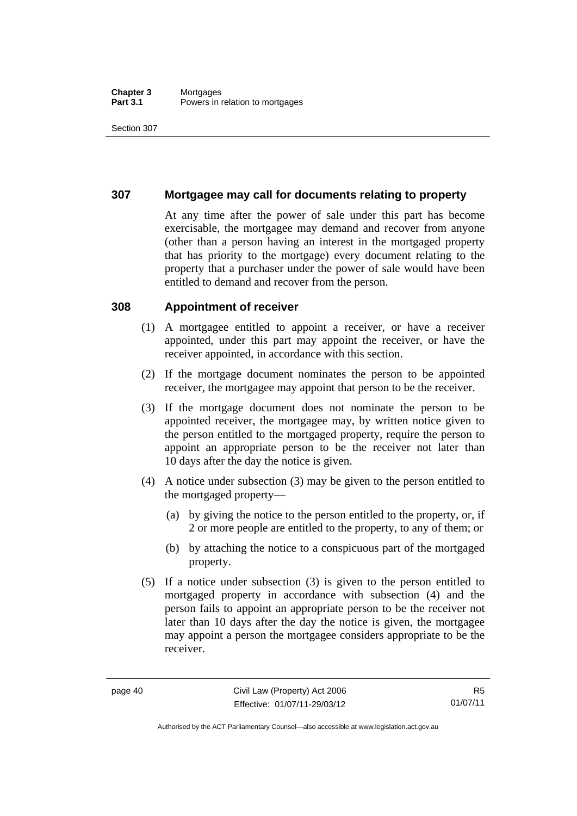#### **Chapter 3** Mortgages<br>**Part 3.1** Powers in i Powers in relation to mortgages

Section 307

#### **307 Mortgagee may call for documents relating to property**

At any time after the power of sale under this part has become exercisable, the mortgagee may demand and recover from anyone (other than a person having an interest in the mortgaged property that has priority to the mortgage) every document relating to the property that a purchaser under the power of sale would have been entitled to demand and recover from the person.

#### **308 Appointment of receiver**

- (1) A mortgagee entitled to appoint a receiver, or have a receiver appointed, under this part may appoint the receiver, or have the receiver appointed, in accordance with this section.
- (2) If the mortgage document nominates the person to be appointed receiver, the mortgagee may appoint that person to be the receiver.
- (3) If the mortgage document does not nominate the person to be appointed receiver, the mortgagee may, by written notice given to the person entitled to the mortgaged property, require the person to appoint an appropriate person to be the receiver not later than 10 days after the day the notice is given.
- (4) A notice under subsection (3) may be given to the person entitled to the mortgaged property—
	- (a) by giving the notice to the person entitled to the property, or, if 2 or more people are entitled to the property, to any of them; or
	- (b) by attaching the notice to a conspicuous part of the mortgaged property.
- (5) If a notice under subsection (3) is given to the person entitled to mortgaged property in accordance with subsection (4) and the person fails to appoint an appropriate person to be the receiver not later than 10 days after the day the notice is given, the mortgagee may appoint a person the mortgagee considers appropriate to be the receiver.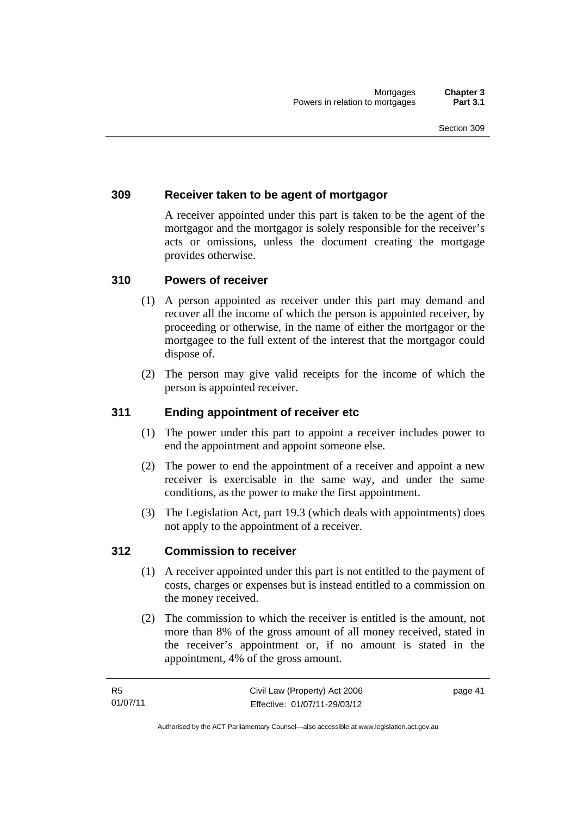## **309 Receiver taken to be agent of mortgagor**

A receiver appointed under this part is taken to be the agent of the mortgagor and the mortgagor is solely responsible for the receiver's acts or omissions, unless the document creating the mortgage provides otherwise.

#### **310 Powers of receiver**

- (1) A person appointed as receiver under this part may demand and recover all the income of which the person is appointed receiver, by proceeding or otherwise, in the name of either the mortgagor or the mortgagee to the full extent of the interest that the mortgagor could dispose of.
- (2) The person may give valid receipts for the income of which the person is appointed receiver.

#### **311 Ending appointment of receiver etc**

- (1) The power under this part to appoint a receiver includes power to end the appointment and appoint someone else.
- (2) The power to end the appointment of a receiver and appoint a new receiver is exercisable in the same way, and under the same conditions, as the power to make the first appointment.
- (3) The Legislation Act, part 19.3 (which deals with appointments) does not apply to the appointment of a receiver.

#### **312 Commission to receiver**

- (1) A receiver appointed under this part is not entitled to the payment of costs, charges or expenses but is instead entitled to a commission on the money received.
- (2) The commission to which the receiver is entitled is the amount, not more than 8% of the gross amount of all money received, stated in the receiver's appointment or, if no amount is stated in the appointment, 4% of the gross amount.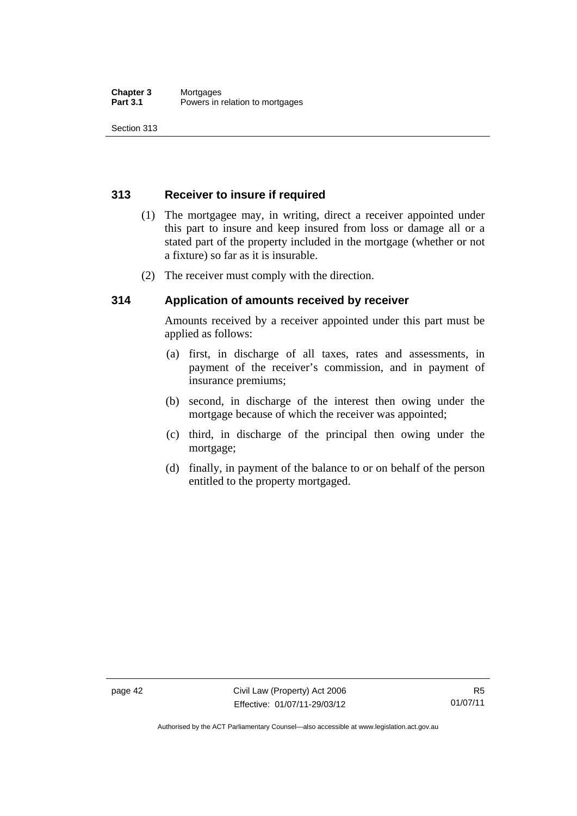# **313 Receiver to insure if required**

- (1) The mortgagee may, in writing, direct a receiver appointed under this part to insure and keep insured from loss or damage all or a stated part of the property included in the mortgage (whether or not a fixture) so far as it is insurable.
- (2) The receiver must comply with the direction.

## **314 Application of amounts received by receiver**

Amounts received by a receiver appointed under this part must be applied as follows:

- (a) first, in discharge of all taxes, rates and assessments, in payment of the receiver's commission, and in payment of insurance premiums;
- (b) second, in discharge of the interest then owing under the mortgage because of which the receiver was appointed;
- (c) third, in discharge of the principal then owing under the mortgage;
- (d) finally, in payment of the balance to or on behalf of the person entitled to the property mortgaged.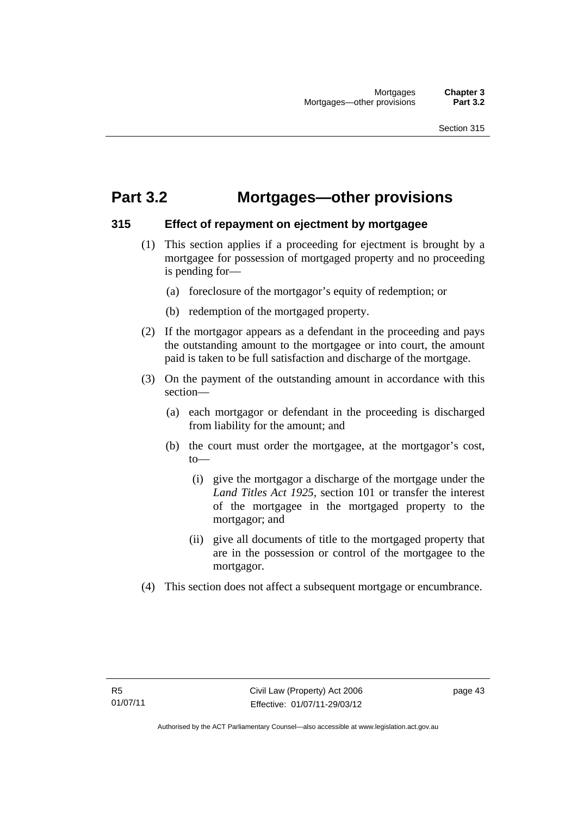# **Part 3.2 Mortgages—other provisions**

#### **315 Effect of repayment on ejectment by mortgagee**

- (1) This section applies if a proceeding for ejectment is brought by a mortgagee for possession of mortgaged property and no proceeding is pending for—
	- (a) foreclosure of the mortgagor's equity of redemption; or
	- (b) redemption of the mortgaged property.
- (2) If the mortgagor appears as a defendant in the proceeding and pays the outstanding amount to the mortgagee or into court, the amount paid is taken to be full satisfaction and discharge of the mortgage.
- (3) On the payment of the outstanding amount in accordance with this section—
	- (a) each mortgagor or defendant in the proceeding is discharged from liability for the amount; and
	- (b) the court must order the mortgagee, at the mortgagor's cost, to—
		- (i) give the mortgagor a discharge of the mortgage under the *Land Titles Act 1925*, section 101 or transfer the interest of the mortgagee in the mortgaged property to the mortgagor; and
		- (ii) give all documents of title to the mortgaged property that are in the possession or control of the mortgagee to the mortgagor.
- (4) This section does not affect a subsequent mortgage or encumbrance.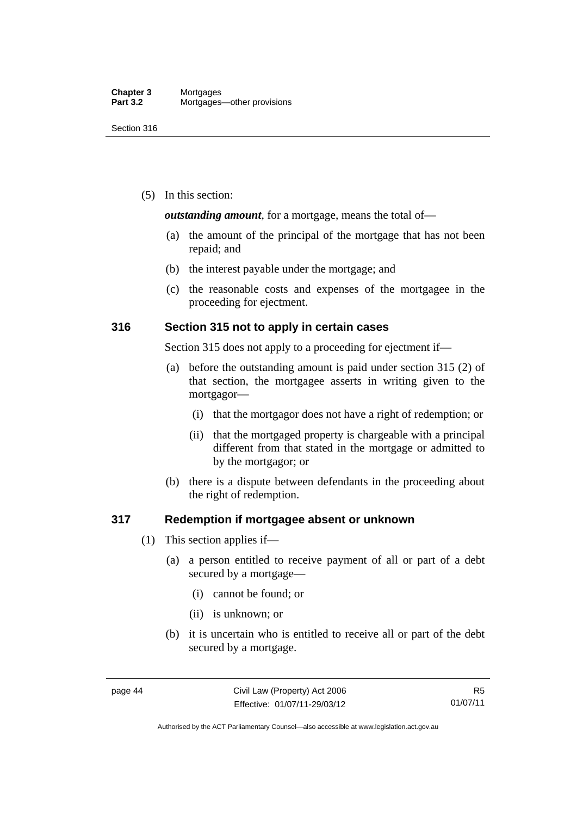(5) In this section:

*outstanding amount*, for a mortgage, means the total of—

- (a) the amount of the principal of the mortgage that has not been repaid; and
- (b) the interest payable under the mortgage; and
- (c) the reasonable costs and expenses of the mortgagee in the proceeding for ejectment.

# **316 Section 315 not to apply in certain cases**

Section 315 does not apply to a proceeding for ejectment if—

- (a) before the outstanding amount is paid under section 315 (2) of that section, the mortgagee asserts in writing given to the mortgagor—
	- (i) that the mortgagor does not have a right of redemption; or
	- (ii) that the mortgaged property is chargeable with a principal different from that stated in the mortgage or admitted to by the mortgagor; or
- (b) there is a dispute between defendants in the proceeding about the right of redemption.

#### **317 Redemption if mortgagee absent or unknown**

- (1) This section applies if—
	- (a) a person entitled to receive payment of all or part of a debt secured by a mortgage—
		- (i) cannot be found; or
		- (ii) is unknown; or
	- (b) it is uncertain who is entitled to receive all or part of the debt secured by a mortgage.

Authorised by the ACT Parliamentary Counsel—also accessible at www.legislation.act.gov.au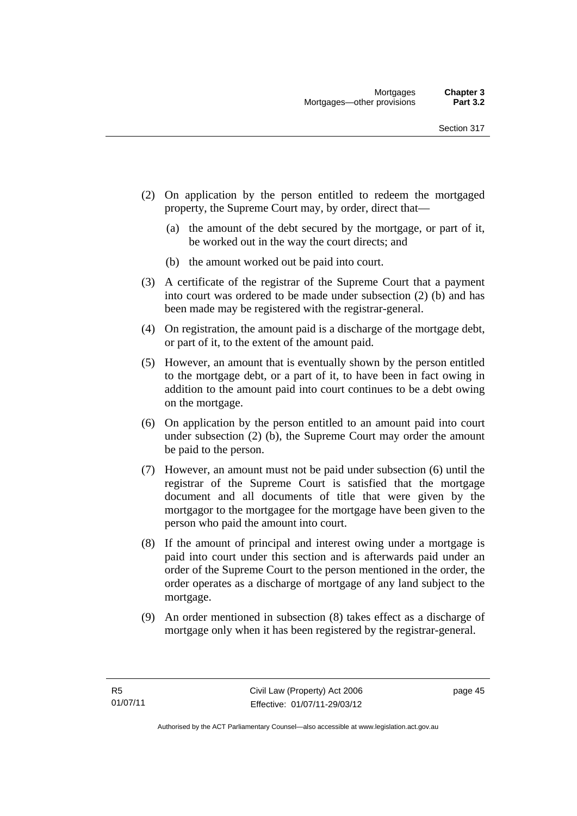- (2) On application by the person entitled to redeem the mortgaged property, the Supreme Court may, by order, direct that—
	- (a) the amount of the debt secured by the mortgage, or part of it, be worked out in the way the court directs; and
	- (b) the amount worked out be paid into court.
- (3) A certificate of the registrar of the Supreme Court that a payment into court was ordered to be made under subsection (2) (b) and has been made may be registered with the registrar-general.
- (4) On registration, the amount paid is a discharge of the mortgage debt, or part of it, to the extent of the amount paid.
- (5) However, an amount that is eventually shown by the person entitled to the mortgage debt, or a part of it, to have been in fact owing in addition to the amount paid into court continues to be a debt owing on the mortgage.
- (6) On application by the person entitled to an amount paid into court under subsection (2) (b), the Supreme Court may order the amount be paid to the person.
- (7) However, an amount must not be paid under subsection (6) until the registrar of the Supreme Court is satisfied that the mortgage document and all documents of title that were given by the mortgagor to the mortgagee for the mortgage have been given to the person who paid the amount into court.
- (8) If the amount of principal and interest owing under a mortgage is paid into court under this section and is afterwards paid under an order of the Supreme Court to the person mentioned in the order, the order operates as a discharge of mortgage of any land subject to the mortgage.
- (9) An order mentioned in subsection (8) takes effect as a discharge of mortgage only when it has been registered by the registrar-general.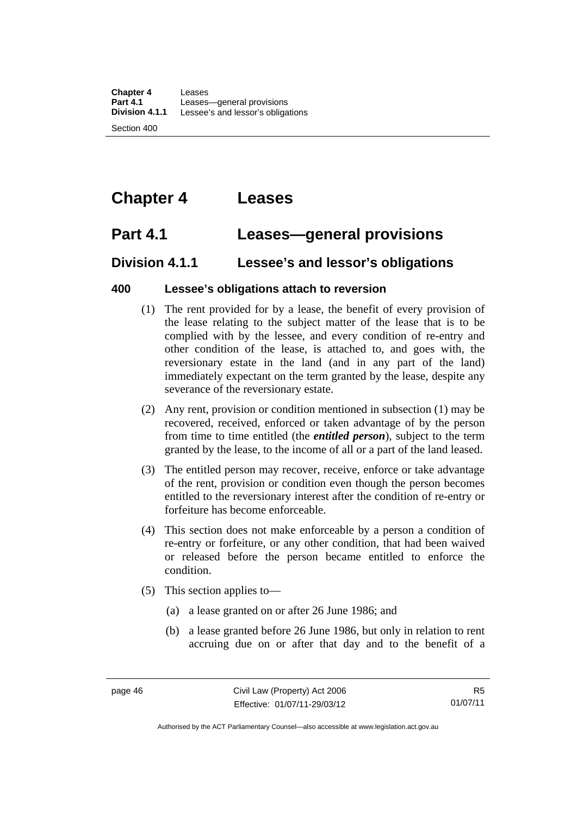# **Chapter 4 Leases**

# **Part 4.1 Leases—general provisions**

# **Division 4.1.1 Lessee's and lessor's obligations**

## **400 Lessee's obligations attach to reversion**

- (1) The rent provided for by a lease, the benefit of every provision of the lease relating to the subject matter of the lease that is to be complied with by the lessee, and every condition of re-entry and other condition of the lease, is attached to, and goes with, the reversionary estate in the land (and in any part of the land) immediately expectant on the term granted by the lease, despite any severance of the reversionary estate.
- (2) Any rent, provision or condition mentioned in subsection (1) may be recovered, received, enforced or taken advantage of by the person from time to time entitled (the *entitled person*), subject to the term granted by the lease, to the income of all or a part of the land leased.
- (3) The entitled person may recover, receive, enforce or take advantage of the rent, provision or condition even though the person becomes entitled to the reversionary interest after the condition of re-entry or forfeiture has become enforceable.
- (4) This section does not make enforceable by a person a condition of re-entry or forfeiture, or any other condition, that had been waived or released before the person became entitled to enforce the condition.
- (5) This section applies to—
	- (a) a lease granted on or after 26 June 1986; and
	- (b) a lease granted before 26 June 1986, but only in relation to rent accruing due on or after that day and to the benefit of a

Authorised by the ACT Parliamentary Counsel—also accessible at www.legislation.act.gov.au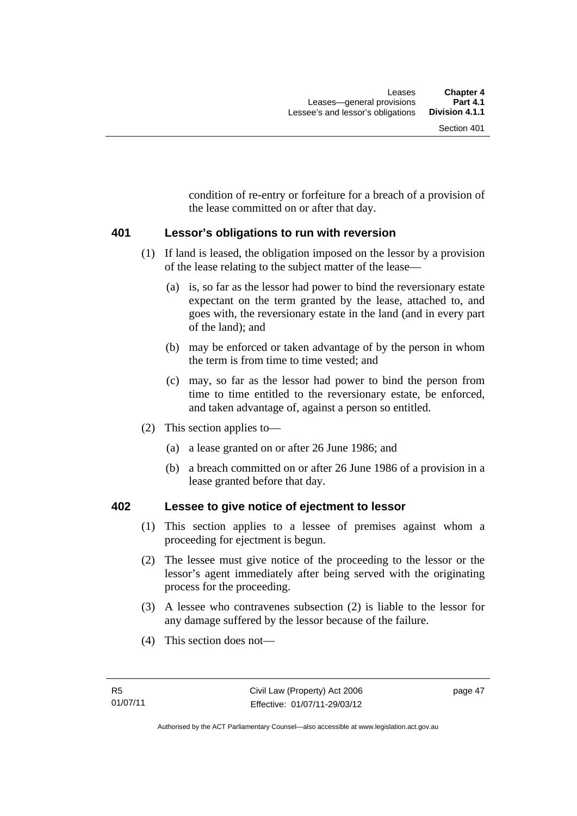condition of re-entry or forfeiture for a breach of a provision of the lease committed on or after that day.

#### **401 Lessor's obligations to run with reversion**

- (1) If land is leased, the obligation imposed on the lessor by a provision of the lease relating to the subject matter of the lease—
	- (a) is, so far as the lessor had power to bind the reversionary estate expectant on the term granted by the lease, attached to, and goes with, the reversionary estate in the land (and in every part of the land); and
	- (b) may be enforced or taken advantage of by the person in whom the term is from time to time vested; and
	- (c) may, so far as the lessor had power to bind the person from time to time entitled to the reversionary estate, be enforced, and taken advantage of, against a person so entitled.
- (2) This section applies to—
	- (a) a lease granted on or after 26 June 1986; and
	- (b) a breach committed on or after 26 June 1986 of a provision in a lease granted before that day.

#### **402 Lessee to give notice of ejectment to lessor**

- (1) This section applies to a lessee of premises against whom a proceeding for ejectment is begun.
- (2) The lessee must give notice of the proceeding to the lessor or the lessor's agent immediately after being served with the originating process for the proceeding.
- (3) A lessee who contravenes subsection (2) is liable to the lessor for any damage suffered by the lessor because of the failure.
- (4) This section does not—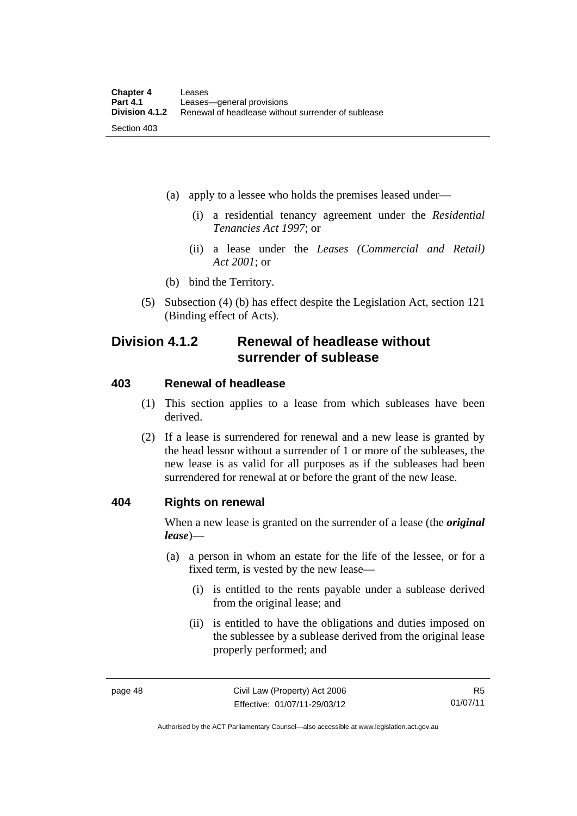- (a) apply to a lessee who holds the premises leased under—
	- (i) a residential tenancy agreement under the *Residential Tenancies Act 1997*; or
	- (ii) a lease under the *Leases (Commercial and Retail) Act 2001*; or
- (b) bind the Territory.
- (5) Subsection (4) (b) has effect despite the Legislation Act, section 121 (Binding effect of Acts).

# **Division 4.1.2 Renewal of headlease without surrender of sublease**

#### **403 Renewal of headlease**

- (1) This section applies to a lease from which subleases have been derived.
- (2) If a lease is surrendered for renewal and a new lease is granted by the head lessor without a surrender of 1 or more of the subleases, the new lease is as valid for all purposes as if the subleases had been surrendered for renewal at or before the grant of the new lease.

#### **404 Rights on renewal**

When a new lease is granted on the surrender of a lease (the *original lease*)—

- (a) a person in whom an estate for the life of the lessee, or for a fixed term, is vested by the new lease—
	- (i) is entitled to the rents payable under a sublease derived from the original lease; and
	- (ii) is entitled to have the obligations and duties imposed on the sublessee by a sublease derived from the original lease properly performed; and

R5 01/07/11

Authorised by the ACT Parliamentary Counsel—also accessible at www.legislation.act.gov.au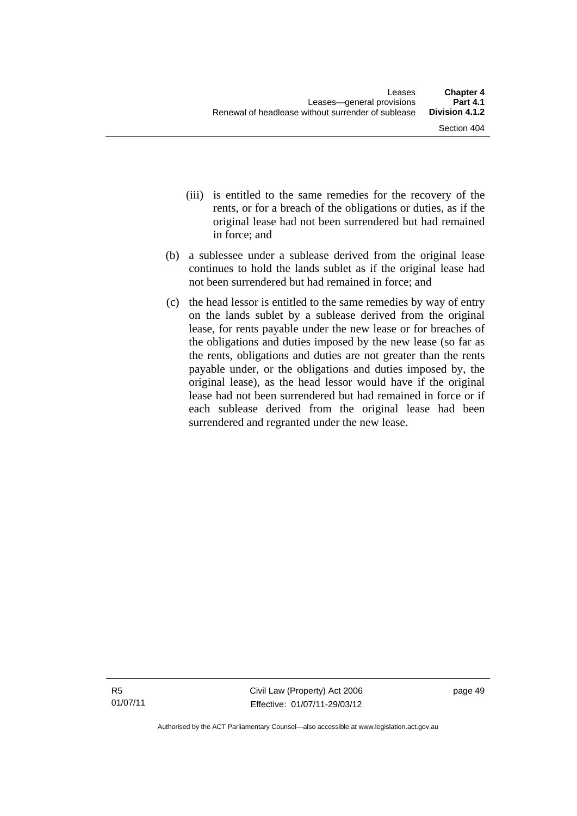- (iii) is entitled to the same remedies for the recovery of the rents, or for a breach of the obligations or duties, as if the original lease had not been surrendered but had remained in force; and
- (b) a sublessee under a sublease derived from the original lease continues to hold the lands sublet as if the original lease had not been surrendered but had remained in force; and
- (c) the head lessor is entitled to the same remedies by way of entry on the lands sublet by a sublease derived from the original lease, for rents payable under the new lease or for breaches of the obligations and duties imposed by the new lease (so far as the rents, obligations and duties are not greater than the rents payable under, or the obligations and duties imposed by, the original lease), as the head lessor would have if the original lease had not been surrendered but had remained in force or if each sublease derived from the original lease had been surrendered and regranted under the new lease.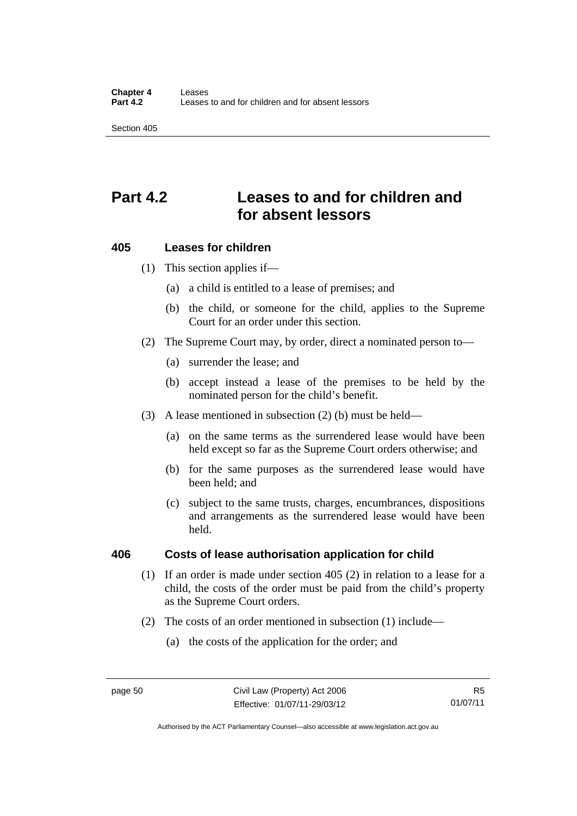# **Part 4.2 Leases to and for children and for absent lessors**

## **405 Leases for children**

(1) This section applies if—

- (a) a child is entitled to a lease of premises; and
- (b) the child, or someone for the child, applies to the Supreme Court for an order under this section.
- (2) The Supreme Court may, by order, direct a nominated person to—
	- (a) surrender the lease; and
	- (b) accept instead a lease of the premises to be held by the nominated person for the child's benefit.
- (3) A lease mentioned in subsection (2) (b) must be held—
	- (a) on the same terms as the surrendered lease would have been held except so far as the Supreme Court orders otherwise; and
	- (b) for the same purposes as the surrendered lease would have been held; and
	- (c) subject to the same trusts, charges, encumbrances, dispositions and arrangements as the surrendered lease would have been held.

#### **406 Costs of lease authorisation application for child**

- (1) If an order is made under section 405 (2) in relation to a lease for a child, the costs of the order must be paid from the child's property as the Supreme Court orders.
- (2) The costs of an order mentioned in subsection (1) include—
	- (a) the costs of the application for the order; and

Authorised by the ACT Parliamentary Counsel—also accessible at www.legislation.act.gov.au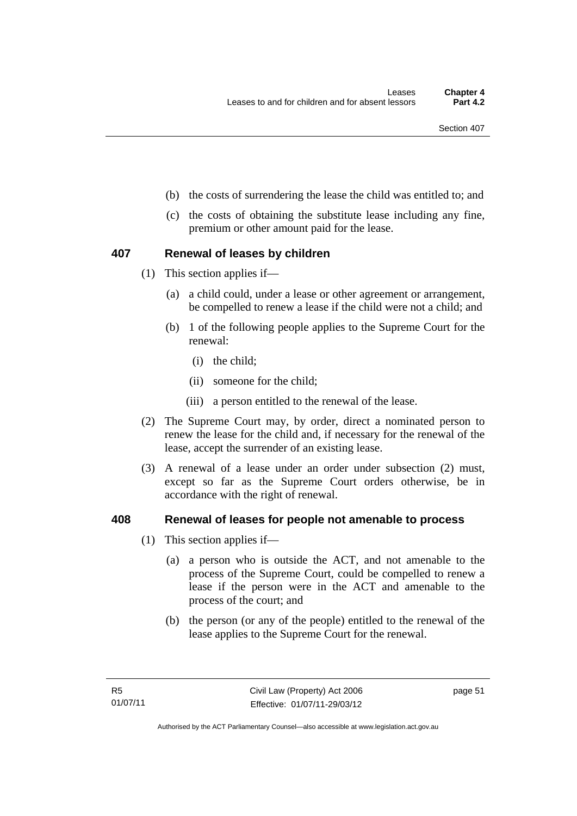- (b) the costs of surrendering the lease the child was entitled to; and
- (c) the costs of obtaining the substitute lease including any fine, premium or other amount paid for the lease.

#### **407 Renewal of leases by children**

- (1) This section applies if—
	- (a) a child could, under a lease or other agreement or arrangement, be compelled to renew a lease if the child were not a child; and
	- (b) 1 of the following people applies to the Supreme Court for the renewal:
		- (i) the child;
		- (ii) someone for the child;
		- (iii) a person entitled to the renewal of the lease.
- (2) The Supreme Court may, by order, direct a nominated person to renew the lease for the child and, if necessary for the renewal of the lease, accept the surrender of an existing lease.
- (3) A renewal of a lease under an order under subsection (2) must, except so far as the Supreme Court orders otherwise, be in accordance with the right of renewal.

#### **408 Renewal of leases for people not amenable to process**

- (1) This section applies if—
	- (a) a person who is outside the ACT, and not amenable to the process of the Supreme Court, could be compelled to renew a lease if the person were in the ACT and amenable to the process of the court; and
	- (b) the person (or any of the people) entitled to the renewal of the lease applies to the Supreme Court for the renewal.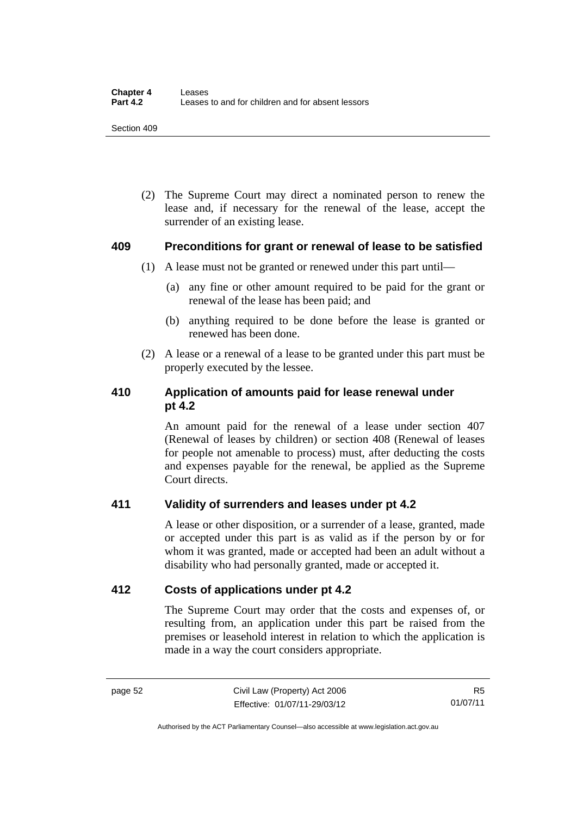(2) The Supreme Court may direct a nominated person to renew the lease and, if necessary for the renewal of the lease, accept the surrender of an existing lease.

#### **409 Preconditions for grant or renewal of lease to be satisfied**

- (1) A lease must not be granted or renewed under this part until—
	- (a) any fine or other amount required to be paid for the grant or renewal of the lease has been paid; and
	- (b) anything required to be done before the lease is granted or renewed has been done.
- (2) A lease or a renewal of a lease to be granted under this part must be properly executed by the lessee.

# **410 Application of amounts paid for lease renewal under pt 4.2**

An amount paid for the renewal of a lease under section 407 (Renewal of leases by children) or section 408 (Renewal of leases for people not amenable to process) must, after deducting the costs and expenses payable for the renewal, be applied as the Supreme Court directs.

# **411 Validity of surrenders and leases under pt 4.2**

A lease or other disposition, or a surrender of a lease, granted, made or accepted under this part is as valid as if the person by or for whom it was granted, made or accepted had been an adult without a disability who had personally granted, made or accepted it.

# **412 Costs of applications under pt 4.2**

The Supreme Court may order that the costs and expenses of, or resulting from, an application under this part be raised from the premises or leasehold interest in relation to which the application is made in a way the court considers appropriate.

Authorised by the ACT Parliamentary Counsel—also accessible at www.legislation.act.gov.au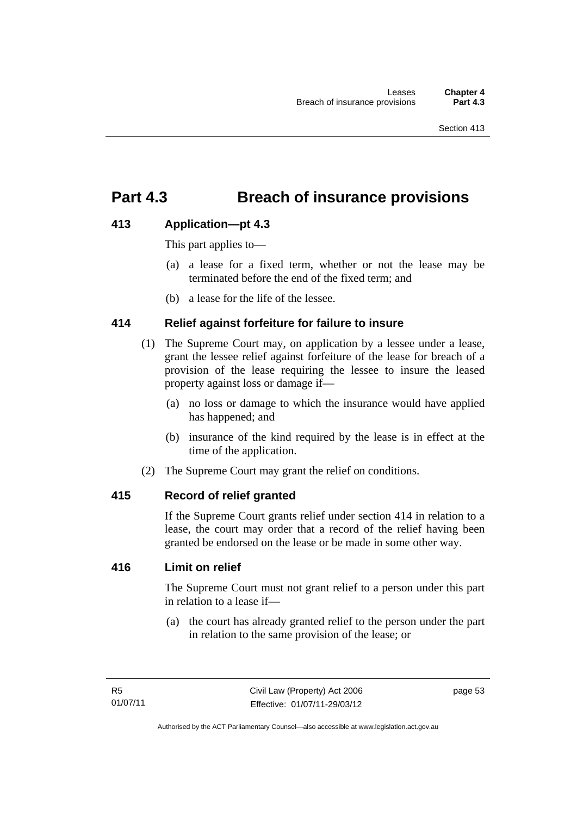# **Part 4.3 Breach of insurance provisions**

# **413 Application—pt 4.3**

This part applies to—

- (a) a lease for a fixed term, whether or not the lease may be terminated before the end of the fixed term; and
- (b) a lease for the life of the lessee.

## **414 Relief against forfeiture for failure to insure**

- (1) The Supreme Court may, on application by a lessee under a lease, grant the lessee relief against forfeiture of the lease for breach of a provision of the lease requiring the lessee to insure the leased property against loss or damage if—
	- (a) no loss or damage to which the insurance would have applied has happened; and
	- (b) insurance of the kind required by the lease is in effect at the time of the application.
- (2) The Supreme Court may grant the relief on conditions.

#### **415 Record of relief granted**

If the Supreme Court grants relief under section 414 in relation to a lease, the court may order that a record of the relief having been granted be endorsed on the lease or be made in some other way.

# **416 Limit on relief**

The Supreme Court must not grant relief to a person under this part in relation to a lease if—

 (a) the court has already granted relief to the person under the part in relation to the same provision of the lease; or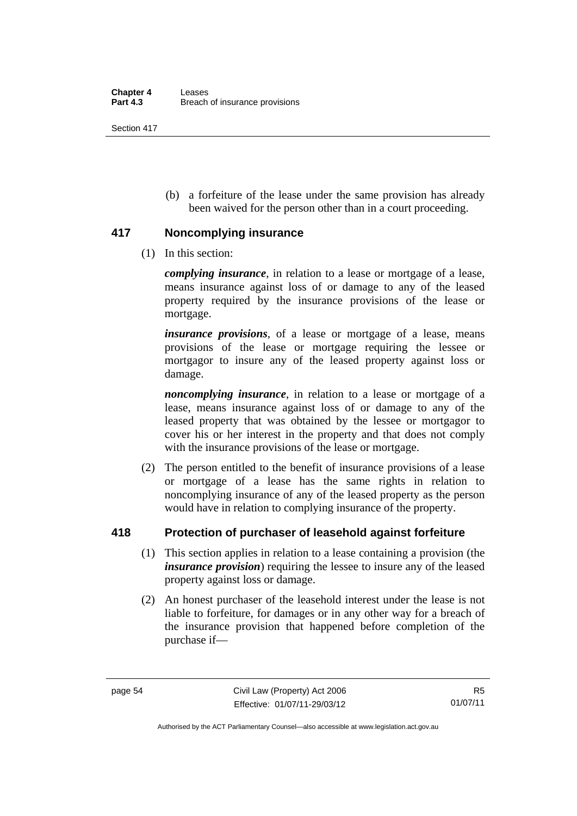(b) a forfeiture of the lease under the same provision has already been waived for the person other than in a court proceeding.

## **417 Noncomplying insurance**

(1) In this section:

*complying insurance*, in relation to a lease or mortgage of a lease, means insurance against loss of or damage to any of the leased property required by the insurance provisions of the lease or mortgage.

*insurance provisions*, of a lease or mortgage of a lease, means provisions of the lease or mortgage requiring the lessee or mortgagor to insure any of the leased property against loss or damage.

*noncomplying insurance*, in relation to a lease or mortgage of a lease, means insurance against loss of or damage to any of the leased property that was obtained by the lessee or mortgagor to cover his or her interest in the property and that does not comply with the insurance provisions of the lease or mortgage.

 (2) The person entitled to the benefit of insurance provisions of a lease or mortgage of a lease has the same rights in relation to noncomplying insurance of any of the leased property as the person would have in relation to complying insurance of the property.

# **418 Protection of purchaser of leasehold against forfeiture**

- (1) This section applies in relation to a lease containing a provision (the *insurance provision*) requiring the lessee to insure any of the leased property against loss or damage.
- (2) An honest purchaser of the leasehold interest under the lease is not liable to forfeiture, for damages or in any other way for a breach of the insurance provision that happened before completion of the purchase if—

Authorised by the ACT Parliamentary Counsel—also accessible at www.legislation.act.gov.au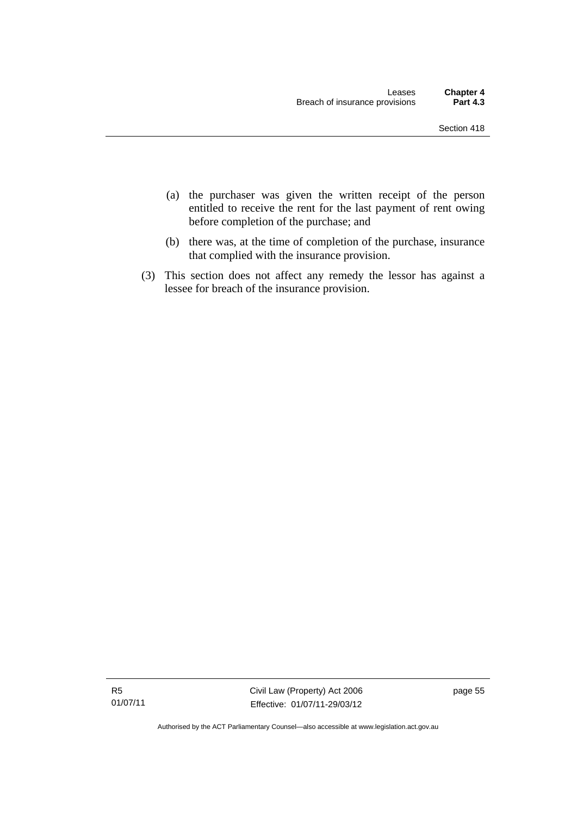- (a) the purchaser was given the written receipt of the person entitled to receive the rent for the last payment of rent owing before completion of the purchase; and
- (b) there was, at the time of completion of the purchase, insurance that complied with the insurance provision.
- (3) This section does not affect any remedy the lessor has against a lessee for breach of the insurance provision.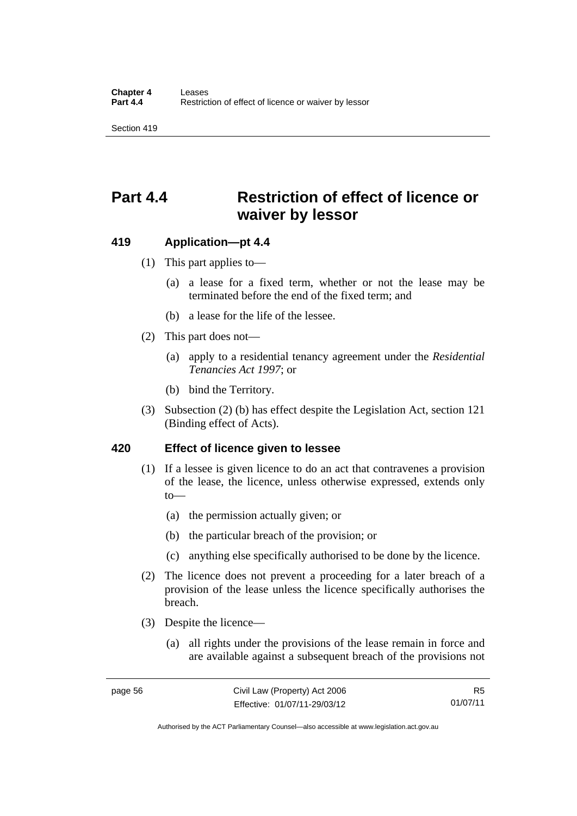# **Part 4.4 Restriction of effect of licence or waiver by lessor**

#### **419 Application—pt 4.4**

- (1) This part applies to—
	- (a) a lease for a fixed term, whether or not the lease may be terminated before the end of the fixed term; and
	- (b) a lease for the life of the lessee.
- (2) This part does not—
	- (a) apply to a residential tenancy agreement under the *Residential Tenancies Act 1997*; or
	- (b) bind the Territory.
- (3) Subsection (2) (b) has effect despite the Legislation Act, section 121 (Binding effect of Acts).

#### **420 Effect of licence given to lessee**

- (1) If a lessee is given licence to do an act that contravenes a provision of the lease, the licence, unless otherwise expressed, extends only to—
	- (a) the permission actually given; or
	- (b) the particular breach of the provision; or
	- (c) anything else specifically authorised to be done by the licence.
- (2) The licence does not prevent a proceeding for a later breach of a provision of the lease unless the licence specifically authorises the breach.
- (3) Despite the licence—
	- (a) all rights under the provisions of the lease remain in force and are available against a subsequent breach of the provisions not

R5 01/07/11

Authorised by the ACT Parliamentary Counsel—also accessible at www.legislation.act.gov.au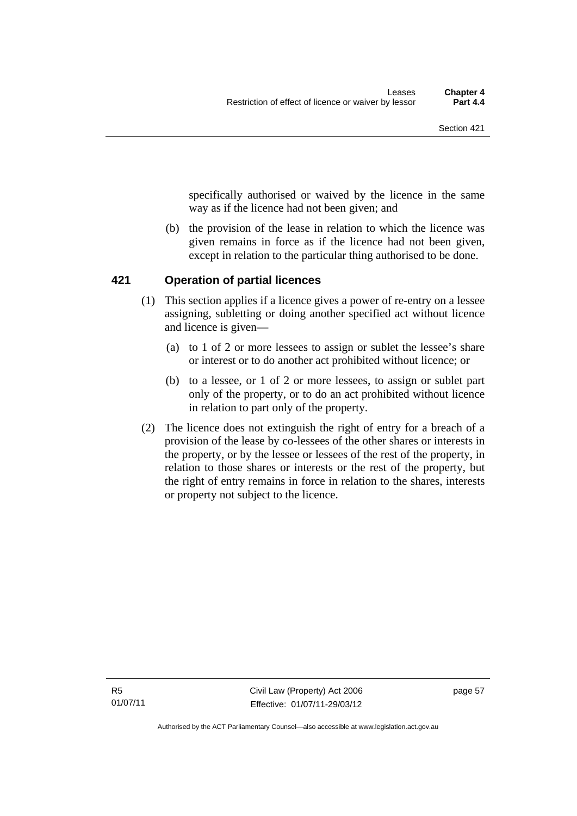specifically authorised or waived by the licence in the same way as if the licence had not been given; and

 (b) the provision of the lease in relation to which the licence was given remains in force as if the licence had not been given, except in relation to the particular thing authorised to be done.

## **421 Operation of partial licences**

- (1) This section applies if a licence gives a power of re-entry on a lessee assigning, subletting or doing another specified act without licence and licence is given—
	- (a) to 1 of 2 or more lessees to assign or sublet the lessee's share or interest or to do another act prohibited without licence; or
	- (b) to a lessee, or 1 of 2 or more lessees, to assign or sublet part only of the property, or to do an act prohibited without licence in relation to part only of the property.
- (2) The licence does not extinguish the right of entry for a breach of a provision of the lease by co-lessees of the other shares or interests in the property, or by the lessee or lessees of the rest of the property, in relation to those shares or interests or the rest of the property, but the right of entry remains in force in relation to the shares, interests or property not subject to the licence.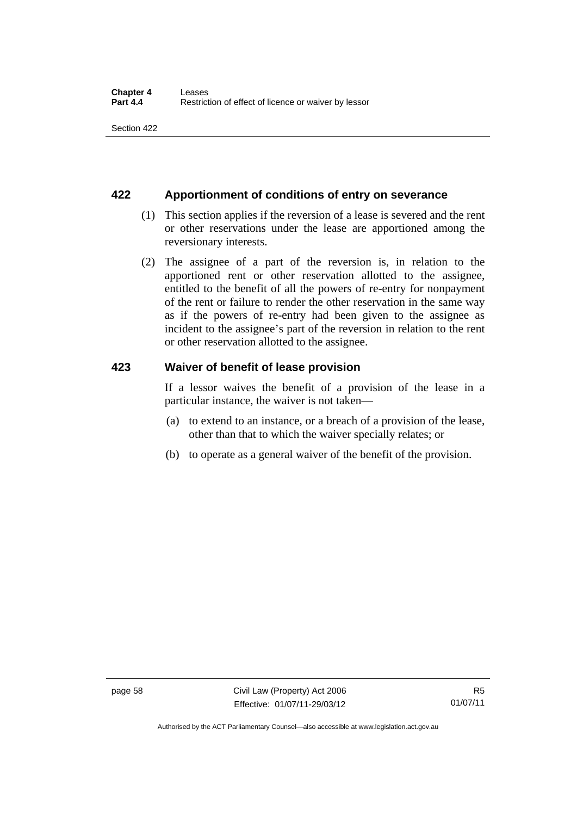# **422 Apportionment of conditions of entry on severance**

- (1) This section applies if the reversion of a lease is severed and the rent or other reservations under the lease are apportioned among the reversionary interests.
- (2) The assignee of a part of the reversion is, in relation to the apportioned rent or other reservation allotted to the assignee, entitled to the benefit of all the powers of re-entry for nonpayment of the rent or failure to render the other reservation in the same way as if the powers of re-entry had been given to the assignee as incident to the assignee's part of the reversion in relation to the rent or other reservation allotted to the assignee.

## **423 Waiver of benefit of lease provision**

If a lessor waives the benefit of a provision of the lease in a particular instance, the waiver is not taken—

- (a) to extend to an instance, or a breach of a provision of the lease, other than that to which the waiver specially relates; or
- (b) to operate as a general waiver of the benefit of the provision.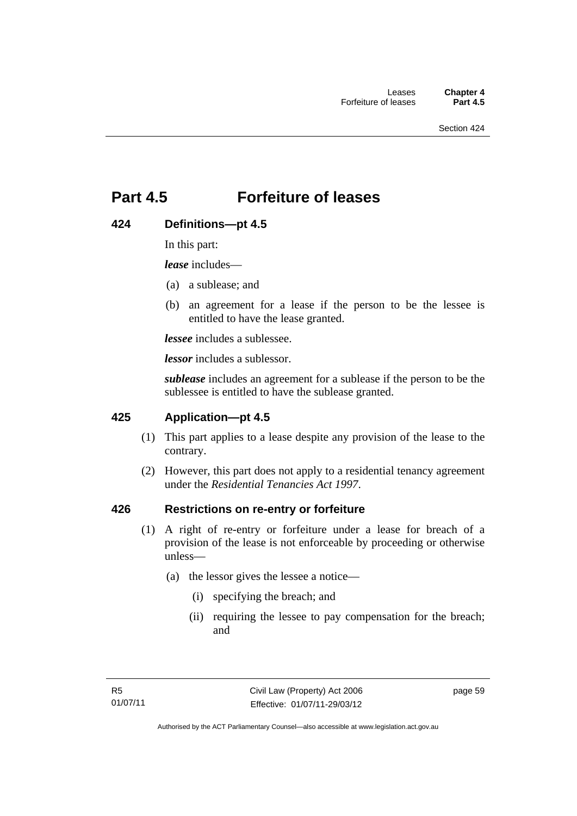# **Part 4.5 Forfeiture of leases**

## **424 Definitions—pt 4.5**

In this part:

*lease* includes—

- (a) a sublease; and
- (b) an agreement for a lease if the person to be the lessee is entitled to have the lease granted.

*lessee* includes a sublessee.

*lessor* includes a sublessor.

*sublease* includes an agreement for a sublease if the person to be the sublessee is entitled to have the sublease granted.

#### **425 Application—pt 4.5**

- (1) This part applies to a lease despite any provision of the lease to the contrary.
- (2) However, this part does not apply to a residential tenancy agreement under the *Residential Tenancies Act 1997*.

#### **426 Restrictions on re-entry or forfeiture**

- (1) A right of re-entry or forfeiture under a lease for breach of a provision of the lease is not enforceable by proceeding or otherwise unless—
	- (a) the lessor gives the lessee a notice—
		- (i) specifying the breach; and
		- (ii) requiring the lessee to pay compensation for the breach; and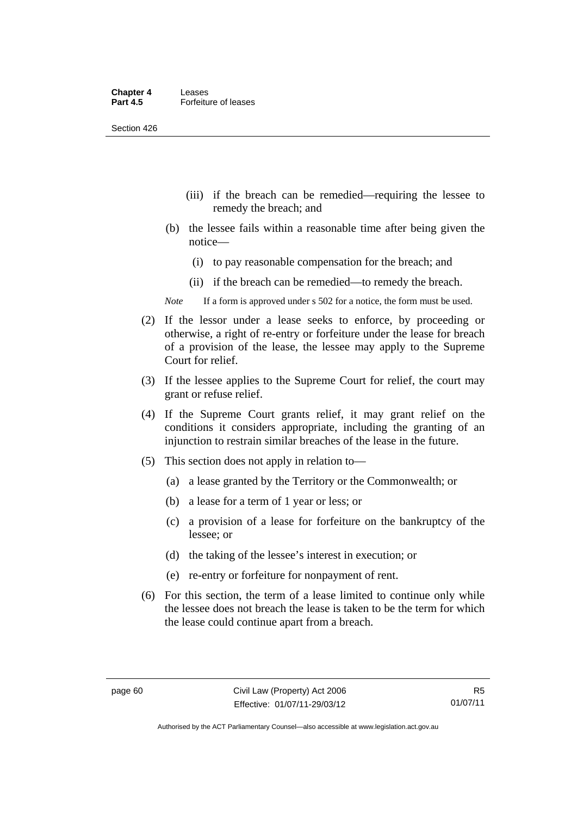- (iii) if the breach can be remedied—requiring the lessee to remedy the breach; and
- (b) the lessee fails within a reasonable time after being given the notice—
	- (i) to pay reasonable compensation for the breach; and
	- (ii) if the breach can be remedied—to remedy the breach.
- *Note* If a form is approved under s 502 for a notice, the form must be used.
- (2) If the lessor under a lease seeks to enforce, by proceeding or otherwise, a right of re-entry or forfeiture under the lease for breach of a provision of the lease, the lessee may apply to the Supreme Court for relief.
- (3) If the lessee applies to the Supreme Court for relief, the court may grant or refuse relief.
- (4) If the Supreme Court grants relief, it may grant relief on the conditions it considers appropriate, including the granting of an injunction to restrain similar breaches of the lease in the future.
- (5) This section does not apply in relation to—
	- (a) a lease granted by the Territory or the Commonwealth; or
	- (b) a lease for a term of 1 year or less; or
	- (c) a provision of a lease for forfeiture on the bankruptcy of the lessee; or
	- (d) the taking of the lessee's interest in execution; or
	- (e) re-entry or forfeiture for nonpayment of rent.
- (6) For this section, the term of a lease limited to continue only while the lessee does not breach the lease is taken to be the term for which the lease could continue apart from a breach.

Authorised by the ACT Parliamentary Counsel—also accessible at www.legislation.act.gov.au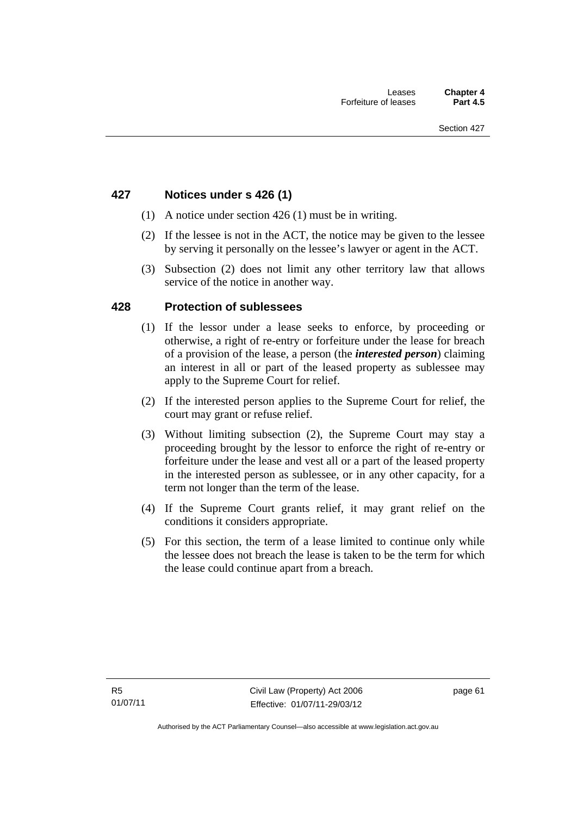## **427 Notices under s 426 (1)**

- (1) A notice under section 426 (1) must be in writing.
- (2) If the lessee is not in the ACT, the notice may be given to the lessee by serving it personally on the lessee's lawyer or agent in the ACT.
- (3) Subsection (2) does not limit any other territory law that allows service of the notice in another way.

#### **428 Protection of sublessees**

- (1) If the lessor under a lease seeks to enforce, by proceeding or otherwise, a right of re-entry or forfeiture under the lease for breach of a provision of the lease, a person (the *interested person*) claiming an interest in all or part of the leased property as sublessee may apply to the Supreme Court for relief.
- (2) If the interested person applies to the Supreme Court for relief, the court may grant or refuse relief.
- (3) Without limiting subsection (2), the Supreme Court may stay a proceeding brought by the lessor to enforce the right of re-entry or forfeiture under the lease and vest all or a part of the leased property in the interested person as sublessee, or in any other capacity, for a term not longer than the term of the lease.
- (4) If the Supreme Court grants relief, it may grant relief on the conditions it considers appropriate.
- (5) For this section, the term of a lease limited to continue only while the lessee does not breach the lease is taken to be the term for which the lease could continue apart from a breach.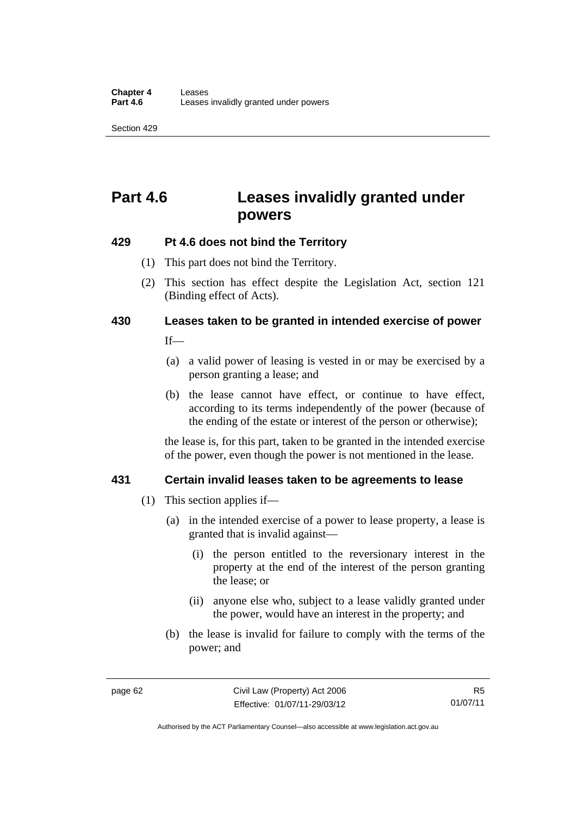# **Part 4.6 Leases invalidly granted under powers**

## **429 Pt 4.6 does not bind the Territory**

- (1) This part does not bind the Territory.
- (2) This section has effect despite the Legislation Act*,* section 121 (Binding effect of Acts).

# **430 Leases taken to be granted in intended exercise of power**

If—

- (a) a valid power of leasing is vested in or may be exercised by a person granting a lease; and
- (b) the lease cannot have effect, or continue to have effect, according to its terms independently of the power (because of the ending of the estate or interest of the person or otherwise);

the lease is, for this part, taken to be granted in the intended exercise of the power, even though the power is not mentioned in the lease.

# **431 Certain invalid leases taken to be agreements to lease**

- (1) This section applies if—
	- (a) in the intended exercise of a power to lease property, a lease is granted that is invalid against—
		- (i) the person entitled to the reversionary interest in the property at the end of the interest of the person granting the lease; or
		- (ii) anyone else who, subject to a lease validly granted under the power, would have an interest in the property; and
	- (b) the lease is invalid for failure to comply with the terms of the power; and

R5 01/07/11

Authorised by the ACT Parliamentary Counsel—also accessible at www.legislation.act.gov.au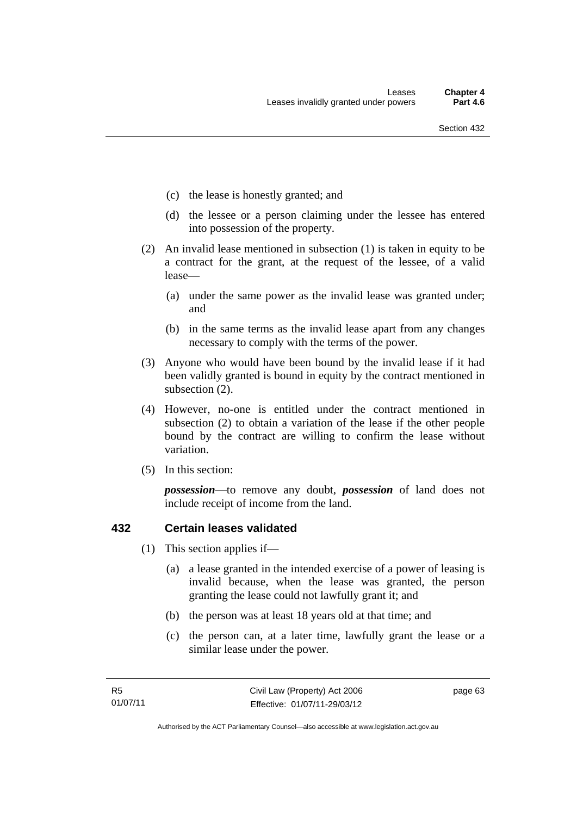- (c) the lease is honestly granted; and
- (d) the lessee or a person claiming under the lessee has entered into possession of the property.
- (2) An invalid lease mentioned in subsection (1) is taken in equity to be a contract for the grant, at the request of the lessee, of a valid lease—
	- (a) under the same power as the invalid lease was granted under; and
	- (b) in the same terms as the invalid lease apart from any changes necessary to comply with the terms of the power.
- (3) Anyone who would have been bound by the invalid lease if it had been validly granted is bound in equity by the contract mentioned in subsection (2).
- (4) However, no-one is entitled under the contract mentioned in subsection (2) to obtain a variation of the lease if the other people bound by the contract are willing to confirm the lease without variation.
- (5) In this section:

*possession*—to remove any doubt, *possession* of land does not include receipt of income from the land.

# **432 Certain leases validated**

- (1) This section applies if—
	- (a) a lease granted in the intended exercise of a power of leasing is invalid because, when the lease was granted, the person granting the lease could not lawfully grant it; and
	- (b) the person was at least 18 years old at that time; and
	- (c) the person can, at a later time, lawfully grant the lease or a similar lease under the power.

page 63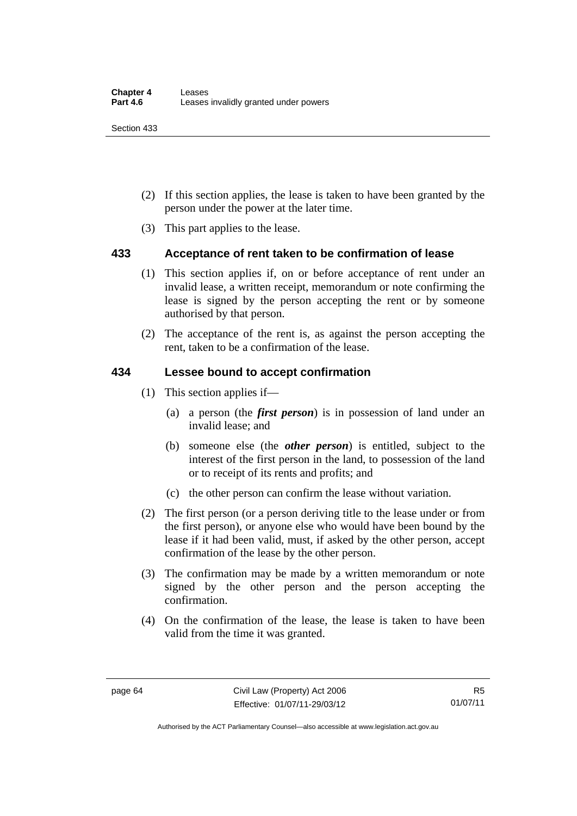Section 433

- (2) If this section applies, the lease is taken to have been granted by the person under the power at the later time.
- (3) This part applies to the lease.

# **433 Acceptance of rent taken to be confirmation of lease**

- (1) This section applies if, on or before acceptance of rent under an invalid lease, a written receipt, memorandum or note confirming the lease is signed by the person accepting the rent or by someone authorised by that person.
- (2) The acceptance of the rent is, as against the person accepting the rent, taken to be a confirmation of the lease.

# **434 Lessee bound to accept confirmation**

- (1) This section applies if—
	- (a) a person (the *first person*) is in possession of land under an invalid lease; and
	- (b) someone else (the *other person*) is entitled, subject to the interest of the first person in the land, to possession of the land or to receipt of its rents and profits; and
	- (c) the other person can confirm the lease without variation.
- (2) The first person (or a person deriving title to the lease under or from the first person), or anyone else who would have been bound by the lease if it had been valid, must, if asked by the other person, accept confirmation of the lease by the other person.
- (3) The confirmation may be made by a written memorandum or note signed by the other person and the person accepting the confirmation.
- (4) On the confirmation of the lease, the lease is taken to have been valid from the time it was granted.

R5 01/07/11

Authorised by the ACT Parliamentary Counsel—also accessible at www.legislation.act.gov.au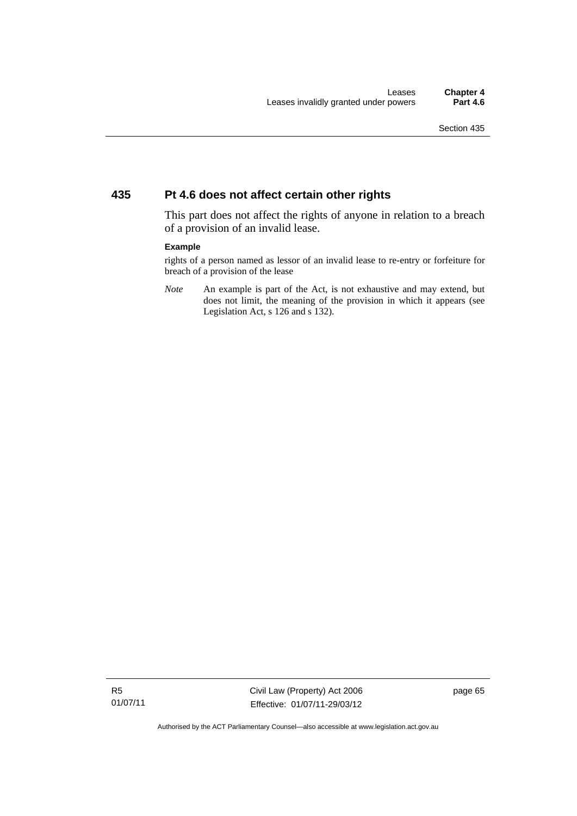# **435 Pt 4.6 does not affect certain other rights**

This part does not affect the rights of anyone in relation to a breach of a provision of an invalid lease.

#### **Example**

rights of a person named as lessor of an invalid lease to re-entry or forfeiture for breach of a provision of the lease

*Note* An example is part of the Act, is not exhaustive and may extend, but does not limit, the meaning of the provision in which it appears (see Legislation Act, s 126 and s 132).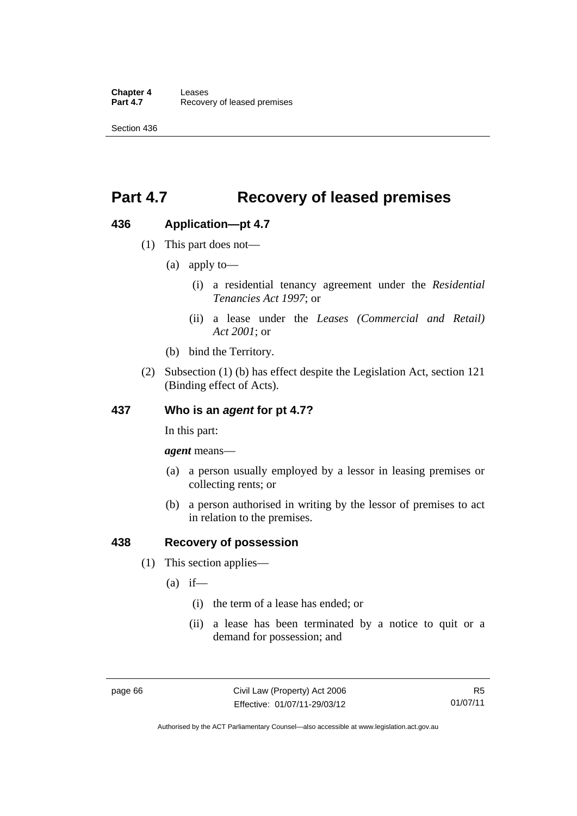**Chapter 4 Leases**<br>**Part 4.7** Recove **Recovery of leased premises** 

Section 436

# **Part 4.7 Recovery of leased premises**

# **436 Application—pt 4.7**

- (1) This part does not—
	- (a) apply to—
		- (i) a residential tenancy agreement under the *Residential Tenancies Act 1997*; or
		- (ii) a lease under the *Leases (Commercial and Retail) Act 2001*; or
	- (b) bind the Territory.
- (2) Subsection (1) (b) has effect despite the Legislation Act, section 121 (Binding effect of Acts).

# **437 Who is an** *agent* **for pt 4.7?**

In this part:

*agent* means—

- (a) a person usually employed by a lessor in leasing premises or collecting rents; or
- (b) a person authorised in writing by the lessor of premises to act in relation to the premises.

# **438 Recovery of possession**

- (1) This section applies—
	- $(a)$  if—
		- (i) the term of a lease has ended; or
		- (ii) a lease has been terminated by a notice to quit or a demand for possession; and

Authorised by the ACT Parliamentary Counsel—also accessible at www.legislation.act.gov.au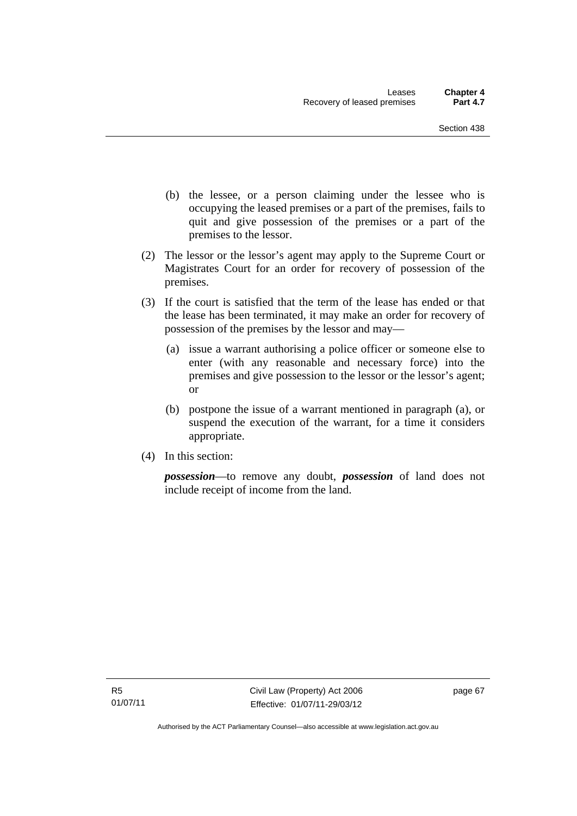- (b) the lessee, or a person claiming under the lessee who is occupying the leased premises or a part of the premises, fails to quit and give possession of the premises or a part of the premises to the lessor.
- (2) The lessor or the lessor's agent may apply to the Supreme Court or Magistrates Court for an order for recovery of possession of the premises.
- (3) If the court is satisfied that the term of the lease has ended or that the lease has been terminated, it may make an order for recovery of possession of the premises by the lessor and may—
	- (a) issue a warrant authorising a police officer or someone else to enter (with any reasonable and necessary force) into the premises and give possession to the lessor or the lessor's agent; or
	- (b) postpone the issue of a warrant mentioned in paragraph (a), or suspend the execution of the warrant, for a time it considers appropriate.
- (4) In this section:

*possession*—to remove any doubt, *possession* of land does not include receipt of income from the land.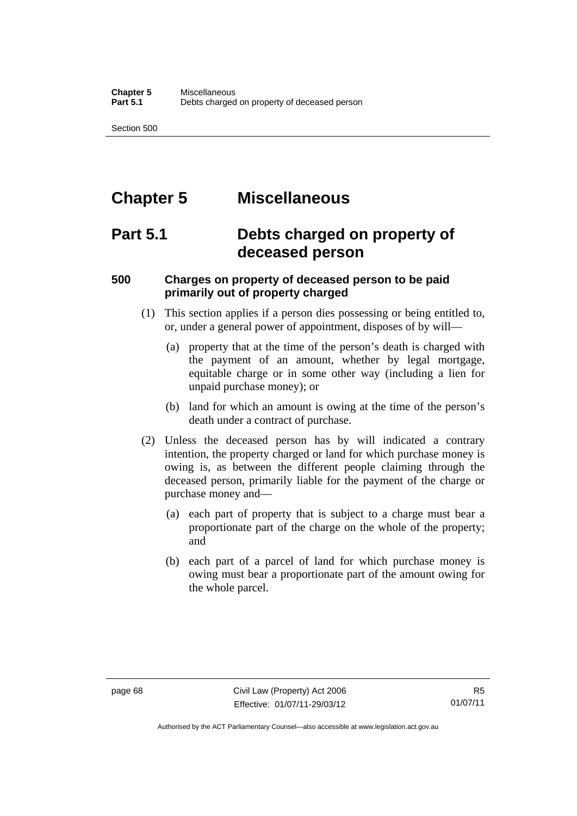Section 500

# **Chapter 5 Miscellaneous**

# **Part 5.1 Debts charged on property of deceased person**

# **500 Charges on property of deceased person to be paid primarily out of property charged**

- (1) This section applies if a person dies possessing or being entitled to, or, under a general power of appointment, disposes of by will—
	- (a) property that at the time of the person's death is charged with the payment of an amount, whether by legal mortgage, equitable charge or in some other way (including a lien for unpaid purchase money); or
	- (b) land for which an amount is owing at the time of the person's death under a contract of purchase.
- (2) Unless the deceased person has by will indicated a contrary intention, the property charged or land for which purchase money is owing is, as between the different people claiming through the deceased person, primarily liable for the payment of the charge or purchase money and—
	- (a) each part of property that is subject to a charge must bear a proportionate part of the charge on the whole of the property; and
	- (b) each part of a parcel of land for which purchase money is owing must bear a proportionate part of the amount owing for the whole parcel.

Authorised by the ACT Parliamentary Counsel—also accessible at www.legislation.act.gov.au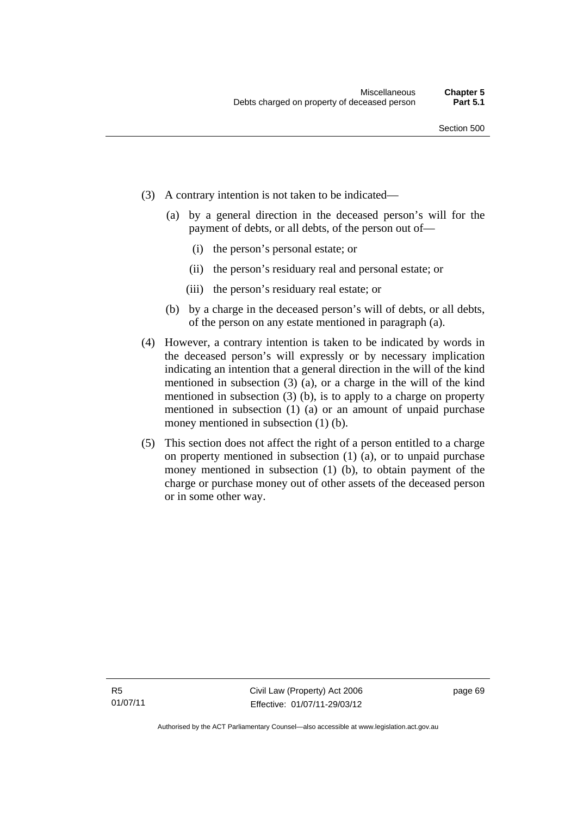- (3) A contrary intention is not taken to be indicated—
	- (a) by a general direction in the deceased person's will for the payment of debts, or all debts, of the person out of—
		- (i) the person's personal estate; or
		- (ii) the person's residuary real and personal estate; or
		- (iii) the person's residuary real estate; or
	- (b) by a charge in the deceased person's will of debts, or all debts, of the person on any estate mentioned in paragraph (a).
- (4) However, a contrary intention is taken to be indicated by words in the deceased person's will expressly or by necessary implication indicating an intention that a general direction in the will of the kind mentioned in subsection (3) (a), or a charge in the will of the kind mentioned in subsection (3) (b), is to apply to a charge on property mentioned in subsection (1) (a) or an amount of unpaid purchase money mentioned in subsection (1) (b).
- (5) This section does not affect the right of a person entitled to a charge on property mentioned in subsection (1) (a), or to unpaid purchase money mentioned in subsection (1) (b), to obtain payment of the charge or purchase money out of other assets of the deceased person or in some other way.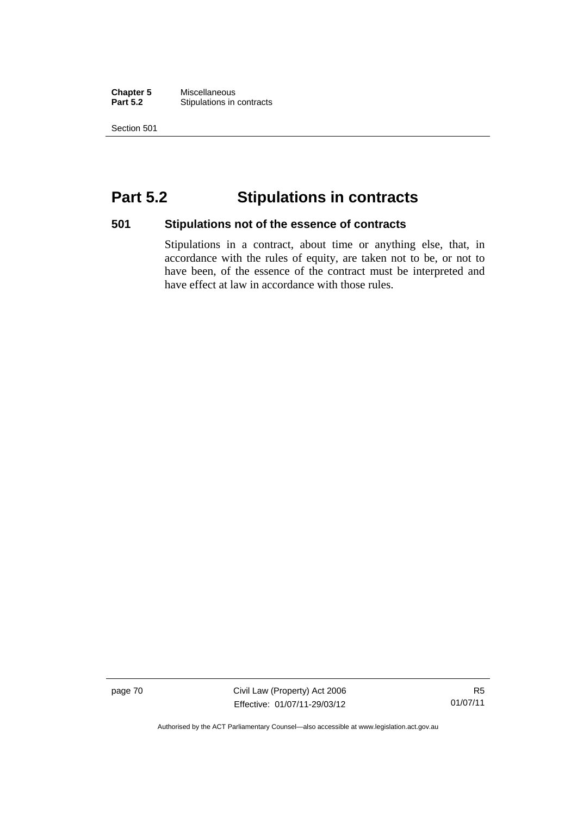**Chapter 5** Miscellaneous<br>**Part 5.2** Stipulations in **Stipulations in contracts** 

Section 501

# **Part 5.2 Stipulations in contracts**

### **501 Stipulations not of the essence of contracts**

Stipulations in a contract, about time or anything else, that, in accordance with the rules of equity, are taken not to be, or not to have been, of the essence of the contract must be interpreted and have effect at law in accordance with those rules.

page 70 Civil Law (Property) Act 2006 Effective: 01/07/11-29/03/12

R5 01/07/11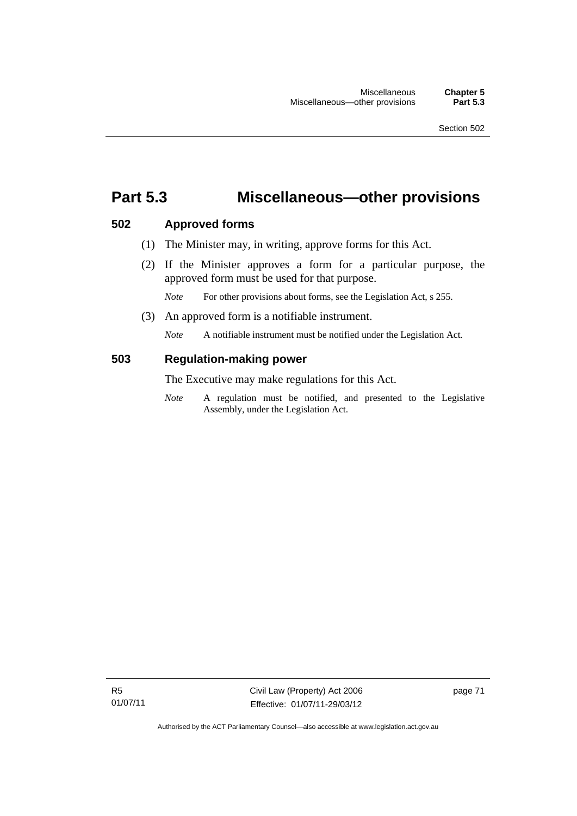# **Part 5.3 Miscellaneous—other provisions**

# **502 Approved forms**

- (1) The Minister may, in writing, approve forms for this Act.
- (2) If the Minister approves a form for a particular purpose, the approved form must be used for that purpose.

*Note* For other provisions about forms, see the Legislation Act, s 255.

(3) An approved form is a notifiable instrument.

*Note* A notifiable instrument must be notified under the Legislation Act.

# **503 Regulation-making power**

The Executive may make regulations for this Act.

*Note* A regulation must be notified, and presented to the Legislative Assembly, under the Legislation Act.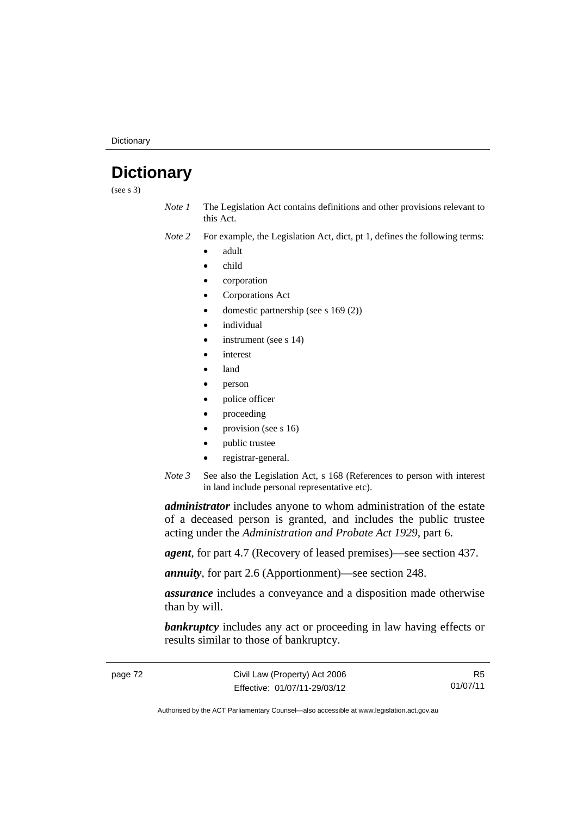**Dictionary** 

# **Dictionary**

(see s 3)

- *Note 1* The Legislation Act contains definitions and other provisions relevant to this Act.
- *Note 2* For example, the Legislation Act, dict, pt 1, defines the following terms:
	- adult
	- child
	- corporation
	- Corporations Act
	- domestic partnership (see s 169 (2))
	- individual
	- instrument (see s 14)
	- interest
	- land
	- person
	- police officer
	- proceeding
	- provision (see s 16)
	- public trustee
	- registrar-general.
- *Note* 3 See also the Legislation Act, s 168 (References to person with interest in land include personal representative etc).

*administrator* includes anyone to whom administration of the estate of a deceased person is granted, and includes the public trustee acting under the *Administration and Probate Act 1929*, part 6.

*agent*, for part 4.7 (Recovery of leased premises)—see section 437.

*annuity*, for part 2.6 (Apportionment)—see section 248.

*assurance* includes a conveyance and a disposition made otherwise than by will.

**bankruptcy** includes any act or proceeding in law having effects or results similar to those of bankruptcy.

R5 01/07/11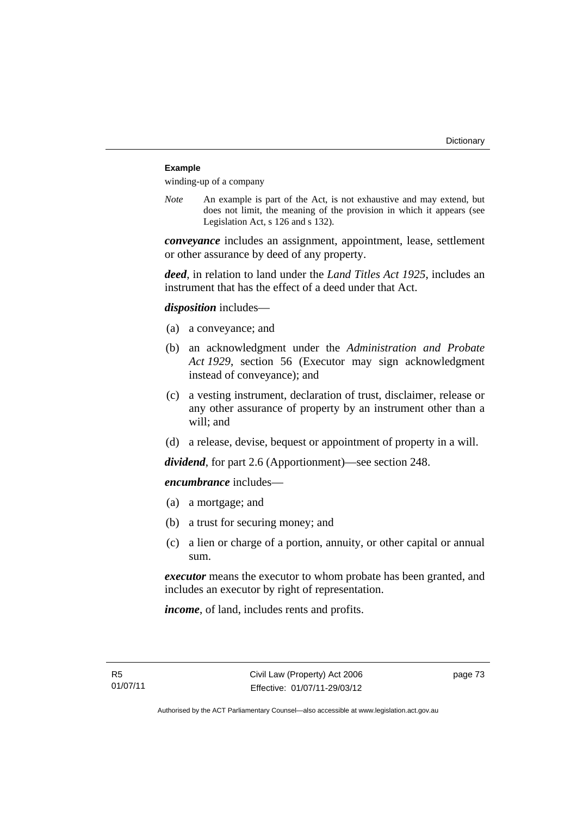### **Example**

winding-up of a company

*Note* An example is part of the Act, is not exhaustive and may extend, but does not limit, the meaning of the provision in which it appears (see Legislation Act, s 126 and s 132).

*conveyance* includes an assignment, appointment, lease, settlement or other assurance by deed of any property.

*deed*, in relation to land under the *Land Titles Act 1925*, includes an instrument that has the effect of a deed under that Act.

*disposition* includes—

- (a) a conveyance; and
- (b) an acknowledgment under the *Administration and Probate Act 1929*, section 56 (Executor may sign acknowledgment instead of conveyance); and
- (c) a vesting instrument, declaration of trust, disclaimer, release or any other assurance of property by an instrument other than a will; and
- (d) a release, devise, bequest or appointment of property in a will.

*dividend*, for part 2.6 (Apportionment)—see section 248.

*encumbrance* includes—

- (a) a mortgage; and
- (b) a trust for securing money; and
- (c) a lien or charge of a portion, annuity, or other capital or annual sum.

*executor* means the executor to whom probate has been granted, and includes an executor by right of representation.

*income*, of land, includes rents and profits.

page 73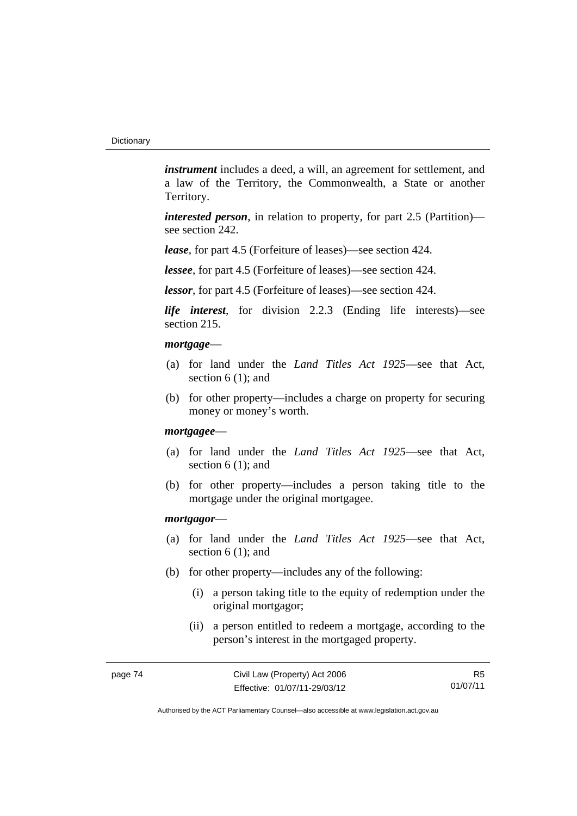*instrument* includes a deed, a will, an agreement for settlement, and a law of the Territory, the Commonwealth, a State or another Territory.

*interested person*, in relation to property, for part 2.5 (Partition) see section 242.

*lease*, for part 4.5 (Forfeiture of leases)—see section 424.

*lessee*, for part 4.5 (Forfeiture of leases)—see section 424.

*lessor*, for part 4.5 (Forfeiture of leases)—see section 424.

*life interest*, for division 2.2.3 (Ending life interests)—see section 215.

### *mortgage*—

- (a) for land under the *Land Titles Act 1925*—see that Act, section 6 (1): and
- (b) for other property—includes a charge on property for securing money or money's worth.

#### *mortgagee*—

- (a) for land under the *Land Titles Act 1925*—see that Act, section 6 (1); and
- (b) for other property—includes a person taking title to the mortgage under the original mortgagee.

#### *mortgagor*—

- (a) for land under the *Land Titles Act 1925*—see that Act, section 6 (1); and
- (b) for other property—includes any of the following:
	- (i) a person taking title to the equity of redemption under the original mortgagor;
	- (ii) a person entitled to redeem a mortgage, according to the person's interest in the mortgaged property.

R5 01/07/11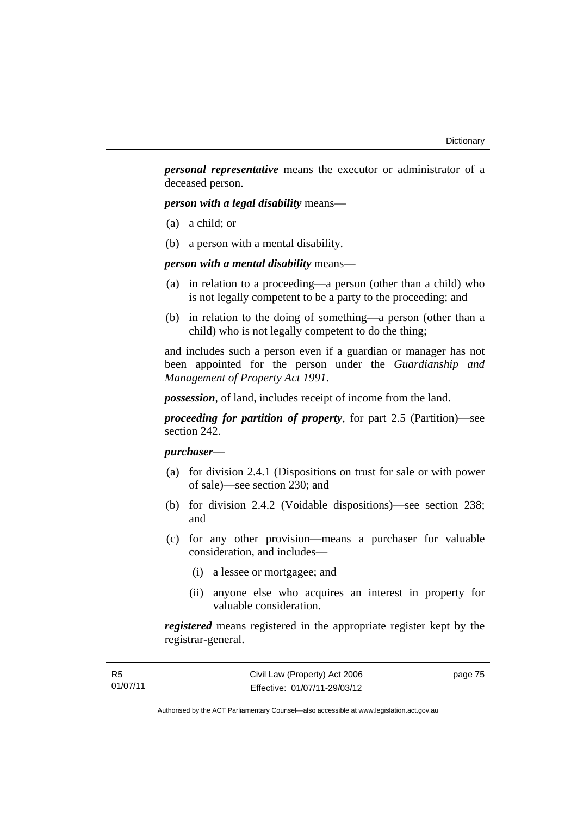*personal representative* means the executor or administrator of a deceased person.

*person with a legal disability* means—

- (a) a child; or
- (b) a person with a mental disability.

*person with a mental disability* means—

- (a) in relation to a proceeding—a person (other than a child) who is not legally competent to be a party to the proceeding; and
- (b) in relation to the doing of something—a person (other than a child) who is not legally competent to do the thing;

and includes such a person even if a guardian or manager has not been appointed for the person under the *Guardianship and Management of Property Act 1991*.

*possession*, of land, includes receipt of income from the land.

*proceeding for partition of property*, for part 2.5 (Partition)—see section 242.

# *purchaser*—

- (a) for division 2.4.1 (Dispositions on trust for sale or with power of sale)—see section 230; and
- (b) for division 2.4.2 (Voidable dispositions)—see section 238; and
- (c) for any other provision—means a purchaser for valuable consideration, and includes—
	- (i) a lessee or mortgagee; and
	- (ii) anyone else who acquires an interest in property for valuable consideration.

*registered* means registered in the appropriate register kept by the registrar-general.

page 75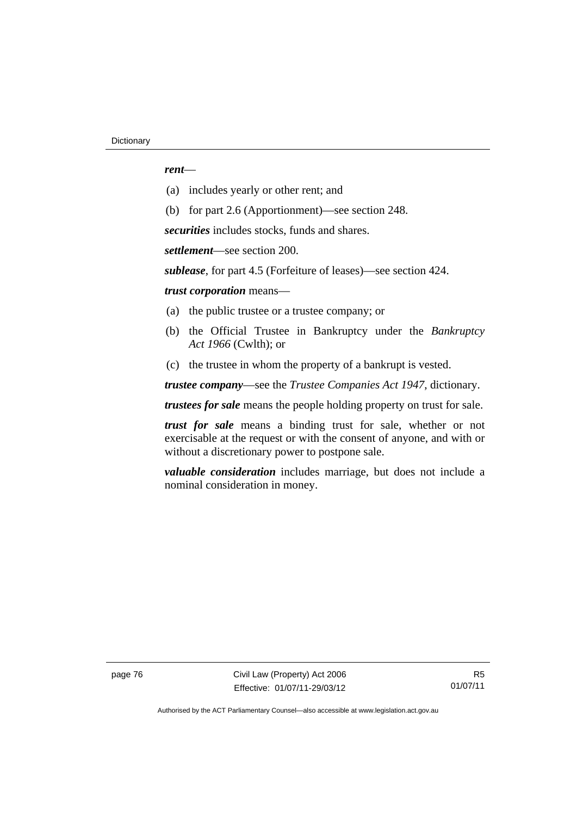### *rent*—

- (a) includes yearly or other rent; and
- (b) for part 2.6 (Apportionment)—see section 248.

*securities* includes stocks, funds and shares.

*settlement*—see section 200.

*sublease*, for part 4.5 (Forfeiture of leases)—see section 424.

*trust corporation* means—

- (a) the public trustee or a trustee company; or
- (b) the Official Trustee in Bankruptcy under the *Bankruptcy Act 1966* (Cwlth); or
- (c) the trustee in whom the property of a bankrupt is vested.

*trustee company*—see the *Trustee Companies Act 1947*, dictionary.

*trustees for sale* means the people holding property on trust for sale.

*trust for sale* means a binding trust for sale, whether or not exercisable at the request or with the consent of anyone, and with or without a discretionary power to postpone sale.

*valuable consideration* includes marriage, but does not include a nominal consideration in money.

page 76 Civil Law (Property) Act 2006 Effective: 01/07/11-29/03/12

R5 01/07/11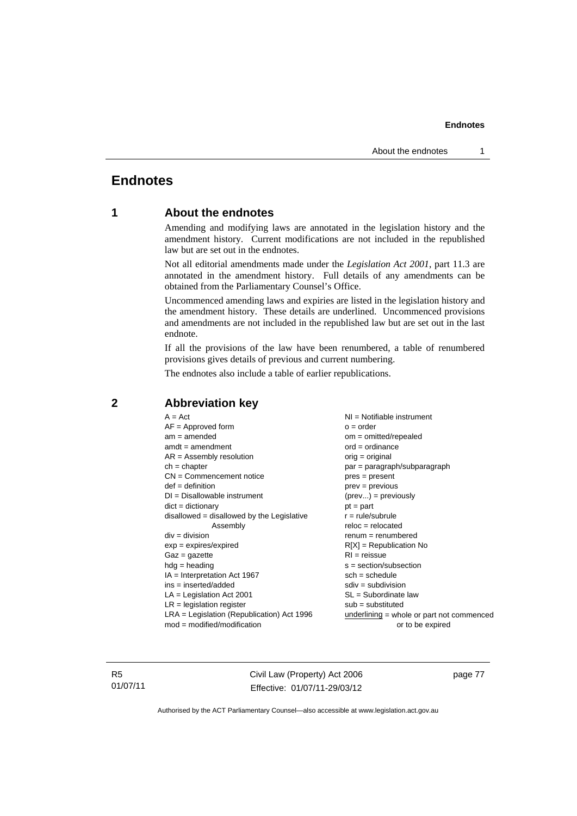#### **Endnotes**

# **Endnotes**

## **1 About the endnotes**

Amending and modifying laws are annotated in the legislation history and the amendment history. Current modifications are not included in the republished law but are set out in the endnotes.

Not all editorial amendments made under the *Legislation Act 2001*, part 11.3 are annotated in the amendment history. Full details of any amendments can be obtained from the Parliamentary Counsel's Office.

Uncommenced amending laws and expiries are listed in the legislation history and the amendment history. These details are underlined. Uncommenced provisions and amendments are not included in the republished law but are set out in the last endnote.

If all the provisions of the law have been renumbered, a table of renumbered provisions gives details of previous and current numbering.

The endnotes also include a table of earlier republications.

| $A = Act$<br>$AF =$ Approved form<br>$am = amended$<br>$amdt = amendment$<br>$AR = Assembly resolution$<br>$ch = chapter$<br>$CN =$ Commencement notice<br>$def = definition$<br>$DI = Disallowable instrument$<br>$dict = dictionary$<br>disallowed = disallowed by the Legislative<br>Assembly<br>$div = division$<br>$exp = expires/expired$<br>$Gaz = gazette$<br>$hdg = heading$<br>$IA = Interpretation Act 1967$<br>$ins = inserted/added$<br>$LA =$ Legislation Act 2001<br>$LR =$ legislation register | $NI = Notifiable$ instrument<br>$o = order$<br>$om = omitted/repealed$<br>$ord = ordinance$<br>orig = original<br>par = paragraph/subparagraph<br>$pres = present$<br>$prev = previous$<br>$(\text{prev}) = \text{previously}$<br>$pt = part$<br>$r = rule/subrule$<br>$reloc = relocated$<br>$renum = renumbered$<br>$R[X]$ = Republication No<br>$RI = reissue$<br>$s = section/subsection$<br>$sch = schedule$<br>$sdiv = subdivision$<br>$SL = Subordinate$ law<br>$sub =$ substituted |  |
|-----------------------------------------------------------------------------------------------------------------------------------------------------------------------------------------------------------------------------------------------------------------------------------------------------------------------------------------------------------------------------------------------------------------------------------------------------------------------------------------------------------------|--------------------------------------------------------------------------------------------------------------------------------------------------------------------------------------------------------------------------------------------------------------------------------------------------------------------------------------------------------------------------------------------------------------------------------------------------------------------------------------------|--|
|                                                                                                                                                                                                                                                                                                                                                                                                                                                                                                                 |                                                                                                                                                                                                                                                                                                                                                                                                                                                                                            |  |
| $LRA =$ Legislation (Republication) Act 1996                                                                                                                                                                                                                                                                                                                                                                                                                                                                    | $underlining = whole or part not commenced$                                                                                                                                                                                                                                                                                                                                                                                                                                                |  |
| $mod = modified/modification$                                                                                                                                                                                                                                                                                                                                                                                                                                                                                   | or to be expired                                                                                                                                                                                                                                                                                                                                                                                                                                                                           |  |

### **2 Abbreviation key**

R5 01/07/11 Civil Law (Property) Act 2006 Effective: 01/07/11-29/03/12

page 77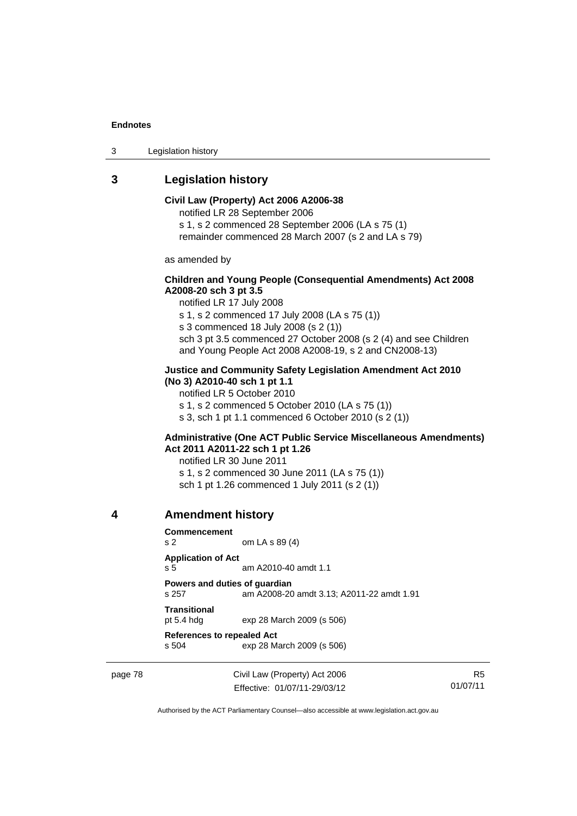#### **Endnotes**

3 Legislation history

# **3 Legislation history**

**Civil Law (Property) Act 2006 A2006-38**  notified LR 28 September 2006 s 1, s 2 commenced 28 September 2006 (LA s 75 (1) remainder commenced 28 March 2007 (s 2 and LA s 79) as amended by **Children and Young People (Consequential Amendments) Act 2008 A2008-20 sch 3 pt 3.5**  notified LR 17 July 2008 s 1, s 2 commenced 17 July 2008 (LA s 75 (1)) s 3 commenced 18 July 2008 (s 2 (1)) sch 3 pt 3.5 commenced 27 October 2008 (s 2 (4) and see Children and Young People Act 2008 A2008-19, s 2 and CN2008-13) **Justice and Community Safety Legislation Amendment Act 2010 (No 3) A2010-40 sch 1 pt 1.1**  notified LR 5 October 2010 s 1, s 2 commenced 5 October 2010 (LA s 75 (1)) s 3, sch 1 pt 1.1 commenced 6 October 2010 (s 2 (1)) **Administrative (One ACT Public Service Miscellaneous Amendments) Act 2011 A2011-22 sch 1 pt 1.26**  notified LR 30 June 2011 s 1, s 2 commenced 30 June 2011 (LA s 75 (1)) sch 1 pt 1.26 commenced 1 July 2011 (s 2 (1)) **4 Amendment history Commencement**  s 2 om LA s 89 (4) **Application of Act**  s 5 am A2010-40 amdt 1.1

**Powers and duties of guardian**  s 257 am A2008-20 amdt 3.13; A2011-22 amdt 1.91 **Transitional** 

pt 5.4 hdg exp 28 March 2009 (s 506)

**References to repealed Act** 

s 504 exp 28 March 2009 (s 506)

page 78 Civil Law (Property) Act 2006 Effective: 01/07/11-29/03/12

R5 01/07/11